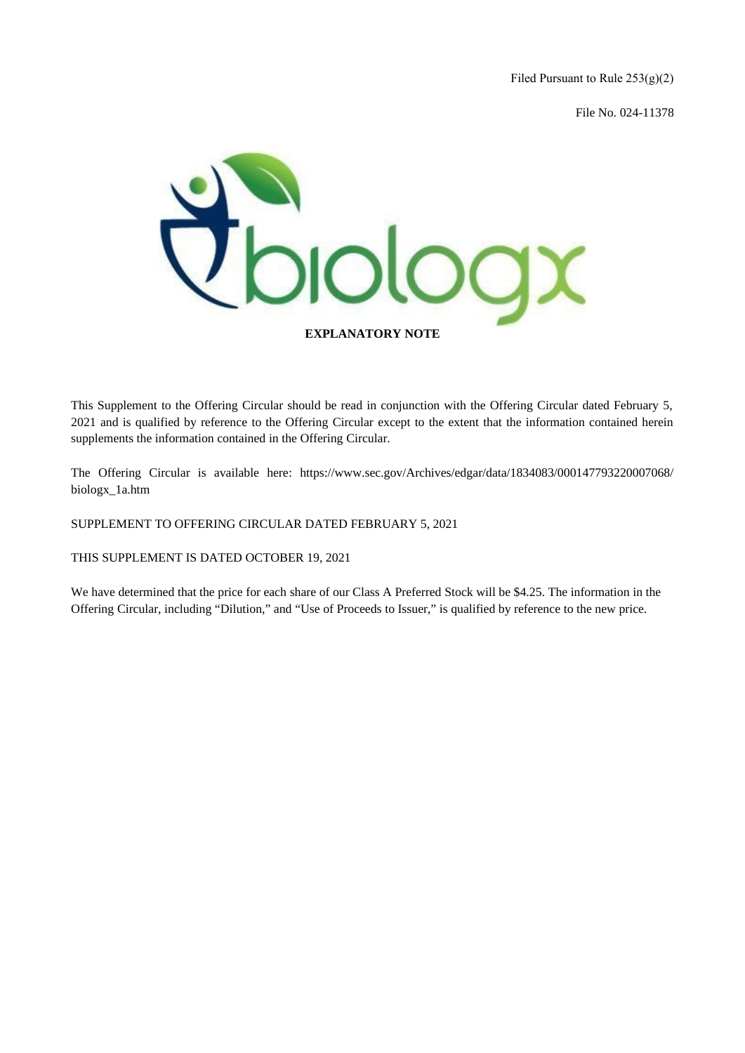Filed Pursuant to Rule  $253(g)(2)$ 

File No. 024-11378



This Supplement to the Offering Circular should be read in conjunction with the Offering Circular dated February 5, 2021 and is qualified by reference to the Offering Circular except to the extent that the information contained herein supplements the information contained in the Offering Circular.

The Offering Circular is available here: https://www.sec.gov/Archives/edgar/data/1834083/000147793220007068/ biologx\_1a.htm

SUPPLEMENT TO OFFERING CIRCULAR DATED FEBRUARY 5, 2021

THIS SUPPLEMENT IS DATED OCTOBER 19, 2021

We have determined that the price for each share of our Class A Preferred Stock will be \$4.25. The information in the Offering Circular, including "Dilution," and "Use of Proceeds to Issuer," is qualified by reference to the new price.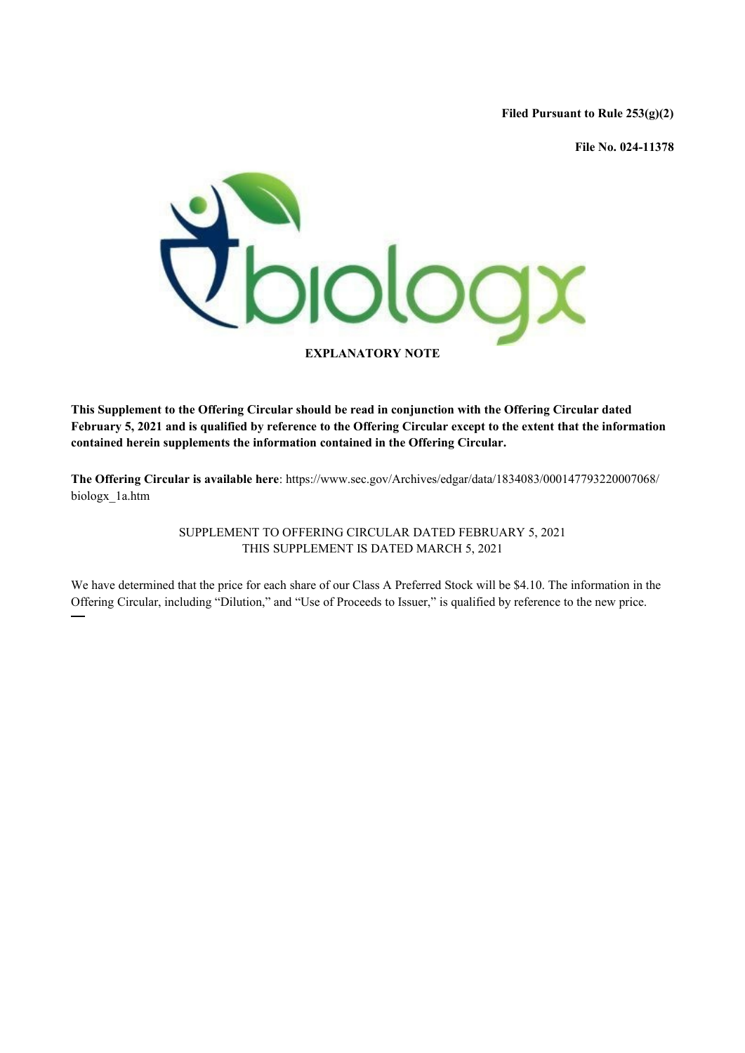**Filed Pursuant to Rule 253(g)(2)**

**File No. 024-11378**



**This Supplement to the Offering Circular should be read in conjunction with the Offering Circular dated February 5, 2021 and is qualified by reference to the Offering Circular except to the extent that the information contained herein supplements the information contained in the Offering Circular.**

**The Offering Circular is available here**: https://www.sec.gov/Archives/edgar/data/1834083/000147793220007068/ biologx\_1a.htm

> SUPPLEMENT TO OFFERING CIRCULAR DATED FEBRUARY 5, 2021 THIS SUPPLEMENT IS DATED MARCH 5, 2021

We have determined that the price for each share of our Class A Preferred Stock will be \$4.10. The information in the Offering Circular, including "Dilution," and "Use of Proceeds to Issuer," is qualified by reference to the new price.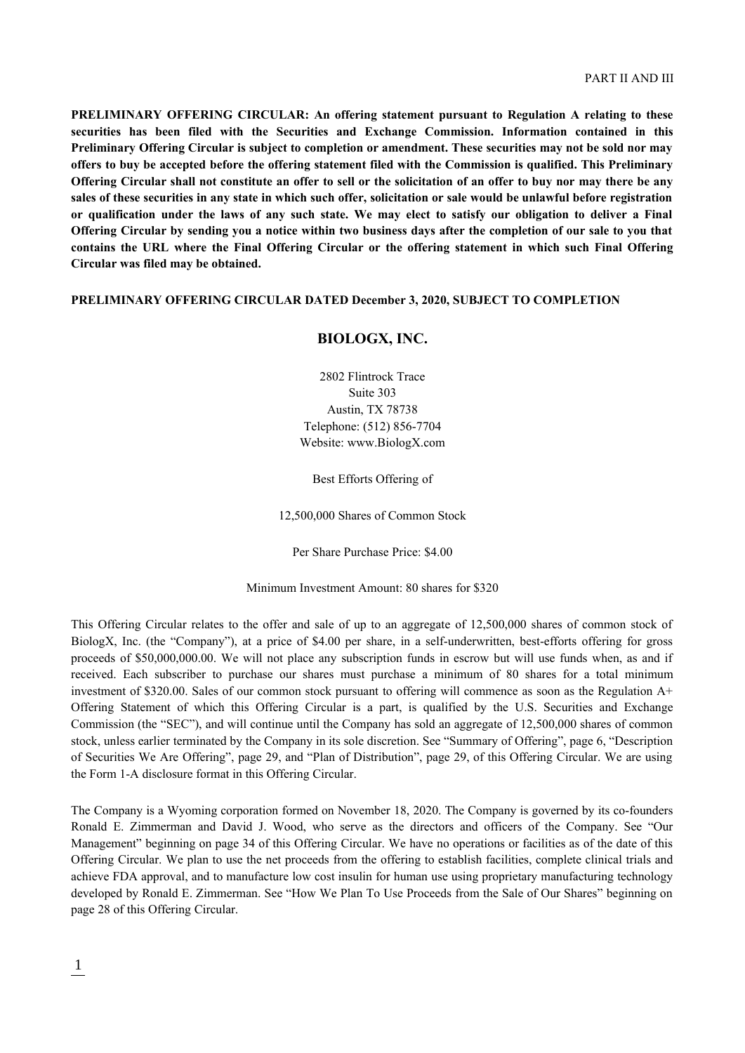**PRELIMINARY OFFERING CIRCULAR: An offering statement pursuant to Regulation A relating to these securities has been filed with the Securities and Exchange Commission. Information contained in this Preliminary Offering Circular is subject to completion or amendment. These securities may not be sold nor may offers to buy be accepted before the offering statement filed with the Commission is qualified. This Preliminary Offering Circular shall not constitute an offer to sell or the solicitation of an offer to buy nor may there be any sales of these securities in any state in which such offer, solicitation or sale would be unlawful before registration or qualification under the laws of any such state. We may elect to satisfy our obligation to deliver a Final Offering Circular by sending you a notice within two business days after the completion of our sale to you that contains the URL where the Final Offering Circular or the offering statement in which such Final Offering Circular was filed may be obtained.**

**PRELIMINARY OFFERING CIRCULAR DATED December 3, 2020, SUBJECT TO COMPLETION**

#### **BIOLOGX, INC.**

2802 Flintrock Trace Suite 303 Austin, TX 78738 Telephone: (512) 856-7704 Website: www.BiologX.com

Best Efforts Offering of

12,500,000 Shares of Common Stock

Per Share Purchase Price: \$4.00

Minimum Investment Amount: 80 shares for \$320

This Offering Circular relates to the offer and sale of up to an aggregate of 12,500,000 shares of common stock of BiologX, Inc. (the "Company"), at a price of \$4.00 per share, in a self-underwritten, best-efforts offering for gross proceeds of \$50,000,000.00. We will not place any subscription funds in escrow but will use funds when, as and if received. Each subscriber to purchase our shares must purchase a minimum of 80 shares for a total minimum investment of \$320.00. Sales of our common stock pursuant to offering will commence as soon as the Regulation A+ Offering Statement of which this Offering Circular is a part, is qualified by the U.S. Securities and Exchange Commission (the "SEC"), and will continue until the Company has sold an aggregate of 12,500,000 shares of common stock, unless earlier terminated by the Company in its sole discretion. See "Summary of Offering", page 6, "Description of Securities We Are Offering", page 29, and "Plan of Distribution", page 29, of this Offering Circular. We are using the Form 1-A disclosure format in this Offering Circular.

The Company is a Wyoming corporation formed on November 18, 2020. The Company is governed by its co-founders Ronald E. Zimmerman and David J. Wood, who serve as the directors and officers of the Company. See "Our Management" beginning on page 34 of this Offering Circular. We have no operations or facilities as of the date of this Offering Circular. We plan to use the net proceeds from the offering to establish facilities, complete clinical trials and achieve FDA approval, and to manufacture low cost insulin for human use using proprietary manufacturing technology developed by Ronald E. Zimmerman. See "How We Plan To Use Proceeds from the Sale of Our Shares" beginning on page 28 of this Offering Circular.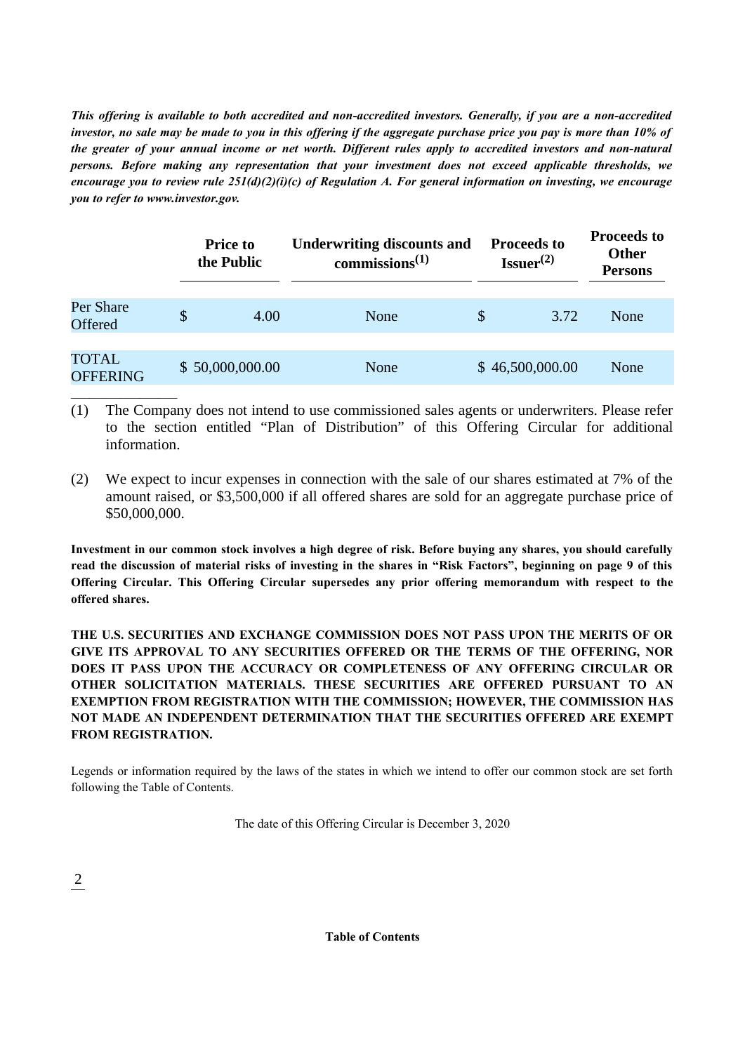*This offering is available to both accredited and non-accredited investors. Generally, if you are a non-accredited investor, no sale may be made to you in this offering if the aggregate purchase price you pay is more than 10% of the greater of your annual income or net worth. Different rules apply to accredited investors and non-natural persons. Before making any representation that your investment does not exceed applicable thresholds, we encourage you to review rule 251(d)(2)(i)(c) of Regulation A. For general information on investing, we encourage you to refer to www.investor.gov.*

|                             | <b>Price to</b><br>the Public | <b>Underwriting discounts and</b><br>commissions $^{(1)}$ |   | <b>Proceeds to</b><br>Issuer <sup>(2)</sup> | <b>Proceeds to</b><br>Other<br><b>Persons</b> |
|-----------------------------|-------------------------------|-----------------------------------------------------------|---|---------------------------------------------|-----------------------------------------------|
| Per Share<br><b>Offered</b> | \$<br>4.00                    | <b>None</b>                                               | S | 3.72                                        | None                                          |
|                             |                               |                                                           |   |                                             |                                               |
| TOTAL<br><b>OFFERING</b>    | \$50,000,000.00               | <b>None</b>                                               |   | \$46,500,000.00                             | <b>None</b>                                   |

(1) The Company does not intend to use commissioned sales agents or underwriters. Please refer to the section entitled "Plan of Distribution" of this Offering Circular for additional information.

(2) We expect to incur expenses in connection with the sale of our shares estimated at 7% of the amount raised, or \$3,500,000 if all offered shares are sold for an aggregate purchase price of \$50,000,000.

**Investment in our common stock involves a high degree of risk. Before buying any shares, you should carefully read the discussion of material risks of investing in the shares in "Risk Factors", beginning on page 9 of this Offering Circular. This Offering Circular supersedes any prior offering memorandum with respect to the offered shares.**

**THE U.S. SECURITIES AND EXCHANGE COMMISSION DOES NOT PASS UPON THE MERITS OF OR GIVE ITS APPROVAL TO ANY SECURITIES OFFERED OR THE TERMS OF THE OFFERING, NOR DOES IT PASS UPON THE ACCURACY OR COMPLETENESS OF ANY OFFERING CIRCULAR OR OTHER SOLICITATION MATERIALS. THESE SECURITIES ARE OFFERED PURSUANT TO AN EXEMPTION FROM REGISTRATION WITH THE COMMISSION; HOWEVER, THE COMMISSION HAS NOT MADE AN INDEPENDENT DETERMINATION THAT THE SECURITIES OFFERED ARE EXEMPT FROM REGISTRATION.**

Legends or information required by the laws of the states in which we intend to offer our common stock are set forth following the Table of Contents.

The date of this Offering Circular is December 3, 2020

 $\mathcal{L}=\mathcal{L}^{\mathcal{L}}$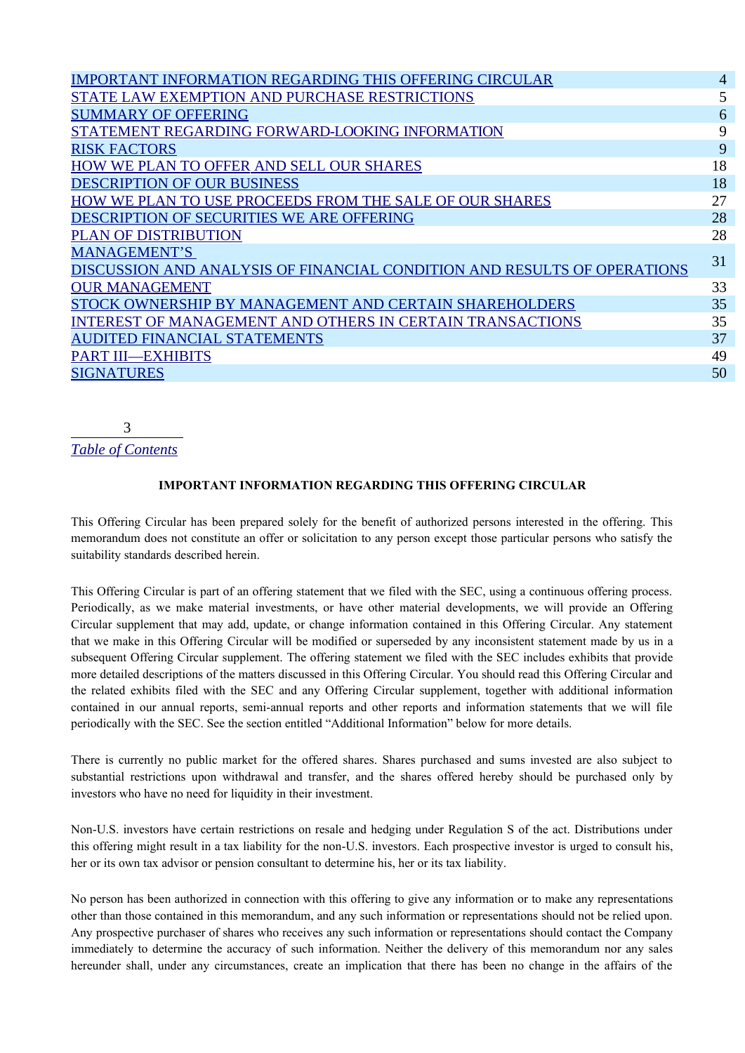| <b>IMPORTANT INFORMATION REGARDING THIS OFFERING CIRCULAR</b>            | 4  |
|--------------------------------------------------------------------------|----|
| STATE LAW EXEMPTION AND PURCHASE RESTRICTIONS                            | 5  |
| <b>SUMMARY OF OFFERING</b>                                               | 6  |
| STATEMENT REGARDING FORWARD-LOOKING INFORMATION                          | 9  |
| <b>RISK FACTORS</b>                                                      | 9  |
| HOW WE PLAN TO OFFER AND SELL OUR SHARES                                 | 18 |
| <b>DESCRIPTION OF OUR BUSINESS</b>                                       | 18 |
| HOW WE PLAN TO USE PROCEEDS FROM THE SALE OF OUR SHARES                  | 27 |
| <b>DESCRIPTION OF SECURITIES WE ARE OFFERING</b>                         | 28 |
| PLAN OF DISTRIBUTION                                                     | 28 |
| <b>MANAGEMENT'S</b>                                                      | 31 |
| DISCUSSION AND ANALYSIS OF FINANCIAL CONDITION AND RESULTS OF OPERATIONS |    |
| <b>OUR MANAGEMENT</b>                                                    | 33 |
| STOCK OWNERSHIP BY MANAGEMENT AND CERTAIN SHAREHOLDERS                   | 35 |
| <b>INTEREST OF MANAGEMENT AND OTHERS IN CERTAIN TRANSACTIONS</b>         | 35 |
| <b>AUDITED FINANCIAL STATEMENTS</b>                                      | 37 |
| <b>PART III-EXHIBITS</b>                                                 | 49 |
| <b>SIGNATURES</b>                                                        | 50 |

3

*[Table of Contents](https://www.sec.gov/Archives/edgar/data/1834083/000147793220007068/biologx_1a.htm#toc)*

# **IMPORTANT INFORMATION REGARDING THIS OFFERING CIRCULAR**

This Offering Circular has been prepared solely for the benefit of authorized persons interested in the offering. This memorandum does not constitute an offer or solicitation to any person except those particular persons who satisfy the suitability standards described herein.

This Offering Circular is part of an offering statement that we filed with the SEC, using a continuous offering process. Periodically, as we make material investments, or have other material developments, we will provide an Offering Circular supplement that may add, update, or change information contained in this Offering Circular. Any statement that we make in this Offering Circular will be modified or superseded by any inconsistent statement made by us in a subsequent Offering Circular supplement. The offering statement we filed with the SEC includes exhibits that provide more detailed descriptions of the matters discussed in this Offering Circular. You should read this Offering Circular and the related exhibits filed with the SEC and any Offering Circular supplement, together with additional information contained in our annual reports, semi-annual reports and other reports and information statements that we will file periodically with the SEC. See the section entitled "Additional Information" below for more details.

There is currently no public market for the offered shares. Shares purchased and sums invested are also subject to substantial restrictions upon withdrawal and transfer, and the shares offered hereby should be purchased only by investors who have no need for liquidity in their investment.

Non-U.S. investors have certain restrictions on resale and hedging under Regulation S of the act. Distributions under this offering might result in a tax liability for the non-U.S. investors. Each prospective investor is urged to consult his, her or its own tax advisor or pension consultant to determine his, her or its tax liability.

No person has been authorized in connection with this offering to give any information or to make any representations other than those contained in this memorandum, and any such information or representations should not be relied upon. Any prospective purchaser of shares who receives any such information or representations should contact the Company immediately to determine the accuracy of such information. Neither the delivery of this memorandum nor any sales hereunder shall, under any circumstances, create an implication that there has been no change in the affairs of the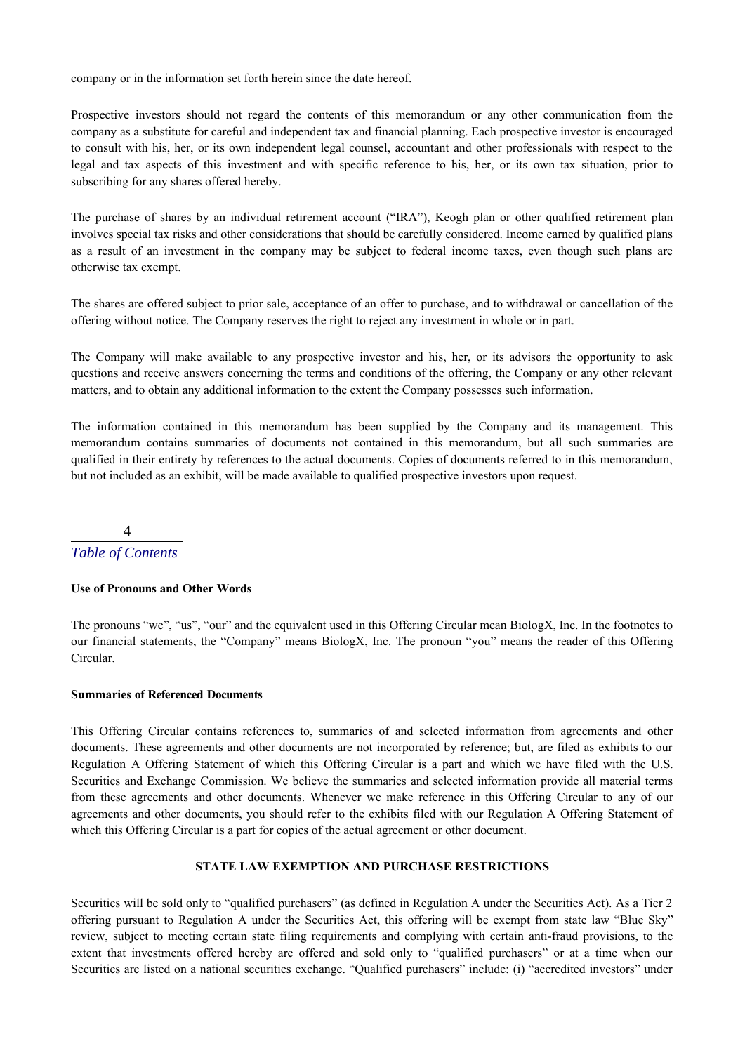company or in the information set forth herein since the date hereof.

Prospective investors should not regard the contents of this memorandum or any other communication from the company as a substitute for careful and independent tax and financial planning. Each prospective investor is encouraged to consult with his, her, or its own independent legal counsel, accountant and other professionals with respect to the legal and tax aspects of this investment and with specific reference to his, her, or its own tax situation, prior to subscribing for any shares offered hereby.

The purchase of shares by an individual retirement account ("IRA"), Keogh plan or other qualified retirement plan involves special tax risks and other considerations that should be carefully considered. Income earned by qualified plans as a result of an investment in the company may be subject to federal income taxes, even though such plans are otherwise tax exempt.

The shares are offered subject to prior sale, acceptance of an offer to purchase, and to withdrawal or cancellation of the offering without notice. The Company reserves the right to reject any investment in whole or in part.

The Company will make available to any prospective investor and his, her, or its advisors the opportunity to ask questions and receive answers concerning the terms and conditions of the offering, the Company or any other relevant matters, and to obtain any additional information to the extent the Company possesses such information.

The information contained in this memorandum has been supplied by the Company and its management. This memorandum contains summaries of documents not contained in this memorandum, but all such summaries are qualified in their entirety by references to the actual documents. Copies of documents referred to in this memorandum, but not included as an exhibit, will be made available to qualified prospective investors upon request.

# 4 *[Table of Contents](https://www.sec.gov/Archives/edgar/data/1834083/000147793220007068/biologx_1a.htm#toc)*

#### **Use of Pronouns and Other Words**

The pronouns "we", "us", "our" and the equivalent used in this Offering Circular mean BiologX, Inc. In the footnotes to our financial statements, the "Company" means BiologX, Inc. The pronoun "you" means the reader of this Offering Circular.

#### **Summaries of Referenced Documents**

This Offering Circular contains references to, summaries of and selected information from agreements and other documents. These agreements and other documents are not incorporated by reference; but, are filed as exhibits to our Regulation A Offering Statement of which this Offering Circular is a part and which we have filed with the U.S. Securities and Exchange Commission. We believe the summaries and selected information provide all material terms from these agreements and other documents. Whenever we make reference in this Offering Circular to any of our agreements and other documents, you should refer to the exhibits filed with our Regulation A Offering Statement of which this Offering Circular is a part for copies of the actual agreement or other document.

#### **STATE LAW EXEMPTION AND PURCHASE RESTRICTIONS**

Securities will be sold only to "qualified purchasers" (as defined in Regulation A under the Securities Act). As a Tier 2 offering pursuant to Regulation A under the Securities Act, this offering will be exempt from state law "Blue Sky" review, subject to meeting certain state filing requirements and complying with certain anti-fraud provisions, to the extent that investments offered hereby are offered and sold only to "qualified purchasers" or at a time when our Securities are listed on a national securities exchange. "Qualified purchasers" include: (i) "accredited investors" under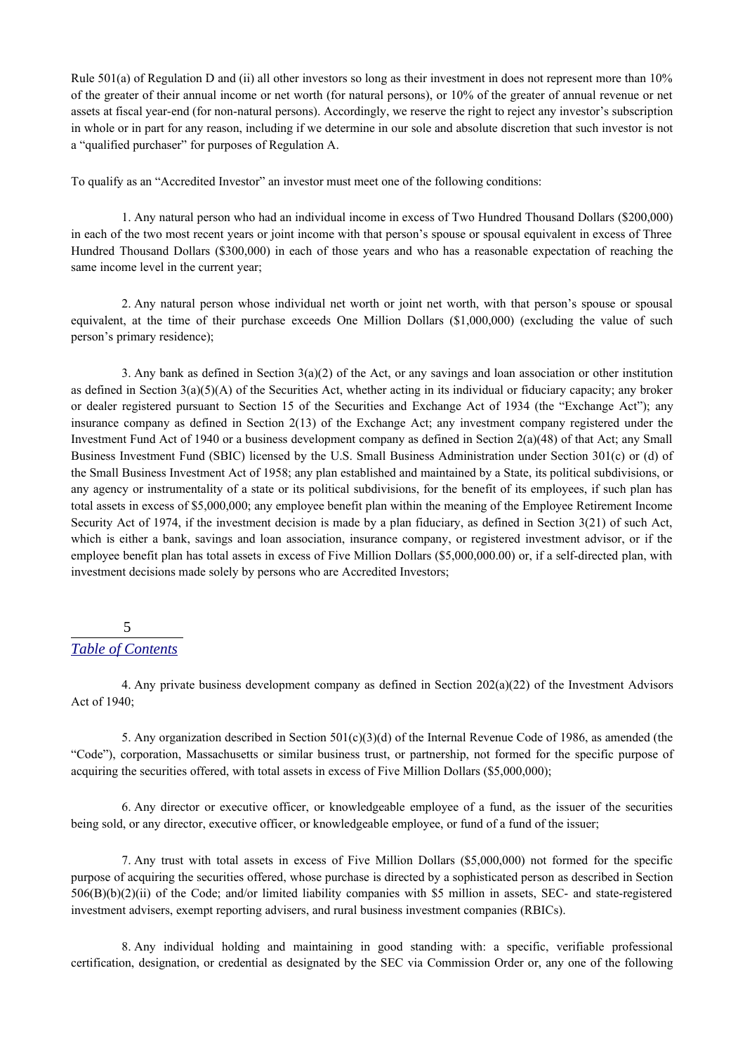Rule 501(a) of Regulation D and (ii) all other investors so long as their investment in does not represent more than 10% of the greater of their annual income or net worth (for natural persons), or 10% of the greater of annual revenue or net assets at fiscal year-end (for non-natural persons). Accordingly, we reserve the right to reject any investor's subscription in whole or in part for any reason, including if we determine in our sole and absolute discretion that such investor is not a "qualified purchaser" for purposes of Regulation A.

To qualify as an "Accredited Investor" an investor must meet one of the following conditions:

1. Any natural person who had an individual income in excess of Two Hundred Thousand Dollars (\$200,000) in each of the two most recent years or joint income with that person's spouse or spousal equivalent in excess of Three Hundred Thousand Dollars (\$300,000) in each of those years and who has a reasonable expectation of reaching the same income level in the current year;

2. Any natural person whose individual net worth or joint net worth, with that person's spouse or spousal equivalent, at the time of their purchase exceeds One Million Dollars (\$1,000,000) (excluding the value of such person's primary residence);

3. Any bank as defined in Section  $3(a)(2)$  of the Act, or any savings and loan association or other institution as defined in Section  $3(a)(5)(A)$  of the Securities Act, whether acting in its individual or fiduciary capacity; any broker or dealer registered pursuant to Section 15 of the Securities and Exchange Act of 1934 (the "Exchange Act"); any insurance company as defined in Section 2(13) of the Exchange Act; any investment company registered under the Investment Fund Act of 1940 or a business development company as defined in Section 2(a)(48) of that Act; any Small Business Investment Fund (SBIC) licensed by the U.S. Small Business Administration under Section 301(c) or (d) of the Small Business Investment Act of 1958; any plan established and maintained by a State, its political subdivisions, or any agency or instrumentality of a state or its political subdivisions, for the benefit of its employees, if such plan has total assets in excess of \$5,000,000; any employee benefit plan within the meaning of the Employee Retirement Income Security Act of 1974, if the investment decision is made by a plan fiduciary, as defined in Section 3(21) of such Act, which is either a bank, savings and loan association, insurance company, or registered investment advisor, or if the employee benefit plan has total assets in excess of Five Million Dollars (\$5,000,000.00) or, if a self-directed plan, with investment decisions made solely by persons who are Accredited Investors;

# 5 *[Table of Contents](https://www.sec.gov/Archives/edgar/data/1834083/000147793220007068/biologx_1a.htm#toc)*

4. Any private business development company as defined in Section 202(a)(22) of the Investment Advisors Act of 1940;

5. Any organization described in Section  $501(c)(3)(d)$  of the Internal Revenue Code of 1986, as amended (the "Code"), corporation, Massachusetts or similar business trust, or partnership, not formed for the specific purpose of acquiring the securities offered, with total assets in excess of Five Million Dollars (\$5,000,000);

6. Any director or executive officer, or knowledgeable employee of a fund, as the issuer of the securities being sold, or any director, executive officer, or knowledgeable employee, or fund of a fund of the issuer;

7. Any trust with total assets in excess of Five Million Dollars (\$5,000,000) not formed for the specific purpose of acquiring the securities offered, whose purchase is directed by a sophisticated person as described in Section 506(B)(b)(2)(ii) of the Code; and/or limited liability companies with \$5 million in assets, SEC- and state-registered investment advisers, exempt reporting advisers, and rural business investment companies (RBICs).

8. Any individual holding and maintaining in good standing with: a specific, verifiable professional certification, designation, or credential as designated by the SEC via Commission Order or, any one of the following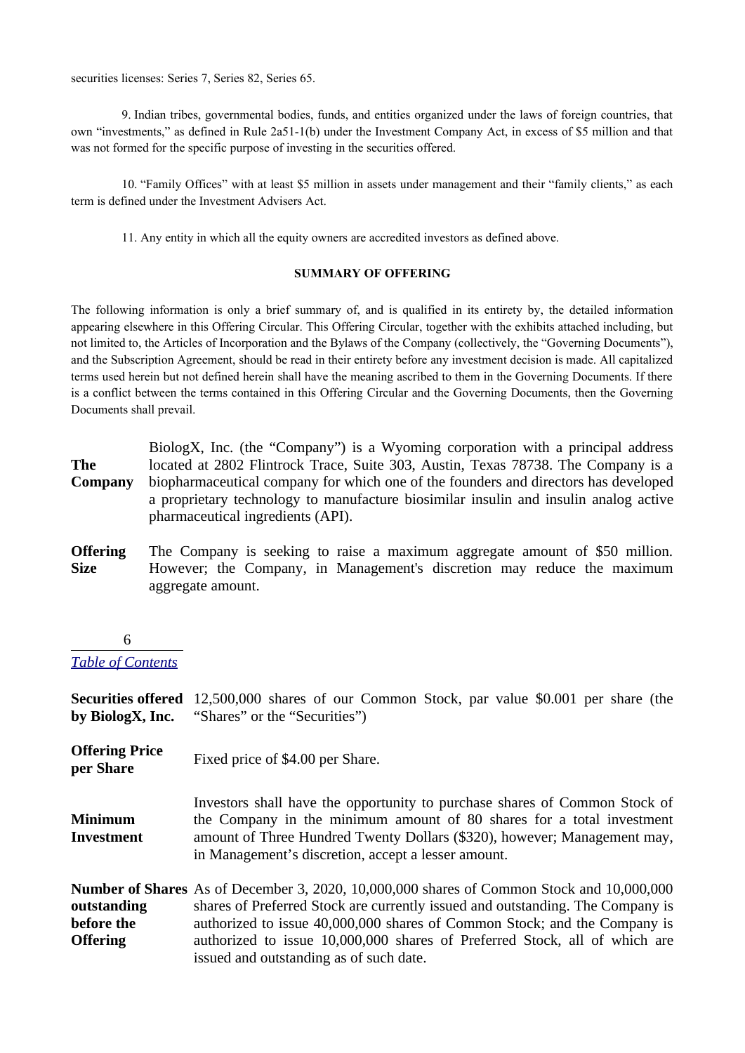securities licenses: Series 7, Series 82, Series 65.

9. Indian tribes, governmental bodies, funds, and entities organized under the laws of foreign countries, that own "investments," as defined in Rule 2a51-1(b) under the Investment Company Act, in excess of \$5 million and that was not formed for the specific purpose of investing in the securities offered.

10. "Family Offices" with at least \$5 million in assets under management and their "family clients," as each term is defined under the Investment Advisers Act.

11. Any entity in which all the equity owners are accredited investors as defined above.

#### **SUMMARY OF OFFERING**

The following information is only a brief summary of, and is qualified in its entirety by, the detailed information appearing elsewhere in this Offering Circular. This Offering Circular, together with the exhibits attached including, but not limited to, the Articles of Incorporation and the Bylaws of the Company (collectively, the "Governing Documents"), and the Subscription Agreement, should be read in their entirety before any investment decision is made. All capitalized terms used herein but not defined herein shall have the meaning ascribed to them in the Governing Documents. If there is a conflict between the terms contained in this Offering Circular and the Governing Documents, then the Governing Documents shall prevail.

**The Company** BiologX, Inc. (the "Company") is a Wyoming corporation with a principal address located at 2802 Flintrock Trace, Suite 303, Austin, Texas 78738. The Company is a biopharmaceutical company for which one of the founders and directors has developed a proprietary technology to manufacture biosimilar insulin and insulin analog active pharmaceutical ingredients (API).

**Offering Size** The Company is seeking to raise a maximum aggregate amount of \$50 million. However; the Company, in Management's discretion may reduce the maximum aggregate amount.

6

#### *[Table of Contents](https://www.sec.gov/Archives/edgar/data/1834083/000147793220007068/biologx_1a.htm#toc)*

**Securities offered**  12,500,000 shares of our Common Stock, par value \$0.001 per share (the **by BiologX, Inc.** "Shares" or the "Securities")

- **Offering Price per Share** Fixed price of \$4.00 per Share.
- **Minimum Investment** Investors shall have the opportunity to purchase shares of Common Stock of the Company in the minimum amount of 80 shares for a total investment amount of Three Hundred Twenty Dollars (\$320), however; Management may, in Management's discretion, accept a lesser amount.
- **Number of Shares** As of December 3, 2020, 10,000,000 shares of Common Stock and 10,000,000 **outstanding before the Offering** shares of Preferred Stock are currently issued and outstanding. The Company is authorized to issue 40,000,000 shares of Common Stock; and the Company is authorized to issue 10,000,000 shares of Preferred Stock, all of which are issued and outstanding as of such date.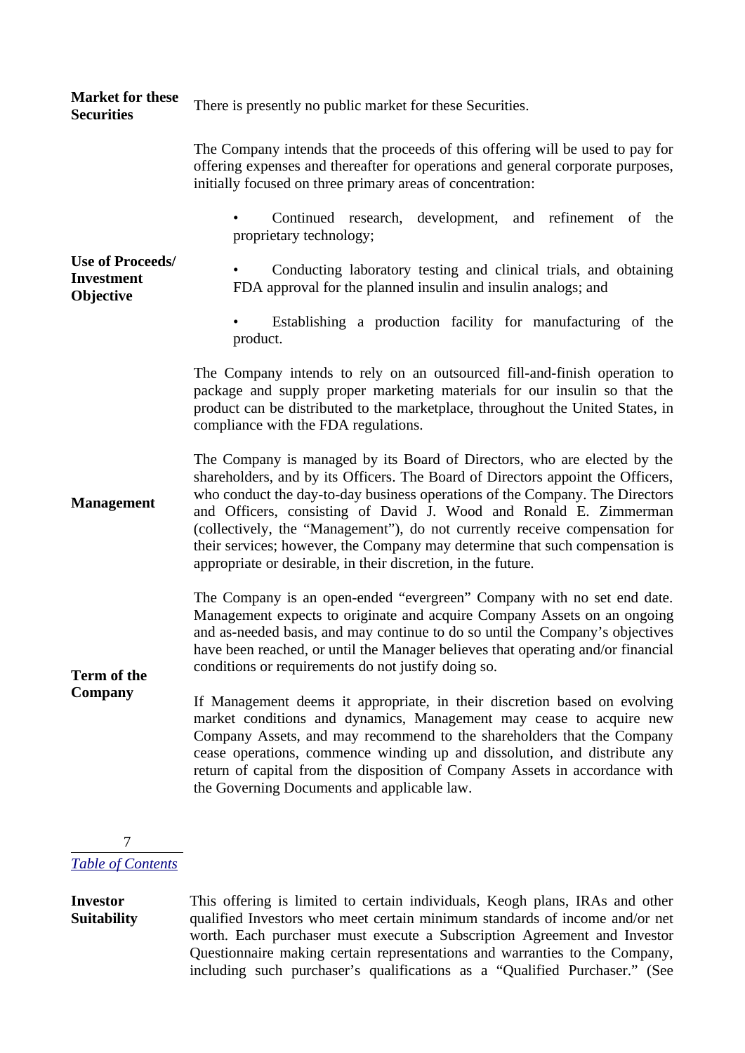| <b>Market for these</b><br><b>Securities</b>                     | There is presently no public market for these Securities.                                                                                                                                                                                                                                                                                                                                                                                                                                                                                        |  |  |  |  |  |
|------------------------------------------------------------------|--------------------------------------------------------------------------------------------------------------------------------------------------------------------------------------------------------------------------------------------------------------------------------------------------------------------------------------------------------------------------------------------------------------------------------------------------------------------------------------------------------------------------------------------------|--|--|--|--|--|
|                                                                  | The Company intends that the proceeds of this offering will be used to pay for<br>offering expenses and thereafter for operations and general corporate purposes,<br>initially focused on three primary areas of concentration:                                                                                                                                                                                                                                                                                                                  |  |  |  |  |  |
|                                                                  | Continued research, development, and refinement of the<br>proprietary technology;                                                                                                                                                                                                                                                                                                                                                                                                                                                                |  |  |  |  |  |
| <b>Use of Proceeds/</b><br><b>Investment</b><br><b>Objective</b> | Conducting laboratory testing and clinical trials, and obtaining<br>FDA approval for the planned insulin and insulin analogs; and                                                                                                                                                                                                                                                                                                                                                                                                                |  |  |  |  |  |
|                                                                  | Establishing a production facility for manufacturing of the<br>product.                                                                                                                                                                                                                                                                                                                                                                                                                                                                          |  |  |  |  |  |
|                                                                  | The Company intends to rely on an outsourced fill-and-finish operation to<br>package and supply proper marketing materials for our insulin so that the<br>product can be distributed to the marketplace, throughout the United States, in<br>compliance with the FDA regulations.                                                                                                                                                                                                                                                                |  |  |  |  |  |
| <b>Management</b>                                                | The Company is managed by its Board of Directors, who are elected by the<br>shareholders, and by its Officers. The Board of Directors appoint the Officers,<br>who conduct the day-to-day business operations of the Company. The Directors<br>and Officers, consisting of David J. Wood and Ronald E. Zimmerman<br>(collectively, the "Management"), do not currently receive compensation for<br>their services; however, the Company may determine that such compensation is<br>appropriate or desirable, in their discretion, in the future. |  |  |  |  |  |
| <b>Term of the</b>                                               | The Company is an open-ended "evergreen" Company with no set end date.<br>Management expects to originate and acquire Company Assets on an ongoing<br>and as-needed basis, and may continue to do so until the Company's objectives<br>have been reached, or until the Manager believes that operating and/or financial<br>conditions or requirements do not justify doing so.                                                                                                                                                                   |  |  |  |  |  |
| Company                                                          | If Management deems it appropriate, in their discretion based on evolving<br>market conditions and dynamics, Management may cease to acquire new<br>Company Assets, and may recommend to the shareholders that the Company<br>cease operations, commence winding up and dissolution, and distribute any<br>return of capital from the disposition of Company Assets in accordance with<br>the Governing Documents and applicable law.                                                                                                            |  |  |  |  |  |

7 *[Table of Contents](https://www.sec.gov/Archives/edgar/data/1834083/000147793220007068/biologx_1a.htm#toc)*

**Investor Suitability** This offering is limited to certain individuals, Keogh plans, IRAs and other qualified Investors who meet certain minimum standards of income and/or net worth. Each purchaser must execute a Subscription Agreement and Investor Questionnaire making certain representations and warranties to the Company, including such purchaser's qualifications as a "Qualified Purchaser." (See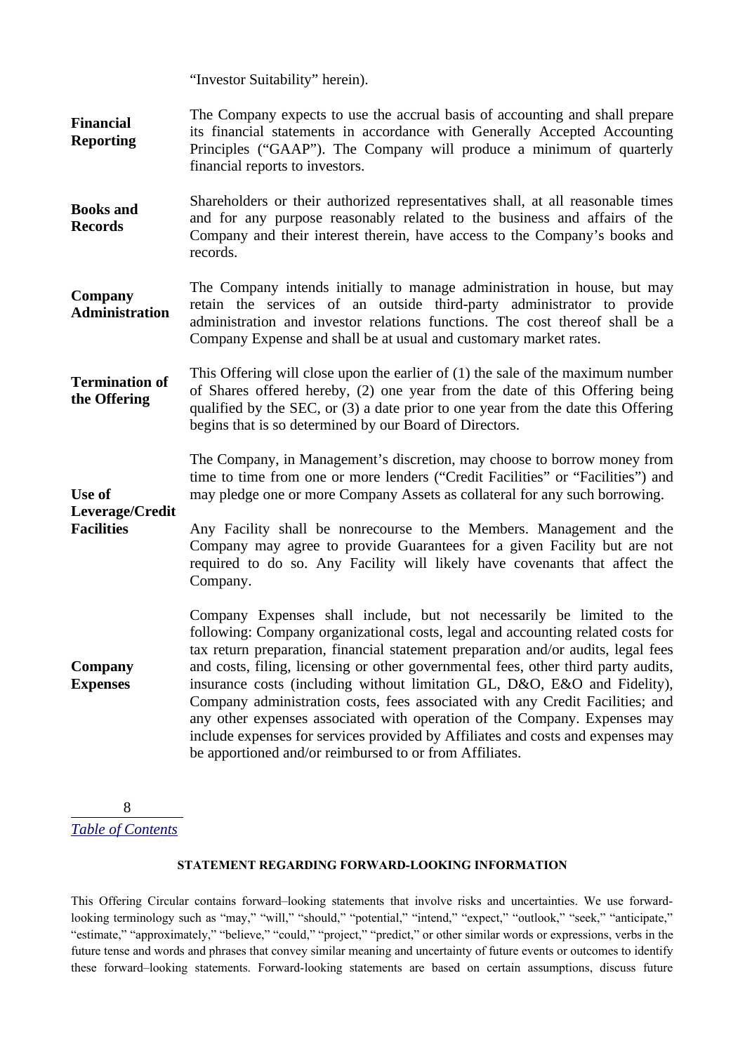"Investor Suitability" herein).

**Financial Reporting** The Company expects to use the accrual basis of accounting and shall prepare its financial statements in accordance with Generally Accepted Accounting Principles ("GAAP"). The Company will produce a minimum of quarterly financial reports to investors.

**Books and Records** Shareholders or their authorized representatives shall, at all reasonable times and for any purpose reasonably related to the business and affairs of the Company and their interest therein, have access to the Company's books and records.

**Company Administration** The Company intends initially to manage administration in house, but may retain the services of an outside third-party administrator to provide administration and investor relations functions. The cost thereof shall be a Company Expense and shall be at usual and customary market rates.

**Termination of the Offering** This Offering will close upon the earlier of (1) the sale of the maximum number of Shares offered hereby, (2) one year from the date of this Offering being qualified by the SEC, or (3) a date prior to one year from the date this Offering begins that is so determined by our Board of Directors.

> The Company, in Management's discretion, may choose to borrow money from time to time from one or more lenders ("Credit Facilities" or "Facilities") and may pledge one or more Company Assets as collateral for any such borrowing.

**Use of Leverage/Credit** 

**Facilities** Any Facility shall be nonrecourse to the Members. Management and the Company may agree to provide Guarantees for a given Facility but are not required to do so. Any Facility will likely have covenants that affect the Company.

**Company Expenses** Company Expenses shall include, but not necessarily be limited to the following: Company organizational costs, legal and accounting related costs for tax return preparation, financial statement preparation and/or audits, legal fees and costs, filing, licensing or other governmental fees, other third party audits, insurance costs (including without limitation GL, D&O, E&O and Fidelity), Company administration costs, fees associated with any Credit Facilities; and any other expenses associated with operation of the Company. Expenses may include expenses for services provided by Affiliates and costs and expenses may be apportioned and/or reimbursed to or from Affiliates.

8 *[Table of Contents](https://www.sec.gov/Archives/edgar/data/1834083/000147793220007068/biologx_1a.htm#toc)*

# **STATEMENT REGARDING FORWARD-LOOKING INFORMATION**

This Offering Circular contains forward–looking statements that involve risks and uncertainties. We use forwardlooking terminology such as "may," "will," "should," "potential," "intend," "expect," "outlook," "seek," "anticipate," "estimate," "approximately," "believe," "could," "project," "predict," or other similar words or expressions, verbs in the future tense and words and phrases that convey similar meaning and uncertainty of future events or outcomes to identify these forward–looking statements. Forward-looking statements are based on certain assumptions, discuss future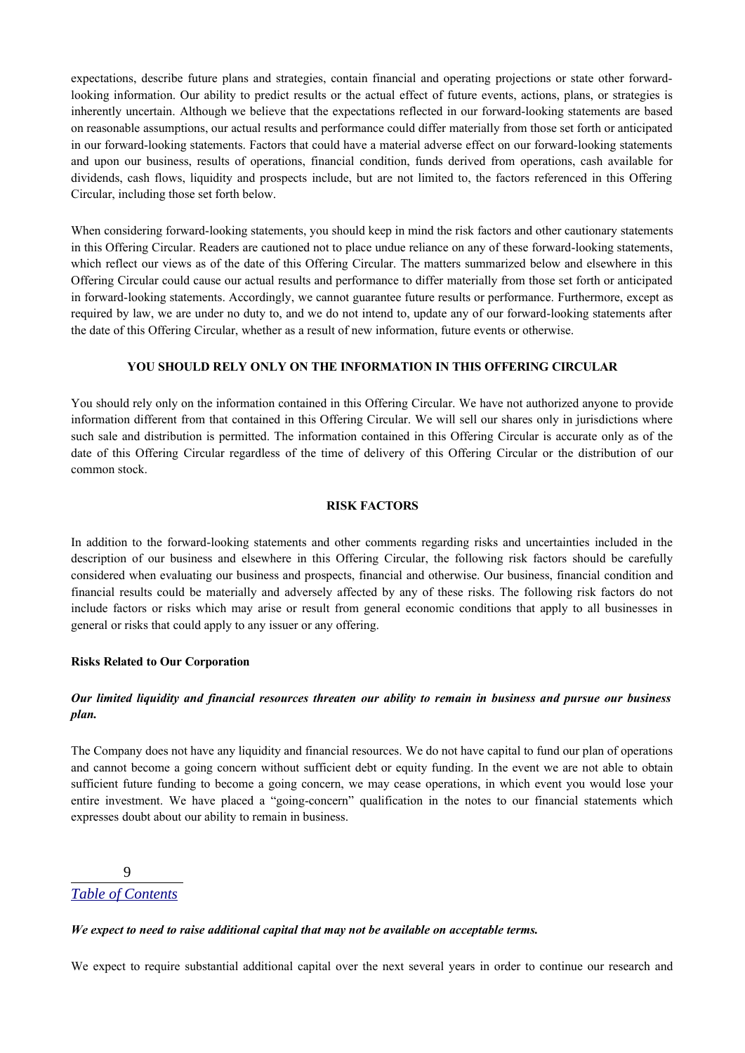expectations, describe future plans and strategies, contain financial and operating projections or state other forwardlooking information. Our ability to predict results or the actual effect of future events, actions, plans, or strategies is inherently uncertain. Although we believe that the expectations reflected in our forward-looking statements are based on reasonable assumptions, our actual results and performance could differ materially from those set forth or anticipated in our forward-looking statements. Factors that could have a material adverse effect on our forward-looking statements and upon our business, results of operations, financial condition, funds derived from operations, cash available for dividends, cash flows, liquidity and prospects include, but are not limited to, the factors referenced in this Offering Circular, including those set forth below.

When considering forward-looking statements, you should keep in mind the risk factors and other cautionary statements in this Offering Circular. Readers are cautioned not to place undue reliance on any of these forward-looking statements, which reflect our views as of the date of this Offering Circular. The matters summarized below and elsewhere in this Offering Circular could cause our actual results and performance to differ materially from those set forth or anticipated in forward-looking statements. Accordingly, we cannot guarantee future results or performance. Furthermore, except as required by law, we are under no duty to, and we do not intend to, update any of our forward-looking statements after the date of this Offering Circular, whether as a result of new information, future events or otherwise.

# **YOU SHOULD RELY ONLY ON THE INFORMATION IN THIS OFFERING CIRCULAR**

You should rely only on the information contained in this Offering Circular. We have not authorized anyone to provide information different from that contained in this Offering Circular. We will sell our shares only in jurisdictions where such sale and distribution is permitted. The information contained in this Offering Circular is accurate only as of the date of this Offering Circular regardless of the time of delivery of this Offering Circular or the distribution of our common stock.

#### **RISK FACTORS**

In addition to the forward-looking statements and other comments regarding risks and uncertainties included in the description of our business and elsewhere in this Offering Circular, the following risk factors should be carefully considered when evaluating our business and prospects, financial and otherwise. Our business, financial condition and financial results could be materially and adversely affected by any of these risks. The following risk factors do not include factors or risks which may arise or result from general economic conditions that apply to all businesses in general or risks that could apply to any issuer or any offering.

#### **Risks Related to Our Corporation**

# *Our limited liquidity and financial resources threaten our ability to remain in business and pursue our business plan.*

The Company does not have any liquidity and financial resources. We do not have capital to fund our plan of operations and cannot become a going concern without sufficient debt or equity funding. In the event we are not able to obtain sufficient future funding to become a going concern, we may cease operations, in which event you would lose your entire investment. We have placed a "going-concern" qualification in the notes to our financial statements which expresses doubt about our ability to remain in business.

9 *[Table of Contents](https://www.sec.gov/Archives/edgar/data/1834083/000147793220007068/biologx_1a.htm#toc)*

#### *We expect to need to raise additional capital that may not be available on acceptable terms.*

We expect to require substantial additional capital over the next several years in order to continue our research and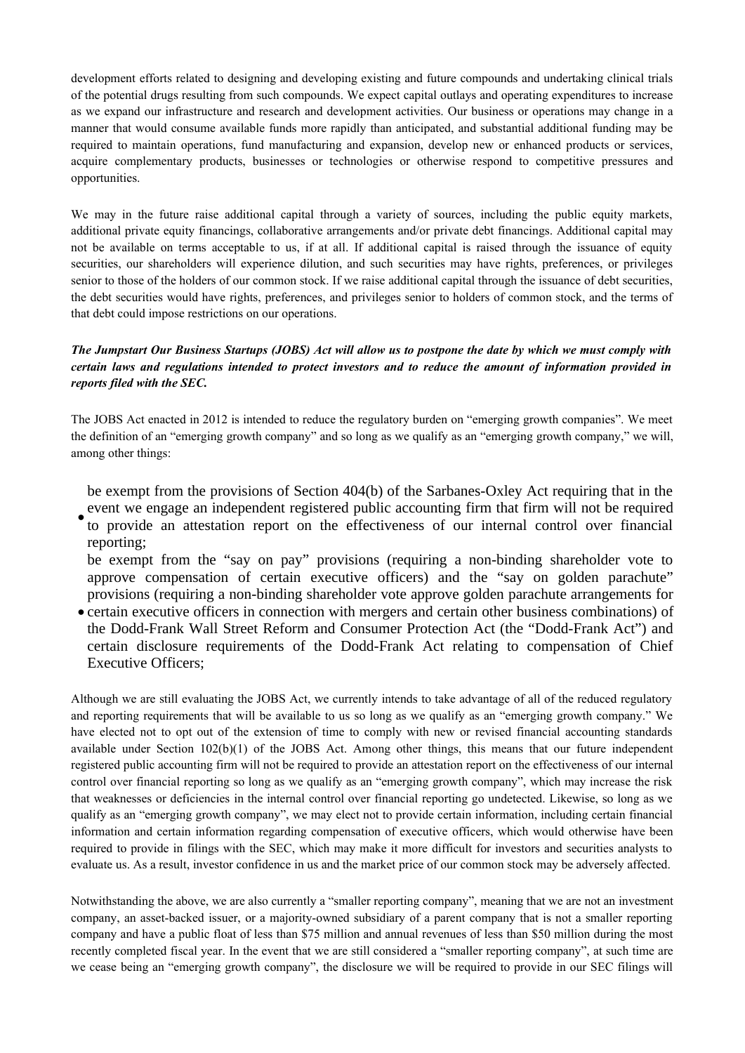development efforts related to designing and developing existing and future compounds and undertaking clinical trials of the potential drugs resulting from such compounds. We expect capital outlays and operating expenditures to increase as we expand our infrastructure and research and development activities. Our business or operations may change in a manner that would consume available funds more rapidly than anticipated, and substantial additional funding may be required to maintain operations, fund manufacturing and expansion, develop new or enhanced products or services, acquire complementary products, businesses or technologies or otherwise respond to competitive pressures and opportunities.

We may in the future raise additional capital through a variety of sources, including the public equity markets, additional private equity financings, collaborative arrangements and/or private debt financings. Additional capital may not be available on terms acceptable to us, if at all. If additional capital is raised through the issuance of equity securities, our shareholders will experience dilution, and such securities may have rights, preferences, or privileges senior to those of the holders of our common stock. If we raise additional capital through the issuance of debt securities, the debt securities would have rights, preferences, and privileges senior to holders of common stock, and the terms of that debt could impose restrictions on our operations.

# *The Jumpstart Our Business Startups (JOBS) Act will allow us to postpone the date by which we must comply with certain laws and regulations intended to protect investors and to reduce the amount of information provided in reports filed with the SEC.*

The JOBS Act enacted in 2012 is intended to reduce the regulatory burden on "emerging growth companies". We meet the definition of an "emerging growth company" and so long as we qualify as an "emerging growth company," we will, among other things:

· be exempt from the provisions of Section 404(b) of the Sarbanes-Oxley Act requiring that in the event we engage an independent registered public accounting firm that firm will not be required to provide an attestation report on the effectiveness of our internal control over financial reporting;

be exempt from the "say on pay" provisions (requiring a non-binding shareholder vote to approve compensation of certain executive officers) and the "say on golden parachute" provisions (requiring a non-binding shareholder vote approve golden parachute arrangements for

· certain executive officers in connection with mergers and certain other business combinations) of the Dodd-Frank Wall Street Reform and Consumer Protection Act (the "Dodd-Frank Act") and certain disclosure requirements of the Dodd-Frank Act relating to compensation of Chief Executive Officers;

Although we are still evaluating the JOBS Act, we currently intends to take advantage of all of the reduced regulatory and reporting requirements that will be available to us so long as we qualify as an "emerging growth company." We have elected not to opt out of the extension of time to comply with new or revised financial accounting standards available under Section 102(b)(1) of the JOBS Act. Among other things, this means that our future independent registered public accounting firm will not be required to provide an attestation report on the effectiveness of our internal control over financial reporting so long as we qualify as an "emerging growth company", which may increase the risk that weaknesses or deficiencies in the internal control over financial reporting go undetected. Likewise, so long as we qualify as an "emerging growth company", we may elect not to provide certain information, including certain financial information and certain information regarding compensation of executive officers, which would otherwise have been required to provide in filings with the SEC, which may make it more difficult for investors and securities analysts to evaluate us. As a result, investor confidence in us and the market price of our common stock may be adversely affected.

Notwithstanding the above, we are also currently a "smaller reporting company", meaning that we are not an investment company, an asset-backed issuer, or a majority-owned subsidiary of a parent company that is not a smaller reporting company and have a public float of less than \$75 million and annual revenues of less than \$50 million during the most recently completed fiscal year. In the event that we are still considered a "smaller reporting company", at such time are we cease being an "emerging growth company", the disclosure we will be required to provide in our SEC filings will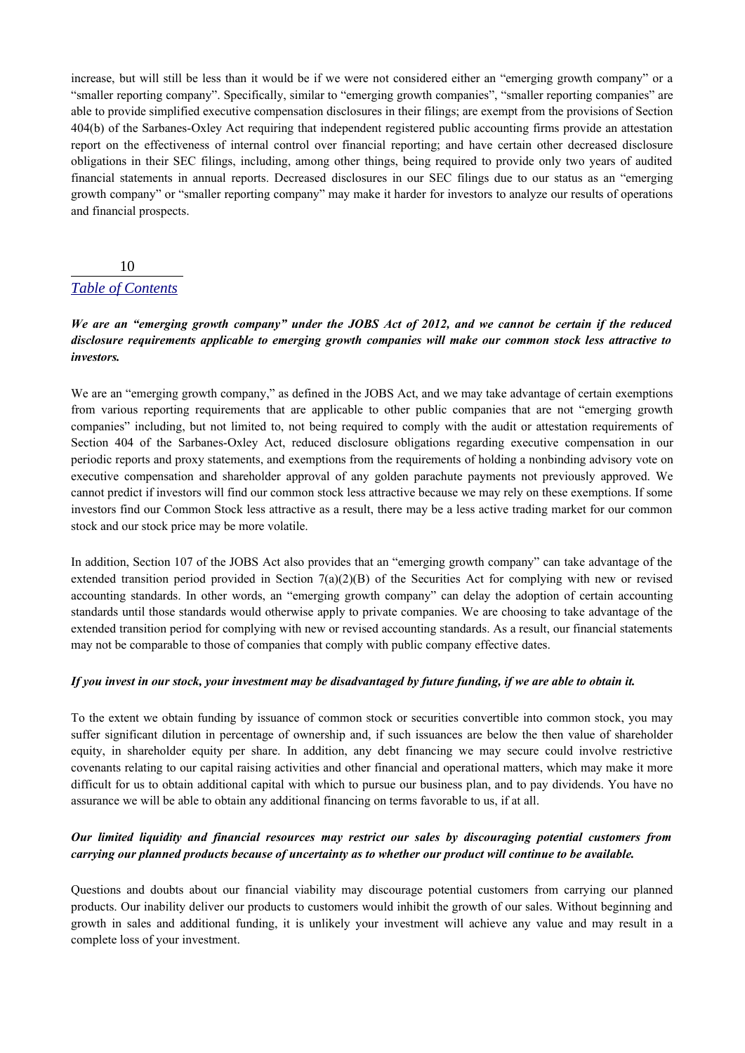increase, but will still be less than it would be if we were not considered either an "emerging growth company" or a "smaller reporting company". Specifically, similar to "emerging growth companies", "smaller reporting companies" are able to provide simplified executive compensation disclosures in their filings; are exempt from the provisions of Section 404(b) of the Sarbanes-Oxley Act requiring that independent registered public accounting firms provide an attestation report on the effectiveness of internal control over financial reporting; and have certain other decreased disclosure obligations in their SEC filings, including, among other things, being required to provide only two years of audited financial statements in annual reports. Decreased disclosures in our SEC filings due to our status as an "emerging growth company" or "smaller reporting company" may make it harder for investors to analyze our results of operations and financial prospects.

#### 10

# *[Table of Contents](https://www.sec.gov/Archives/edgar/data/1834083/000147793220007068/biologx_1a.htm#toc)*

# *We are an "emerging growth company" under the JOBS Act of 2012, and we cannot be certain if the reduced disclosure requirements applicable to emerging growth companies will make our common stock less attractive to investors.*

We are an "emerging growth company," as defined in the JOBS Act, and we may take advantage of certain exemptions from various reporting requirements that are applicable to other public companies that are not "emerging growth companies" including, but not limited to, not being required to comply with the audit or attestation requirements of Section 404 of the Sarbanes-Oxley Act, reduced disclosure obligations regarding executive compensation in our periodic reports and proxy statements, and exemptions from the requirements of holding a nonbinding advisory vote on executive compensation and shareholder approval of any golden parachute payments not previously approved. We cannot predict if investors will find our common stock less attractive because we may rely on these exemptions. If some investors find our Common Stock less attractive as a result, there may be a less active trading market for our common stock and our stock price may be more volatile.

In addition, Section 107 of the JOBS Act also provides that an "emerging growth company" can take advantage of the extended transition period provided in Section  $7(a)(2)(B)$  of the Securities Act for complying with new or revised accounting standards. In other words, an "emerging growth company" can delay the adoption of certain accounting standards until those standards would otherwise apply to private companies. We are choosing to take advantage of the extended transition period for complying with new or revised accounting standards. As a result, our financial statements may not be comparable to those of companies that comply with public company effective dates.

#### *If you invest in our stock, your investment may be disadvantaged by future funding, if we are able to obtain it.*

To the extent we obtain funding by issuance of common stock or securities convertible into common stock, you may suffer significant dilution in percentage of ownership and, if such issuances are below the then value of shareholder equity, in shareholder equity per share. In addition, any debt financing we may secure could involve restrictive covenants relating to our capital raising activities and other financial and operational matters, which may make it more difficult for us to obtain additional capital with which to pursue our business plan, and to pay dividends. You have no assurance we will be able to obtain any additional financing on terms favorable to us, if at all.

# *Our limited liquidity and financial resources may restrict our sales by discouraging potential customers from carrying our planned products because of uncertainty as to whether our product will continue to be available.*

Questions and doubts about our financial viability may discourage potential customers from carrying our planned products. Our inability deliver our products to customers would inhibit the growth of our sales. Without beginning and growth in sales and additional funding, it is unlikely your investment will achieve any value and may result in a complete loss of your investment.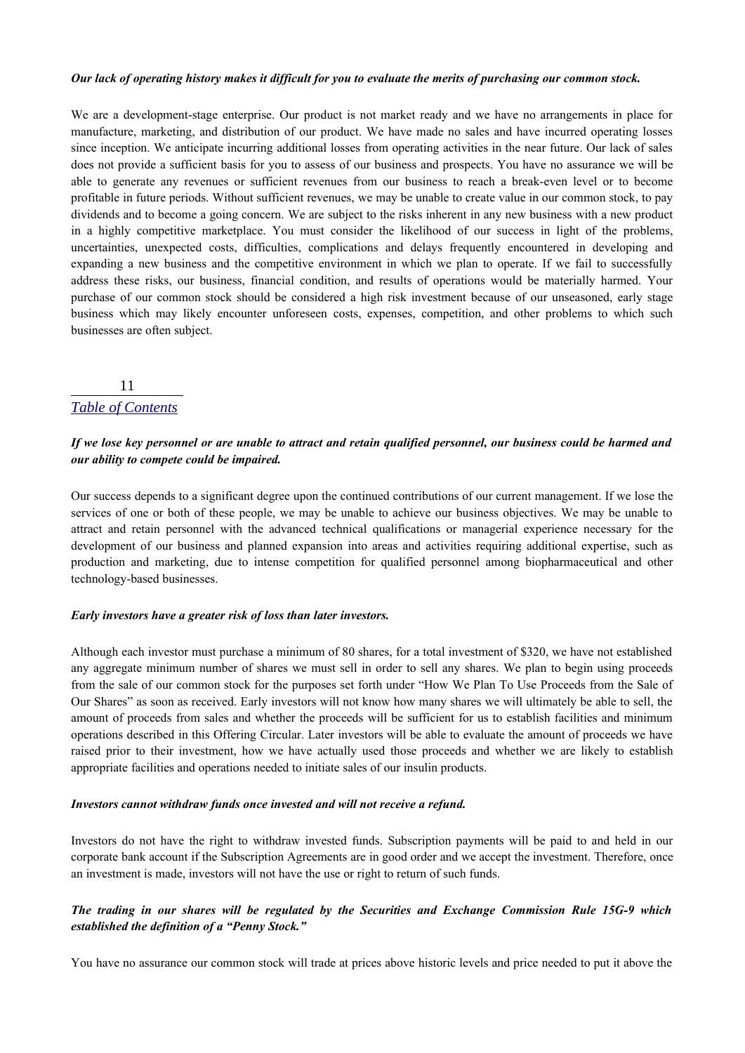#### *Our lack of operating history makes it difficult for you to evaluate the merits of purchasing our common stock.*

We are a development-stage enterprise. Our product is not market ready and we have no arrangements in place for manufacture, marketing, and distribution of our product. We have made no sales and have incurred operating losses since inception. We anticipate incurring additional losses from operating activities in the near future. Our lack of sales does not provide a sufficient basis for you to assess of our business and prospects. You have no assurance we will be able to generate any revenues or sufficient revenues from our business to reach a break-even level or to become profitable in future periods. Without sufficient revenues, we may be unable to create value in our common stock, to pay dividends and to become a going concern. We are subject to the risks inherent in any new business with a new product in a highly competitive marketplace. You must consider the likelihood of our success in light of the problems, uncertainties, unexpected costs, difficulties, complications and delays frequently encountered in developing and expanding a new business and the competitive environment in which we plan to operate. If we fail to successfully address these risks, our business, financial condition, and results of operations would be materially harmed. Your purchase of our common stock should be considered a high risk investment because of our unseasoned, early stage business which may likely encounter unforeseen costs, expenses, competition, and other problems to which such businesses are often subject.

#### 11

# *[Table of Contents](https://www.sec.gov/Archives/edgar/data/1834083/000147793220007068/biologx_1a.htm#toc)*

# *If we lose key personnel or are unable to attract and retain qualified personnel, our business could be harmed and our ability to compete could be impaired.*

Our success depends to a significant degree upon the continued contributions of our current management. If we lose the services of one or both of these people, we may be unable to achieve our business objectives. We may be unable to attract and retain personnel with the advanced technical qualifications or managerial experience necessary for the development of our business and planned expansion into areas and activities requiring additional expertise, such as production and marketing, due to intense competition for qualified personnel among biopharmaceutical and other technology-based businesses.

#### *Early investors have a greater risk of loss than later investors.*

Although each investor must purchase a minimum of 80 shares, for a total investment of \$320, we have not established any aggregate minimum number of shares we must sell in order to sell any shares. We plan to begin using proceeds from the sale of our common stock for the purposes set forth under "How We Plan To Use Proceeds from the Sale of Our Shares" as soon as received. Early investors will not know how many shares we will ultimately be able to sell, the amount of proceeds from sales and whether the proceeds will be sufficient for us to establish facilities and minimum operations described in this Offering Circular. Later investors will be able to evaluate the amount of proceeds we have raised prior to their investment, how we have actually used those proceeds and whether we are likely to establish appropriate facilities and operations needed to initiate sales of our insulin products.

#### *Investors cannot withdraw funds once invested and will not receive a refund.*

Investors do not have the right to withdraw invested funds. Subscription payments will be paid to and held in our corporate bank account if the Subscription Agreements are in good order and we accept the investment. Therefore, once an investment is made, investors will not have the use or right to return of such funds.

# *The trading in our shares will be regulated by the Securities and Exchange Commission Rule 15G-9 which established the definition of a "Penny Stock."*

You have no assurance our common stock will trade at prices above historic levels and price needed to put it above the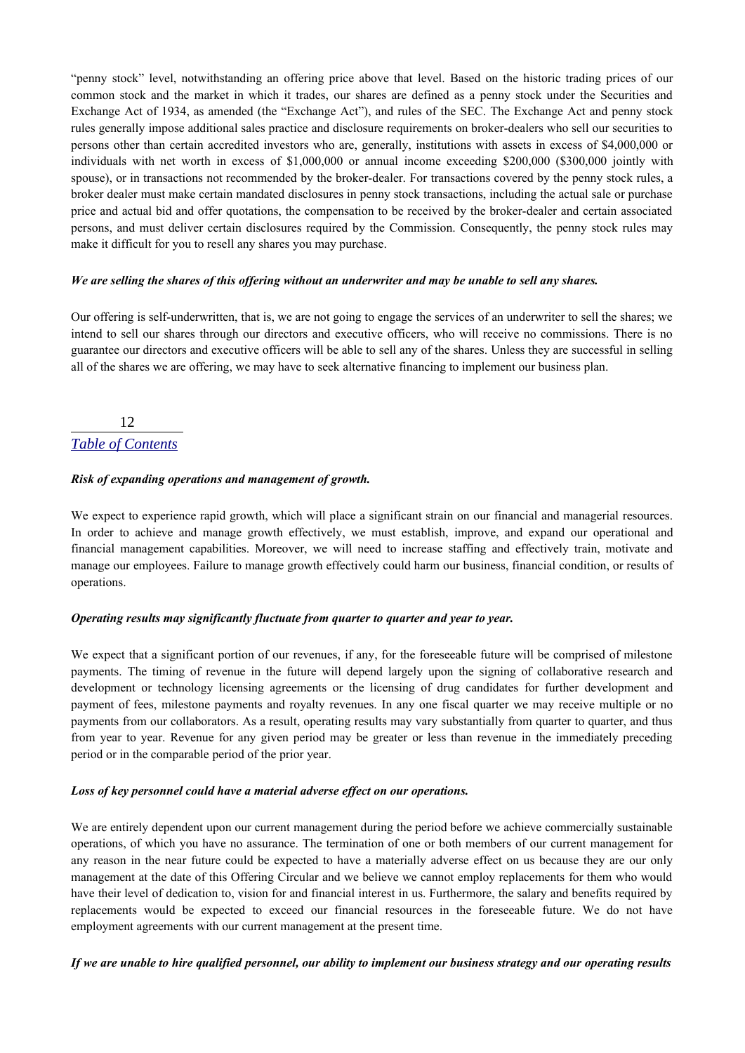"penny stock" level, notwithstanding an offering price above that level. Based on the historic trading prices of our common stock and the market in which it trades, our shares are defined as a penny stock under the Securities and Exchange Act of 1934, as amended (the "Exchange Act"), and rules of the SEC. The Exchange Act and penny stock rules generally impose additional sales practice and disclosure requirements on broker-dealers who sell our securities to persons other than certain accredited investors who are, generally, institutions with assets in excess of \$4,000,000 or individuals with net worth in excess of \$1,000,000 or annual income exceeding \$200,000 (\$300,000 jointly with spouse), or in transactions not recommended by the broker-dealer. For transactions covered by the penny stock rules, a broker dealer must make certain mandated disclosures in penny stock transactions, including the actual sale or purchase price and actual bid and offer quotations, the compensation to be received by the broker-dealer and certain associated persons, and must deliver certain disclosures required by the Commission. Consequently, the penny stock rules may make it difficult for you to resell any shares you may purchase.

#### *We are selling the shares of this offering without an underwriter and may be unable to sell any shares.*

Our offering is self-underwritten, that is, we are not going to engage the services of an underwriter to sell the shares; we intend to sell our shares through our directors and executive officers, who will receive no commissions. There is no guarantee our directors and executive officers will be able to sell any of the shares. Unless they are successful in selling all of the shares we are offering, we may have to seek alternative financing to implement our business plan.

# 12 *[Table of Contents](https://www.sec.gov/Archives/edgar/data/1834083/000147793220007068/biologx_1a.htm#toc)*

#### *Risk of expanding operations and management of growth.*

We expect to experience rapid growth, which will place a significant strain on our financial and managerial resources. In order to achieve and manage growth effectively, we must establish, improve, and expand our operational and financial management capabilities. Moreover, we will need to increase staffing and effectively train, motivate and manage our employees. Failure to manage growth effectively could harm our business, financial condition, or results of operations.

#### *Operating results may significantly fluctuate from quarter to quarter and year to year.*

We expect that a significant portion of our revenues, if any, for the foreseeable future will be comprised of milestone payments. The timing of revenue in the future will depend largely upon the signing of collaborative research and development or technology licensing agreements or the licensing of drug candidates for further development and payment of fees, milestone payments and royalty revenues. In any one fiscal quarter we may receive multiple or no payments from our collaborators. As a result, operating results may vary substantially from quarter to quarter, and thus from year to year. Revenue for any given period may be greater or less than revenue in the immediately preceding period or in the comparable period of the prior year.

#### *Loss of key personnel could have a material adverse effect on our operations.*

We are entirely dependent upon our current management during the period before we achieve commercially sustainable operations, of which you have no assurance. The termination of one or both members of our current management for any reason in the near future could be expected to have a materially adverse effect on us because they are our only management at the date of this Offering Circular and we believe we cannot employ replacements for them who would have their level of dedication to, vision for and financial interest in us. Furthermore, the salary and benefits required by replacements would be expected to exceed our financial resources in the foreseeable future. We do not have employment agreements with our current management at the present time.

#### *If we are unable to hire qualified personnel, our ability to implement our business strategy and our operating results*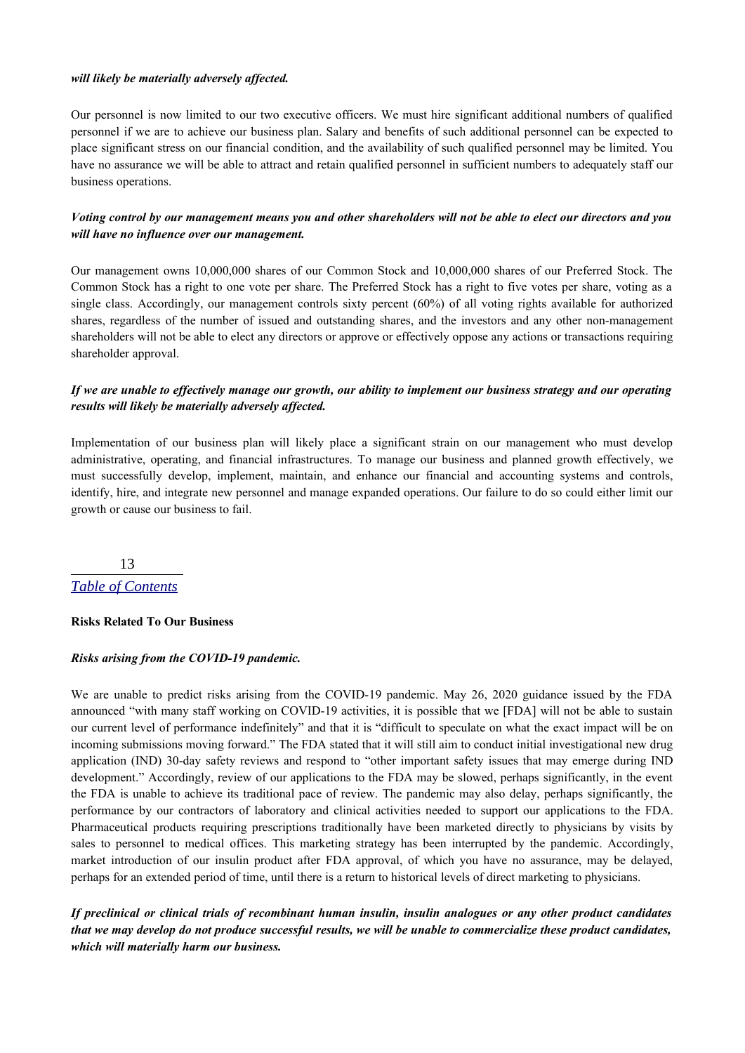#### *will likely be materially adversely affected.*

Our personnel is now limited to our two executive officers. We must hire significant additional numbers of qualified personnel if we are to achieve our business plan. Salary and benefits of such additional personnel can be expected to place significant stress on our financial condition, and the availability of such qualified personnel may be limited. You have no assurance we will be able to attract and retain qualified personnel in sufficient numbers to adequately staff our business operations.

#### *Voting control by our management means you and other shareholders will not be able to elect our directors and you will have no influence over our management.*

Our management owns 10,000,000 shares of our Common Stock and 10,000,000 shares of our Preferred Stock. The Common Stock has a right to one vote per share. The Preferred Stock has a right to five votes per share, voting as a single class. Accordingly, our management controls sixty percent (60%) of all voting rights available for authorized shares, regardless of the number of issued and outstanding shares, and the investors and any other non-management shareholders will not be able to elect any directors or approve or effectively oppose any actions or transactions requiring shareholder approval.

# *If we are unable to effectively manage our growth, our ability to implement our business strategy and our operating results will likely be materially adversely affected.*

Implementation of our business plan will likely place a significant strain on our management who must develop administrative, operating, and financial infrastructures. To manage our business and planned growth effectively, we must successfully develop, implement, maintain, and enhance our financial and accounting systems and controls, identify, hire, and integrate new personnel and manage expanded operations. Our failure to do so could either limit our growth or cause our business to fail.

# 13 *[Table of Contents](https://www.sec.gov/Archives/edgar/data/1834083/000147793220007068/biologx_1a.htm#toc)*

#### **Risks Related To Our Business**

#### *Risks arising from the COVID-19 pandemic.*

We are unable to predict risks arising from the COVID-19 pandemic. May 26, 2020 guidance issued by the FDA announced "with many staff working on COVID-19 activities, it is possible that we [FDA] will not be able to sustain our current level of performance indefinitely" and that it is "difficult to speculate on what the exact impact will be on incoming submissions moving forward." The FDA stated that it will still aim to conduct initial investigational new drug application (IND) 30-day safety reviews and respond to "other important safety issues that may emerge during IND development." Accordingly, review of our applications to the FDA may be slowed, perhaps significantly, in the event the FDA is unable to achieve its traditional pace of review. The pandemic may also delay, perhaps significantly, the performance by our contractors of laboratory and clinical activities needed to support our applications to the FDA. Pharmaceutical products requiring prescriptions traditionally have been marketed directly to physicians by visits by sales to personnel to medical offices. This marketing strategy has been interrupted by the pandemic. Accordingly, market introduction of our insulin product after FDA approval, of which you have no assurance, may be delayed, perhaps for an extended period of time, until there is a return to historical levels of direct marketing to physicians.

*If preclinical or clinical trials of recombinant human insulin, insulin analogues or any other product candidates that we may develop do not produce successful results, we will be unable to commercialize these product candidates, which will materially harm our business.*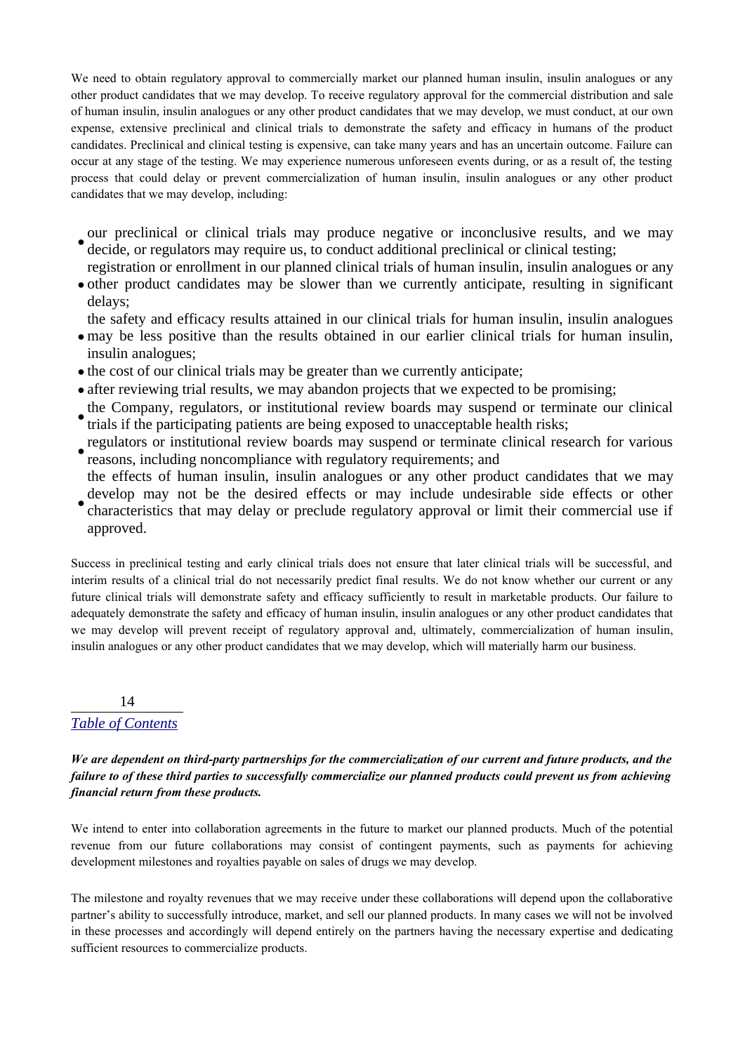We need to obtain regulatory approval to commercially market our planned human insulin, insulin analogues or any other product candidates that we may develop. To receive regulatory approval for the commercial distribution and sale of human insulin, insulin analogues or any other product candidates that we may develop, we must conduct, at our own expense, extensive preclinical and clinical trials to demonstrate the safety and efficacy in humans of the product candidates. Preclinical and clinical testing is expensive, can take many years and has an uncertain outcome. Failure can occur at any stage of the testing. We may experience numerous unforeseen events during, or as a result of, the testing process that could delay or prevent commercialization of human insulin, insulin analogues or any other product candidates that we may develop, including:

- our preclinical or clinical trials may produce negative or inconclusive results, and we may decide, or regulators may require us, to conduct additional preclinical or clinical testing;
- · other product candidates may be slower than we currently anticipate, resulting in significant registration or enrollment in our planned clinical trials of human insulin, insulin analogues or any delays;
	- the safety and efficacy results attained in our clinical trials for human insulin, insulin analogues
- · may be less positive than the results obtained in our earlier clinical trials for human insulin, insulin analogues;
- the cost of our clinical trials may be greater than we currently anticipate;
- after reviewing trial results, we may abandon projects that we expected to be promising;
- the Company, regulators, or institutional review boards may suspend or terminate our clinical<br>extricts if the porticipating patients are being supposed to upsesspatable boalth rights. trials if the participating patients are being exposed to unacceptable health risks;
- · regulators or institutional review boards may suspend or terminate clinical research for various reasons, including noncompliance with regulatory requirements; and
- · the effects of human insulin, insulin analogues or any other product candidates that we may develop may not be the desired effects or may include undesirable side effects or other characteristics that may delay or preclude regulatory approval or limit their commercial use if approved.

Success in preclinical testing and early clinical trials does not ensure that later clinical trials will be successful, and interim results of a clinical trial do not necessarily predict final results. We do not know whether our current or any future clinical trials will demonstrate safety and efficacy sufficiently to result in marketable products. Our failure to adequately demonstrate the safety and efficacy of human insulin, insulin analogues or any other product candidates that we may develop will prevent receipt of regulatory approval and, ultimately, commercialization of human insulin, insulin analogues or any other product candidates that we may develop, which will materially harm our business.

# 14

# *[Table of Contents](https://www.sec.gov/Archives/edgar/data/1834083/000147793220007068/biologx_1a.htm#toc)*

*We are dependent on third-party partnerships for the commercialization of our current and future products, and the failure to of these third parties to successfully commercialize our planned products could prevent us from achieving financial return from these products.*

We intend to enter into collaboration agreements in the future to market our planned products. Much of the potential revenue from our future collaborations may consist of contingent payments, such as payments for achieving development milestones and royalties payable on sales of drugs we may develop.

The milestone and royalty revenues that we may receive under these collaborations will depend upon the collaborative partner's ability to successfully introduce, market, and sell our planned products. In many cases we will not be involved in these processes and accordingly will depend entirely on the partners having the necessary expertise and dedicating sufficient resources to commercialize products.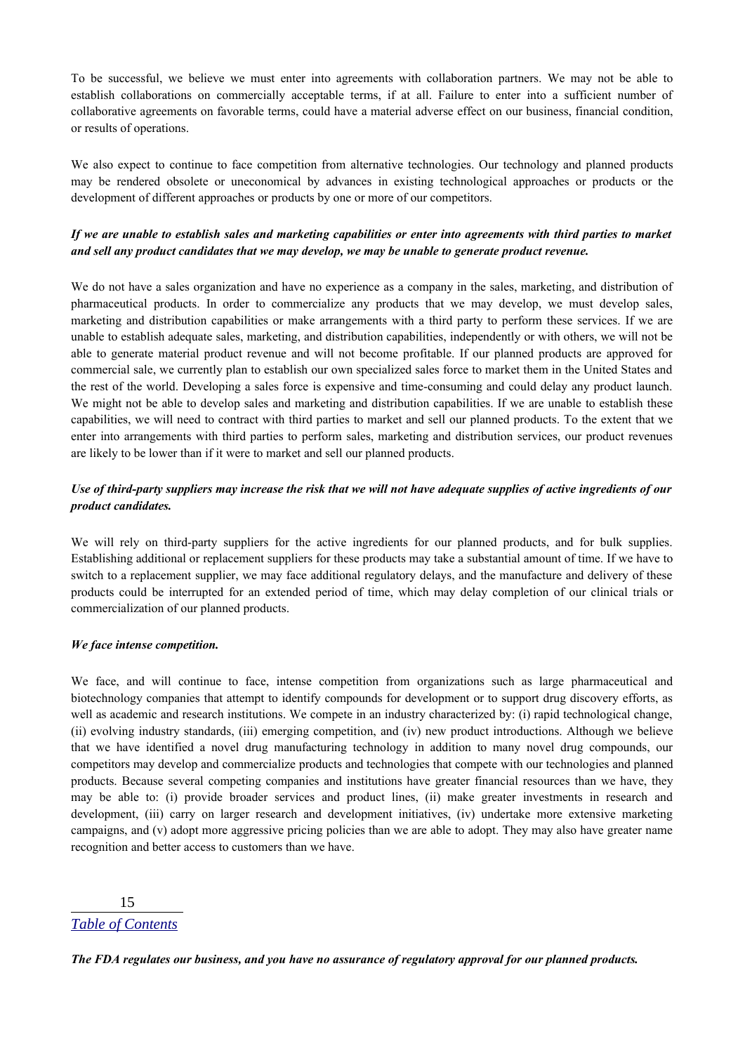To be successful, we believe we must enter into agreements with collaboration partners. We may not be able to establish collaborations on commercially acceptable terms, if at all. Failure to enter into a sufficient number of collaborative agreements on favorable terms, could have a material adverse effect on our business, financial condition, or results of operations.

We also expect to continue to face competition from alternative technologies. Our technology and planned products may be rendered obsolete or uneconomical by advances in existing technological approaches or products or the development of different approaches or products by one or more of our competitors.

# *If we are unable to establish sales and marketing capabilities or enter into agreements with third parties to market and sell any product candidates that we may develop, we may be unable to generate product revenue.*

We do not have a sales organization and have no experience as a company in the sales, marketing, and distribution of pharmaceutical products. In order to commercialize any products that we may develop, we must develop sales, marketing and distribution capabilities or make arrangements with a third party to perform these services. If we are unable to establish adequate sales, marketing, and distribution capabilities, independently or with others, we will not be able to generate material product revenue and will not become profitable. If our planned products are approved for commercial sale, we currently plan to establish our own specialized sales force to market them in the United States and the rest of the world. Developing a sales force is expensive and time-consuming and could delay any product launch. We might not be able to develop sales and marketing and distribution capabilities. If we are unable to establish these capabilities, we will need to contract with third parties to market and sell our planned products. To the extent that we enter into arrangements with third parties to perform sales, marketing and distribution services, our product revenues are likely to be lower than if it were to market and sell our planned products.

# *Use of third-party suppliers may increase the risk that we will not have adequate supplies of active ingredients of our product candidates.*

We will rely on third-party suppliers for the active ingredients for our planned products, and for bulk supplies. Establishing additional or replacement suppliers for these products may take a substantial amount of time. If we have to switch to a replacement supplier, we may face additional regulatory delays, and the manufacture and delivery of these products could be interrupted for an extended period of time, which may delay completion of our clinical trials or commercialization of our planned products.

#### *We face intense competition.*

We face, and will continue to face, intense competition from organizations such as large pharmaceutical and biotechnology companies that attempt to identify compounds for development or to support drug discovery efforts, as well as academic and research institutions. We compete in an industry characterized by: (i) rapid technological change, (ii) evolving industry standards, (iii) emerging competition, and (iv) new product introductions. Although we believe that we have identified a novel drug manufacturing technology in addition to many novel drug compounds, our competitors may develop and commercialize products and technologies that compete with our technologies and planned products. Because several competing companies and institutions have greater financial resources than we have, they may be able to: (i) provide broader services and product lines, (ii) make greater investments in research and development, (iii) carry on larger research and development initiatives, (iv) undertake more extensive marketing campaigns, and (v) adopt more aggressive pricing policies than we are able to adopt. They may also have greater name recognition and better access to customers than we have.

15 *[Table of Contents](https://www.sec.gov/Archives/edgar/data/1834083/000147793220007068/biologx_1a.htm#toc)*

*The FDA regulates our business, and you have no assurance of regulatory approval for our planned products.*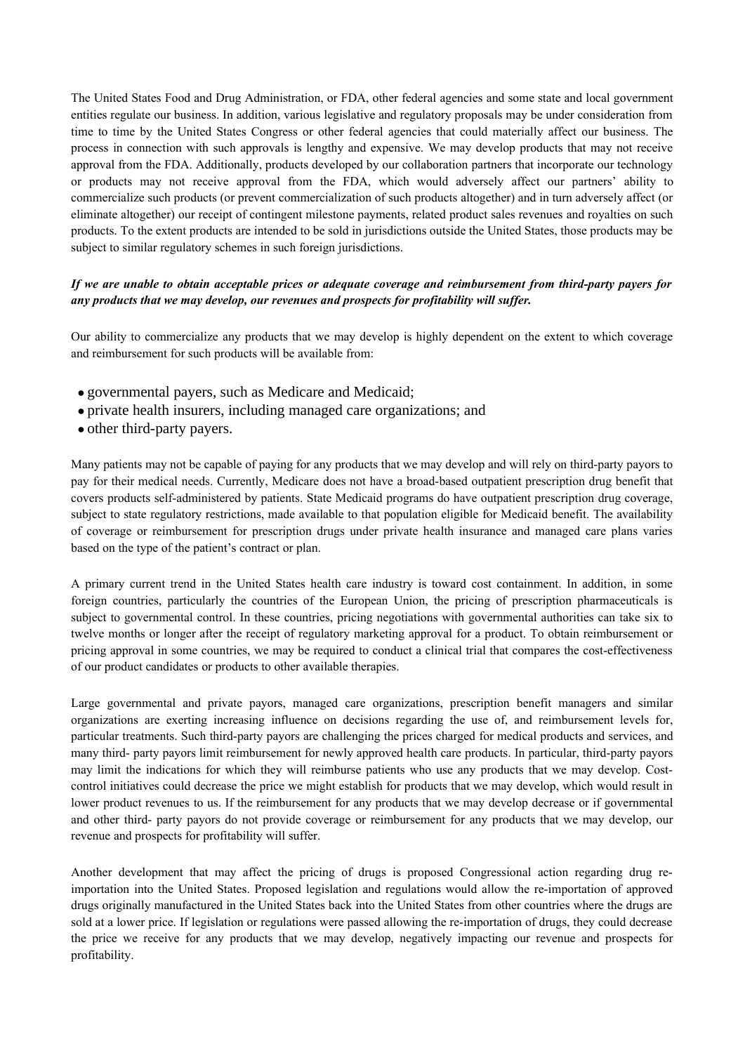The United States Food and Drug Administration, or FDA, other federal agencies and some state and local government entities regulate our business. In addition, various legislative and regulatory proposals may be under consideration from time to time by the United States Congress or other federal agencies that could materially affect our business. The process in connection with such approvals is lengthy and expensive. We may develop products that may not receive approval from the FDA. Additionally, products developed by our collaboration partners that incorporate our technology or products may not receive approval from the FDA, which would adversely affect our partners' ability to commercialize such products (or prevent commercialization of such products altogether) and in turn adversely affect (or eliminate altogether) our receipt of contingent milestone payments, related product sales revenues and royalties on such products. To the extent products are intended to be sold in jurisdictions outside the United States, those products may be subject to similar regulatory schemes in such foreign jurisdictions.

# *If we are unable to obtain acceptable prices or adequate coverage and reimbursement from third-party payers for any products that we may develop, our revenues and prospects for profitability will suffer.*

Our ability to commercialize any products that we may develop is highly dependent on the extent to which coverage and reimbursement for such products will be available from:

- · governmental payers, such as Medicare and Medicaid;
- · private health insurers, including managed care organizations; and
- · other third-party payers.

Many patients may not be capable of paying for any products that we may develop and will rely on third-party payors to pay for their medical needs. Currently, Medicare does not have a broad-based outpatient prescription drug benefit that covers products self-administered by patients. State Medicaid programs do have outpatient prescription drug coverage, subject to state regulatory restrictions, made available to that population eligible for Medicaid benefit. The availability of coverage or reimbursement for prescription drugs under private health insurance and managed care plans varies based on the type of the patient's contract or plan.

A primary current trend in the United States health care industry is toward cost containment. In addition, in some foreign countries, particularly the countries of the European Union, the pricing of prescription pharmaceuticals is subject to governmental control. In these countries, pricing negotiations with governmental authorities can take six to twelve months or longer after the receipt of regulatory marketing approval for a product. To obtain reimbursement or pricing approval in some countries, we may be required to conduct a clinical trial that compares the cost-effectiveness of our product candidates or products to other available therapies.

Large governmental and private payors, managed care organizations, prescription benefit managers and similar organizations are exerting increasing influence on decisions regarding the use of, and reimbursement levels for, particular treatments. Such third-party payors are challenging the prices charged for medical products and services, and many third- party payors limit reimbursement for newly approved health care products. In particular, third-party payors may limit the indications for which they will reimburse patients who use any products that we may develop. Costcontrol initiatives could decrease the price we might establish for products that we may develop, which would result in lower product revenues to us. If the reimbursement for any products that we may develop decrease or if governmental and other third- party payors do not provide coverage or reimbursement for any products that we may develop, our revenue and prospects for profitability will suffer.

Another development that may affect the pricing of drugs is proposed Congressional action regarding drug reimportation into the United States. Proposed legislation and regulations would allow the re-importation of approved drugs originally manufactured in the United States back into the United States from other countries where the drugs are sold at a lower price. If legislation or regulations were passed allowing the re-importation of drugs, they could decrease the price we receive for any products that we may develop, negatively impacting our revenue and prospects for profitability.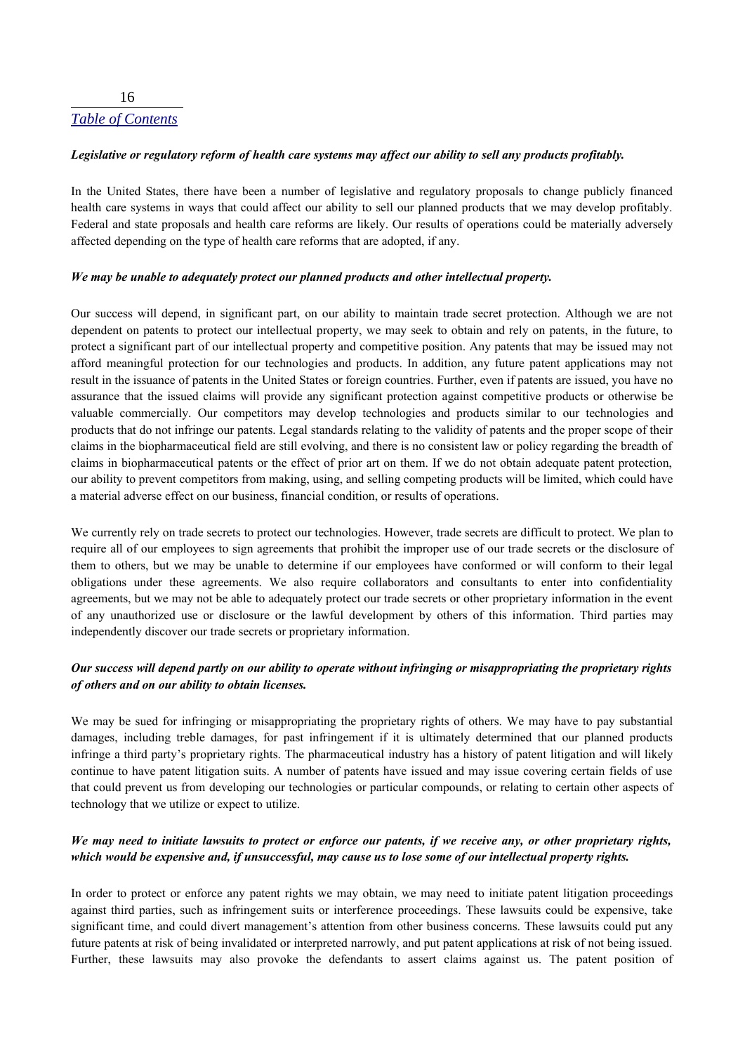# 16 *[Table of Contents](https://www.sec.gov/Archives/edgar/data/1834083/000147793220007068/biologx_1a.htm#toc)*

#### *Legislative or regulatory reform of health care systems may affect our ability to sell any products profitably.*

In the United States, there have been a number of legislative and regulatory proposals to change publicly financed health care systems in ways that could affect our ability to sell our planned products that we may develop profitably. Federal and state proposals and health care reforms are likely. Our results of operations could be materially adversely affected depending on the type of health care reforms that are adopted, if any.

#### *We may be unable to adequately protect our planned products and other intellectual property.*

Our success will depend, in significant part, on our ability to maintain trade secret protection. Although we are not dependent on patents to protect our intellectual property, we may seek to obtain and rely on patents, in the future, to protect a significant part of our intellectual property and competitive position. Any patents that may be issued may not afford meaningful protection for our technologies and products. In addition, any future patent applications may not result in the issuance of patents in the United States or foreign countries. Further, even if patents are issued, you have no assurance that the issued claims will provide any significant protection against competitive products or otherwise be valuable commercially. Our competitors may develop technologies and products similar to our technologies and products that do not infringe our patents. Legal standards relating to the validity of patents and the proper scope of their claims in the biopharmaceutical field are still evolving, and there is no consistent law or policy regarding the breadth of claims in biopharmaceutical patents or the effect of prior art on them. If we do not obtain adequate patent protection, our ability to prevent competitors from making, using, and selling competing products will be limited, which could have a material adverse effect on our business, financial condition, or results of operations.

We currently rely on trade secrets to protect our technologies. However, trade secrets are difficult to protect. We plan to require all of our employees to sign agreements that prohibit the improper use of our trade secrets or the disclosure of them to others, but we may be unable to determine if our employees have conformed or will conform to their legal obligations under these agreements. We also require collaborators and consultants to enter into confidentiality agreements, but we may not be able to adequately protect our trade secrets or other proprietary information in the event of any unauthorized use or disclosure or the lawful development by others of this information. Third parties may independently discover our trade secrets or proprietary information.

# *Our success will depend partly on our ability to operate without infringing or misappropriating the proprietary rights of others and on our ability to obtain licenses.*

We may be sued for infringing or misappropriating the proprietary rights of others. We may have to pay substantial damages, including treble damages, for past infringement if it is ultimately determined that our planned products infringe a third party's proprietary rights. The pharmaceutical industry has a history of patent litigation and will likely continue to have patent litigation suits. A number of patents have issued and may issue covering certain fields of use that could prevent us from developing our technologies or particular compounds, or relating to certain other aspects of technology that we utilize or expect to utilize.

# *We may need to initiate lawsuits to protect or enforce our patents, if we receive any, or other proprietary rights, which would be expensive and, if unsuccessful, may cause us to lose some of our intellectual property rights.*

In order to protect or enforce any patent rights we may obtain, we may need to initiate patent litigation proceedings against third parties, such as infringement suits or interference proceedings. These lawsuits could be expensive, take significant time, and could divert management's attention from other business concerns. These lawsuits could put any future patents at risk of being invalidated or interpreted narrowly, and put patent applications at risk of not being issued. Further, these lawsuits may also provoke the defendants to assert claims against us. The patent position of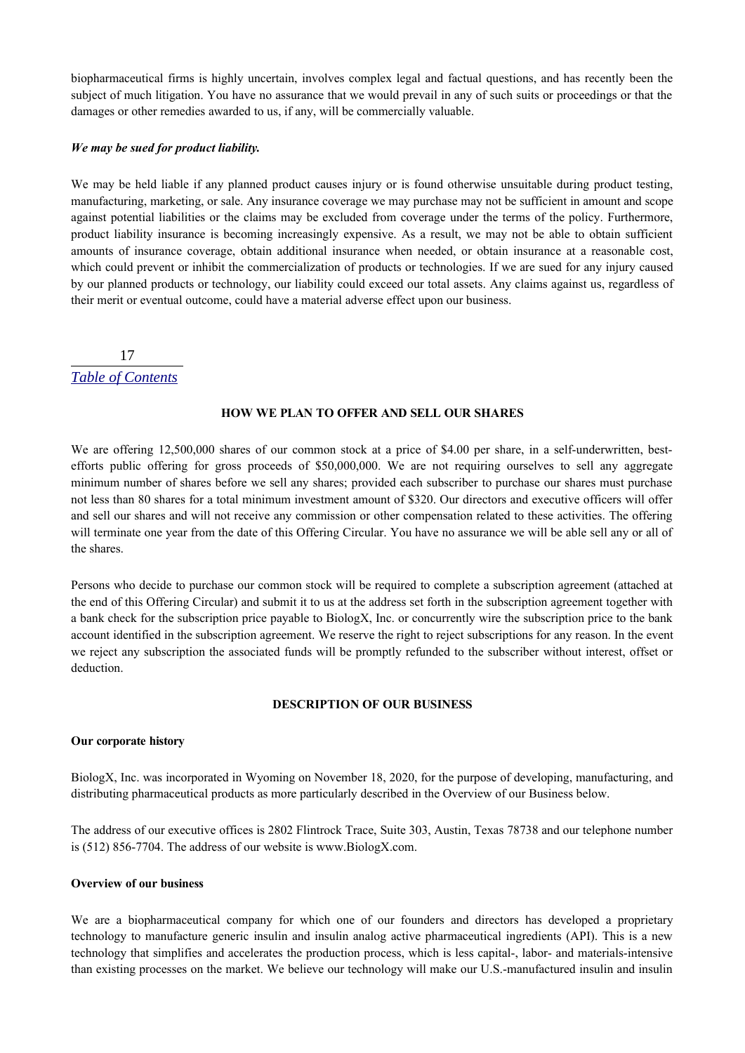biopharmaceutical firms is highly uncertain, involves complex legal and factual questions, and has recently been the subject of much litigation. You have no assurance that we would prevail in any of such suits or proceedings or that the damages or other remedies awarded to us, if any, will be commercially valuable.

#### *We may be sued for product liability.*

We may be held liable if any planned product causes injury or is found otherwise unsuitable during product testing, manufacturing, marketing, or sale. Any insurance coverage we may purchase may not be sufficient in amount and scope against potential liabilities or the claims may be excluded from coverage under the terms of the policy. Furthermore, product liability insurance is becoming increasingly expensive. As a result, we may not be able to obtain sufficient amounts of insurance coverage, obtain additional insurance when needed, or obtain insurance at a reasonable cost, which could prevent or inhibit the commercialization of products or technologies. If we are sued for any injury caused by our planned products or technology, our liability could exceed our total assets. Any claims against us, regardless of their merit or eventual outcome, could have a material adverse effect upon our business.

17 *[Table of Contents](https://www.sec.gov/Archives/edgar/data/1834083/000147793220007068/biologx_1a.htm#toc)*

#### **HOW WE PLAN TO OFFER AND SELL OUR SHARES**

We are offering 12,500,000 shares of our common stock at a price of \$4.00 per share, in a self-underwritten, bestefforts public offering for gross proceeds of \$50,000,000. We are not requiring ourselves to sell any aggregate minimum number of shares before we sell any shares; provided each subscriber to purchase our shares must purchase not less than 80 shares for a total minimum investment amount of \$320. Our directors and executive officers will offer and sell our shares and will not receive any commission or other compensation related to these activities. The offering will terminate one year from the date of this Offering Circular. You have no assurance we will be able sell any or all of the shares.

Persons who decide to purchase our common stock will be required to complete a subscription agreement (attached at the end of this Offering Circular) and submit it to us at the address set forth in the subscription agreement together with a bank check for the subscription price payable to BiologX, Inc. or concurrently wire the subscription price to the bank account identified in the subscription agreement. We reserve the right to reject subscriptions for any reason. In the event we reject any subscription the associated funds will be promptly refunded to the subscriber without interest, offset or deduction.

#### **DESCRIPTION OF OUR BUSINESS**

#### **Our corporate history**

BiologX, Inc. was incorporated in Wyoming on November 18, 2020, for the purpose of developing, manufacturing, and distributing pharmaceutical products as more particularly described in the Overview of our Business below.

The address of our executive offices is 2802 Flintrock Trace, Suite 303, Austin, Texas 78738 and our telephone number is (512) 856-7704. The address of our website is www.BiologX.com.

#### **Overview of our business**

We are a biopharmaceutical company for which one of our founders and directors has developed a proprietary technology to manufacture generic insulin and insulin analog active pharmaceutical ingredients (API). This is a new technology that simplifies and accelerates the production process, which is less capital-, labor- and materials-intensive than existing processes on the market. We believe our technology will make our U.S.-manufactured insulin and insulin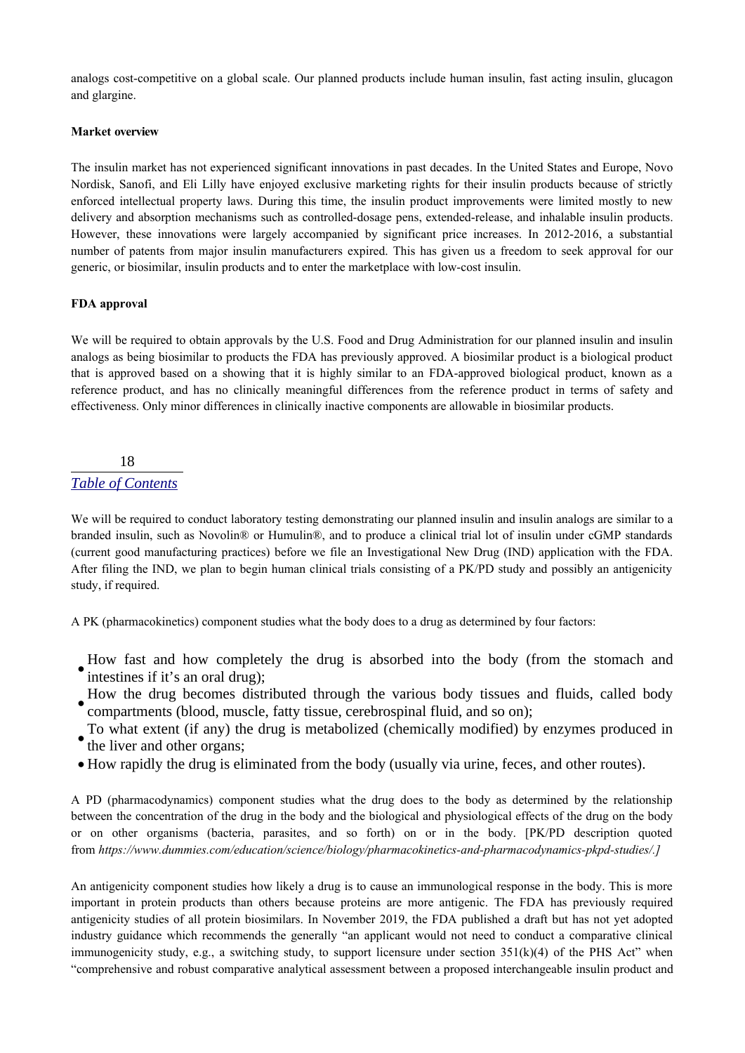analogs cost-competitive on a global scale. Our planned products include human insulin, fast acting insulin, glucagon and glargine.

#### **Market overview**

The insulin market has not experienced significant innovations in past decades. In the United States and Europe, Novo Nordisk, Sanofi, and Eli Lilly have enjoyed exclusive marketing rights for their insulin products because of strictly enforced intellectual property laws. During this time, the insulin product improvements were limited mostly to new delivery and absorption mechanisms such as controlled-dosage pens, extended-release, and inhalable insulin products. However, these innovations were largely accompanied by significant price increases. In 2012-2016, a substantial number of patents from major insulin manufacturers expired. This has given us a freedom to seek approval for our generic, or biosimilar, insulin products and to enter the marketplace with low-cost insulin.

#### **FDA approval**

We will be required to obtain approvals by the U.S. Food and Drug Administration for our planned insulin and insulin analogs as being biosimilar to products the FDA has previously approved. A biosimilar product is a biological product that is approved based on a showing that it is highly similar to an FDA-approved biological product, known as a reference product, and has no clinically meaningful differences from the reference product in terms of safety and effectiveness. Only minor differences in clinically inactive components are allowable in biosimilar products.

# 18 *[Table of Contents](https://www.sec.gov/Archives/edgar/data/1834083/000147793220007068/biologx_1a.htm#toc)*

We will be required to conduct laboratory testing demonstrating our planned insulin and insulin analogs are similar to a branded insulin, such as Novolin® or Humulin®, and to produce a clinical trial lot of insulin under cGMP standards (current good manufacturing practices) before we file an Investigational New Drug (IND) application with the FDA. After filing the IND, we plan to begin human clinical trials consisting of a PK/PD study and possibly an antigenicity study, if required.

A PK (pharmacokinetics) component studies what the body does to a drug as determined by four factors:

- intestines if it's an oral drug); How fast and how completely the drug is absorbed into the body (from the stomach and
- How the drug becomes distributed through the various body tissues and fluids, called body compartments (blood, muscle, fatty tissue, cerebrospinal fluid, and so on);
- To what extent (if any) the drug is metabolized (chemically modified) by enzymes produced in<br>
the liver and other exame: the liver and other organs;
- · How rapidly the drug is eliminated from the body (usually via urine, feces, and other routes).

A PD (pharmacodynamics) component studies what the drug does to the body as determined by the relationship between the concentration of the drug in the body and the biological and physiological effects of the drug on the body or on other organisms (bacteria, parasites, and so forth) on or in the body. [PK/PD description quoted from *https://www.dummies.com/education/science/biology/pharmacokinetics-and-pharmacodynamics-pkpd-studies/.]*

An antigenicity component studies how likely a drug is to cause an immunological response in the body. This is more important in protein products than others because proteins are more antigenic. The FDA has previously required antigenicity studies of all protein biosimilars. In November 2019, the FDA published a draft but has not yet adopted industry guidance which recommends the generally "an applicant would not need to conduct a comparative clinical immunogenicity study, e.g., a switching study, to support licensure under section 351(k)(4) of the PHS Act" when "comprehensive and robust comparative analytical assessment between a proposed interchangeable insulin product and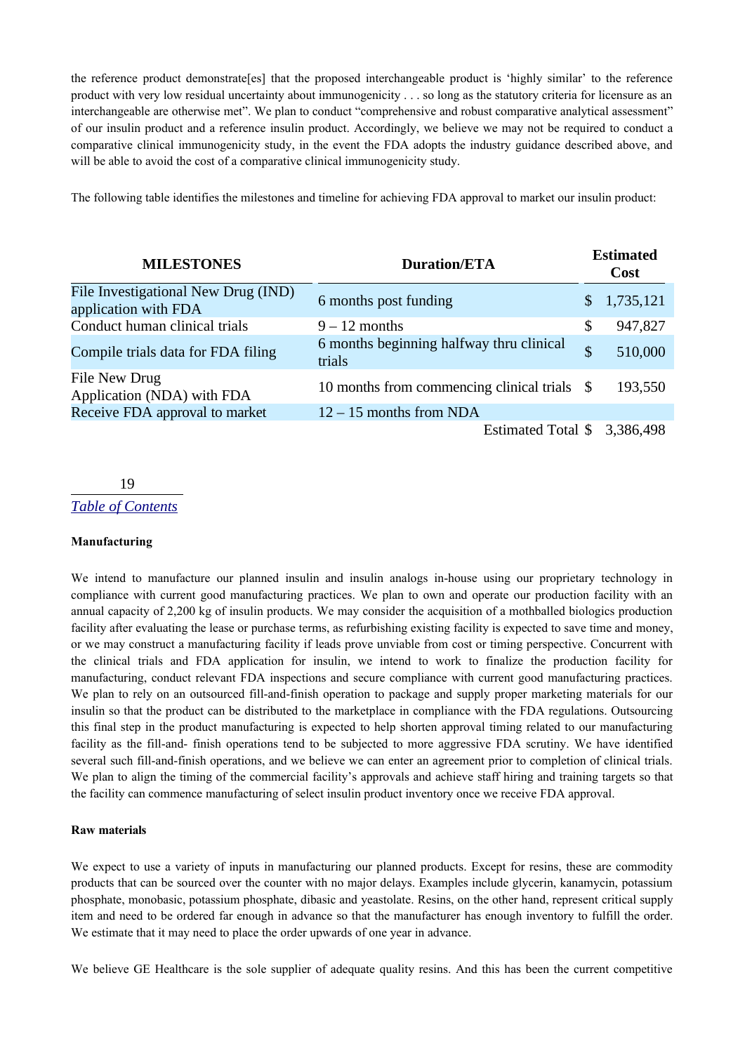the reference product demonstrate[es] that the proposed interchangeable product is 'highly similar' to the reference product with very low residual uncertainty about immunogenicity . . . so long as the statutory criteria for licensure as an interchangeable are otherwise met". We plan to conduct "comprehensive and robust comparative analytical assessment" of our insulin product and a reference insulin product. Accordingly, we believe we may not be required to conduct a comparative clinical immunogenicity study, in the event the FDA adopts the industry guidance described above, and will be able to avoid the cost of a comparative clinical immunogenicity study.

The following table identifies the milestones and timeline for achieving FDA approval to market our insulin product:

| <b>MILESTONES</b>                                           | <b>Duration/ETA</b>                                |              | <b>Estimated</b><br>Cost |
|-------------------------------------------------------------|----------------------------------------------------|--------------|--------------------------|
| File Investigational New Drug (IND)<br>application with FDA | 6 months post funding                              | S.           | 1,735,121                |
| Conduct human clinical trials                               | $9 - 12$ months                                    | \$           | 947,827                  |
| Compile trials data for FDA filing                          | 6 months beginning halfway thru clinical<br>trials | $\mathbb{S}$ | 510,000                  |
| File New Drug<br>Application (NDA) with FDA                 | 10 months from commencing clinical trials \$       |              | 193,550                  |
| Receive FDA approval to market                              | $12 - 15$ months from NDA                          |              |                          |

Estimated Total \$ 3,386,498

#### 19

#### *[Table of Contents](https://www.sec.gov/Archives/edgar/data/1834083/000147793220007068/biologx_1a.htm#toc)*

#### **Manufacturing**

We intend to manufacture our planned insulin and insulin analogs in-house using our proprietary technology in compliance with current good manufacturing practices. We plan to own and operate our production facility with an annual capacity of 2,200 kg of insulin products. We may consider the acquisition of a mothballed biologics production facility after evaluating the lease or purchase terms, as refurbishing existing facility is expected to save time and money, or we may construct a manufacturing facility if leads prove unviable from cost or timing perspective. Concurrent with the clinical trials and FDA application for insulin, we intend to work to finalize the production facility for manufacturing, conduct relevant FDA inspections and secure compliance with current good manufacturing practices. We plan to rely on an outsourced fill-and-finish operation to package and supply proper marketing materials for our insulin so that the product can be distributed to the marketplace in compliance with the FDA regulations. Outsourcing this final step in the product manufacturing is expected to help shorten approval timing related to our manufacturing facility as the fill-and- finish operations tend to be subjected to more aggressive FDA scrutiny. We have identified several such fill-and-finish operations, and we believe we can enter an agreement prior to completion of clinical trials. We plan to align the timing of the commercial facility's approvals and achieve staff hiring and training targets so that the facility can commence manufacturing of select insulin product inventory once we receive FDA approval.

#### **Raw materials**

We expect to use a variety of inputs in manufacturing our planned products. Except for resins, these are commodity products that can be sourced over the counter with no major delays. Examples include glycerin, kanamycin, potassium phosphate, monobasic, potassium phosphate, dibasic and yeastolate. Resins, on the other hand, represent critical supply item and need to be ordered far enough in advance so that the manufacturer has enough inventory to fulfill the order. We estimate that it may need to place the order upwards of one year in advance.

We believe GE Healthcare is the sole supplier of adequate quality resins. And this has been the current competitive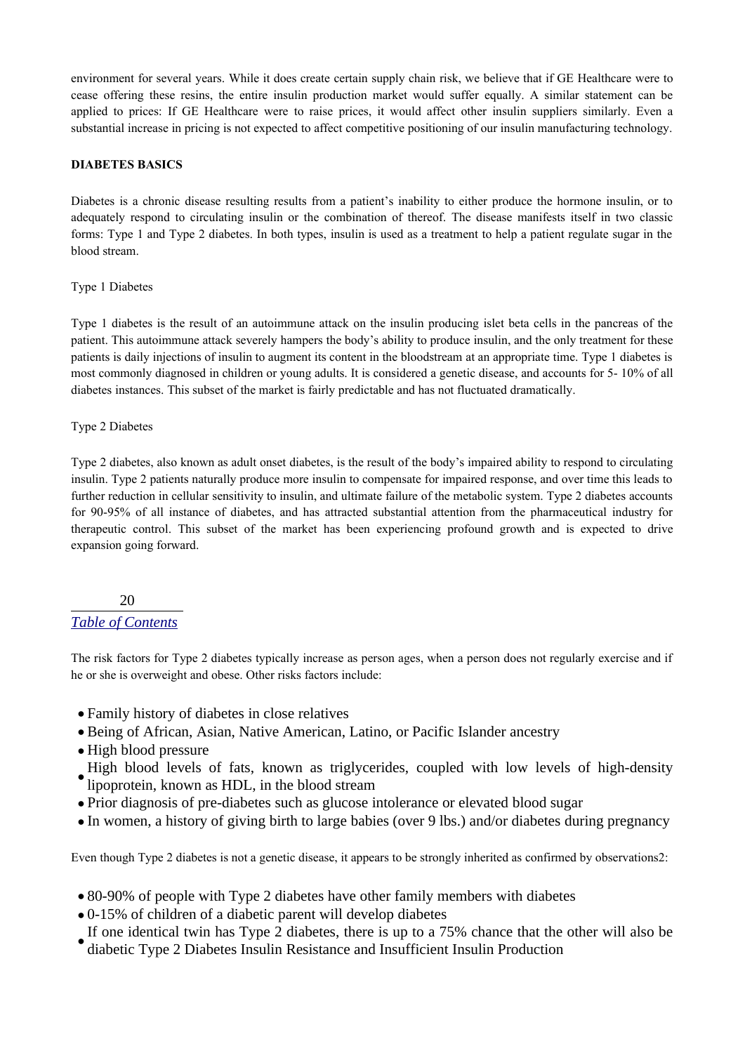environment for several years. While it does create certain supply chain risk, we believe that if GE Healthcare were to cease offering these resins, the entire insulin production market would suffer equally. A similar statement can be applied to prices: If GE Healthcare were to raise prices, it would affect other insulin suppliers similarly. Even a substantial increase in pricing is not expected to affect competitive positioning of our insulin manufacturing technology.

### **DIABETES BASICS**

Diabetes is a chronic disease resulting results from a patient's inability to either produce the hormone insulin, or to adequately respond to circulating insulin or the combination of thereof. The disease manifests itself in two classic forms: Type 1 and Type 2 diabetes. In both types, insulin is used as a treatment to help a patient regulate sugar in the blood stream.

#### Type 1 Diabetes

Type 1 diabetes is the result of an autoimmune attack on the insulin producing islet beta cells in the pancreas of the patient. This autoimmune attack severely hampers the body's ability to produce insulin, and the only treatment for these patients is daily injections of insulin to augment its content in the bloodstream at an appropriate time. Type 1 diabetes is most commonly diagnosed in children or young adults. It is considered a genetic disease, and accounts for 5- 10% of all diabetes instances. This subset of the market is fairly predictable and has not fluctuated dramatically.

#### Type 2 Diabetes

Type 2 diabetes, also known as adult onset diabetes, is the result of the body's impaired ability to respond to circulating insulin. Type 2 patients naturally produce more insulin to compensate for impaired response, and over time this leads to further reduction in cellular sensitivity to insulin, and ultimate failure of the metabolic system. Type 2 diabetes accounts for 90-95% of all instance of diabetes, and has attracted substantial attention from the pharmaceutical industry for therapeutic control. This subset of the market has been experiencing profound growth and is expected to drive expansion going forward.

## 20

# *[Table of Contents](https://www.sec.gov/Archives/edgar/data/1834083/000147793220007068/biologx_1a.htm#toc)*

The risk factors for Type 2 diabetes typically increase as person ages, when a person does not regularly exercise and if he or she is overweight and obese. Other risks factors include:

- · Family history of diabetes in close relatives
- · Being of African, Asian, Native American, Latino, or Pacific Islander ancestry
- · High blood pressure
- If the blood revers of fats, known as triglyce lipoprotein, known as HDL, in the blood stream High blood levels of fats, known as triglycerides, coupled with low levels of high-density
- · Prior diagnosis of pre-diabetes such as glucose intolerance or elevated blood sugar
- · In women, a history of giving birth to large babies (over 9 lbs.) and/or diabetes during pregnancy

Even though Type 2 diabetes is not a genetic disease, it appears to be strongly inherited as confirmed by observations2:

- · 80-90% of people with Type 2 diabetes have other family members with diabetes
- · 0-15% of children of a diabetic parent will develop diabetes
- · If one identical twin has Type 2 diabetes, there is up to a 75% chance that the other will also be
- diabetic Type 2 Diabetes Insulin Resistance and Insufficient Insulin Production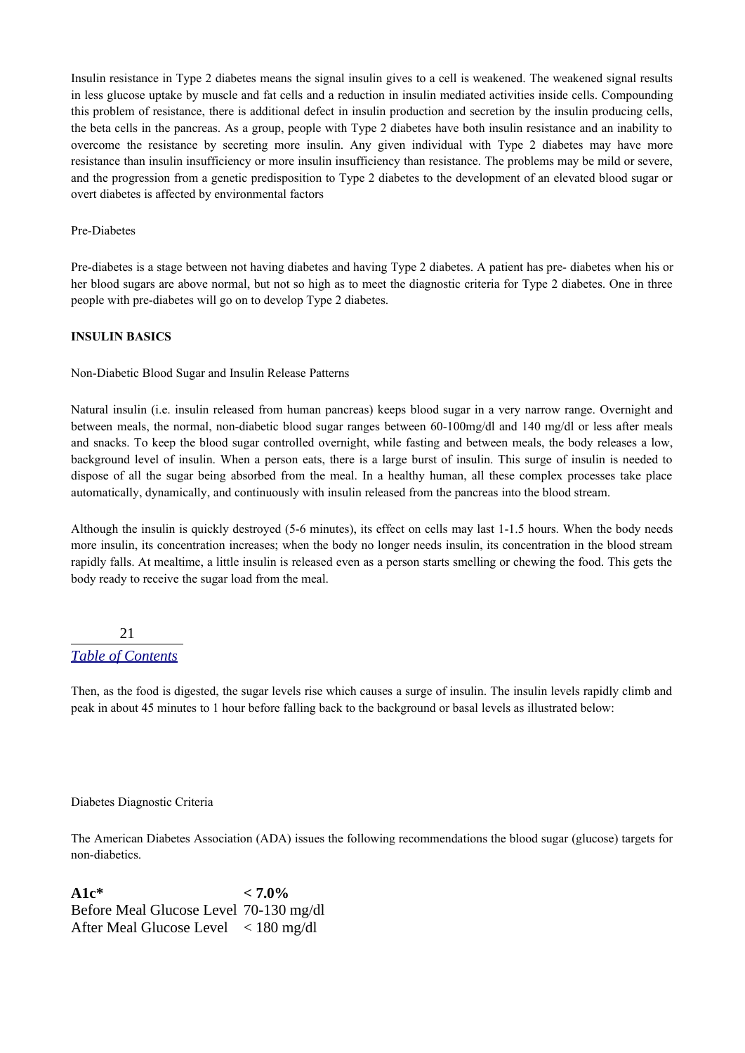Insulin resistance in Type 2 diabetes means the signal insulin gives to a cell is weakened. The weakened signal results in less glucose uptake by muscle and fat cells and a reduction in insulin mediated activities inside cells. Compounding this problem of resistance, there is additional defect in insulin production and secretion by the insulin producing cells, the beta cells in the pancreas. As a group, people with Type 2 diabetes have both insulin resistance and an inability to overcome the resistance by secreting more insulin. Any given individual with Type 2 diabetes may have more resistance than insulin insufficiency or more insulin insufficiency than resistance. The problems may be mild or severe, and the progression from a genetic predisposition to Type 2 diabetes to the development of an elevated blood sugar or overt diabetes is affected by environmental factors

#### Pre-Diabetes

Pre-diabetes is a stage between not having diabetes and having Type 2 diabetes. A patient has pre- diabetes when his or her blood sugars are above normal, but not so high as to meet the diagnostic criteria for Type 2 diabetes. One in three people with pre-diabetes will go on to develop Type 2 diabetes.

#### **INSULIN BASICS**

Non-Diabetic Blood Sugar and Insulin Release Patterns

Natural insulin (i.e. insulin released from human pancreas) keeps blood sugar in a very narrow range. Overnight and between meals, the normal, non-diabetic blood sugar ranges between 60-100mg/dl and 140 mg/dl or less after meals and snacks. To keep the blood sugar controlled overnight, while fasting and between meals, the body releases a low, background level of insulin. When a person eats, there is a large burst of insulin. This surge of insulin is needed to dispose of all the sugar being absorbed from the meal. In a healthy human, all these complex processes take place automatically, dynamically, and continuously with insulin released from the pancreas into the blood stream.

Although the insulin is quickly destroyed (5-6 minutes), its effect on cells may last 1-1.5 hours. When the body needs more insulin, its concentration increases; when the body no longer needs insulin, its concentration in the blood stream rapidly falls. At mealtime, a little insulin is released even as a person starts smelling or chewing the food. This gets the body ready to receive the sugar load from the meal.

#### 21

# *[Table of Contents](https://www.sec.gov/Archives/edgar/data/1834083/000147793220007068/biologx_1a.htm#toc)*

Then, as the food is digested, the sugar levels rise which causes a surge of insulin. The insulin levels rapidly climb and peak in about 45 minutes to 1 hour before falling back to the background or basal levels as illustrated below:

#### Diabetes Diagnostic Criteria

The American Diabetes Association (ADA) issues the following recommendations the blood sugar (glucose) targets for non-diabetics.

 $A1c^*$   $\leq 7.0\%$ Before Meal Glucose Level 70-130 mg/dl After Meal Glucose Level < 180 mg/dl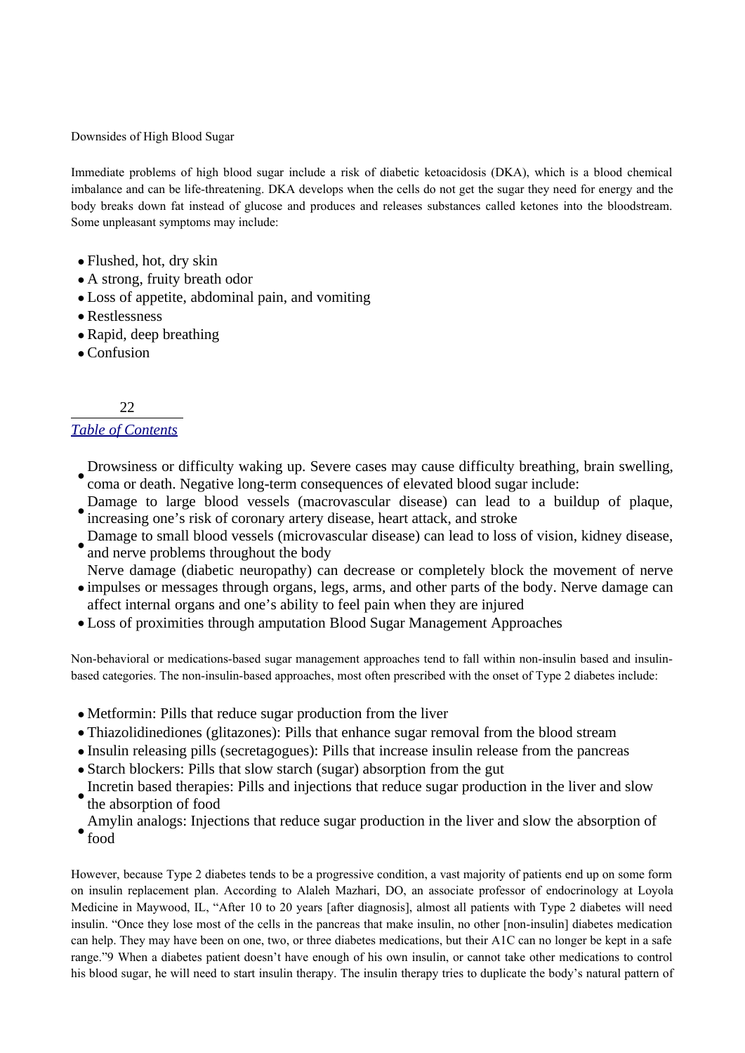Downsides of High Blood Sugar

Immediate problems of high blood sugar include a risk of diabetic ketoacidosis (DKA), which is a blood chemical imbalance and can be life-threatening. DKA develops when the cells do not get the sugar they need for energy and the body breaks down fat instead of glucose and produces and releases substances called ketones into the bloodstream. Some unpleasant symptoms may include:

- · Flushed, hot, dry skin
- · A strong, fruity breath odor
- · Loss of appetite, abdominal pain, and vomiting
- · Restlessness
- · Rapid, deep breathing
- · Confusion

# 22

# *[Table of Contents](https://www.sec.gov/Archives/edgar/data/1834083/000147793220007068/biologx_1a.htm#toc)*

- Drowsiness or difficulty waking up. Severe cases may cause difficulty breathing, brain swelling, coma or death. Negative long-term consequences of elevated blood sugar include:
- · Damage to large blood vessels (macrovascular disease) can lead to a buildup of plaque, increasing one's risk of coronary artery disease, heart attack, and stroke
- Damage to small blood vessels (microvascular disease) can lead to loss of vision, kidney disease, and nerve problems throughout the body
- · impulses or messages through organs, legs, arms, and other parts of the body. Nerve damage can Nerve damage (diabetic neuropathy) can decrease or completely block the movement of nerve
- affect internal organs and one's ability to feel pain when they are injured
- · Loss of proximities through amputation Blood Sugar Management Approaches

Non-behavioral or medications-based sugar management approaches tend to fall within non-insulin based and insulinbased categories. The non-insulin-based approaches, most often prescribed with the onset of Type 2 diabetes include:

- · Metformin: Pills that reduce sugar production from the liver
- · Thiazolidinediones (glitazones): Pills that enhance sugar removal from the blood stream
- · Insulin releasing pills (secretagogues): Pills that increase insulin release from the pancreas
- Starch blockers: Pills that slow starch (sugar) absorption from the gut
- Incretin based therapies: Pills and injections that reduce sugar production in the liver and slow the absorption of food
- Amylin analogs: Injections that reduce sugar production in the liver and slow the absorption of  $\epsilon_{\text{food}}$ food

However, because Type 2 diabetes tends to be a progressive condition, a vast majority of patients end up on some form on insulin replacement plan. According to Alaleh Mazhari, DO, an associate professor of endocrinology at Loyola Medicine in Maywood, IL, "After 10 to 20 years [after diagnosis], almost all patients with Type 2 diabetes will need insulin. "Once they lose most of the cells in the pancreas that make insulin, no other [non-insulin] diabetes medication can help. They may have been on one, two, or three diabetes medications, but their A1C can no longer be kept in a safe range."9 When a diabetes patient doesn't have enough of his own insulin, or cannot take other medications to control his blood sugar, he will need to start insulin therapy. The insulin therapy tries to duplicate the body's natural pattern of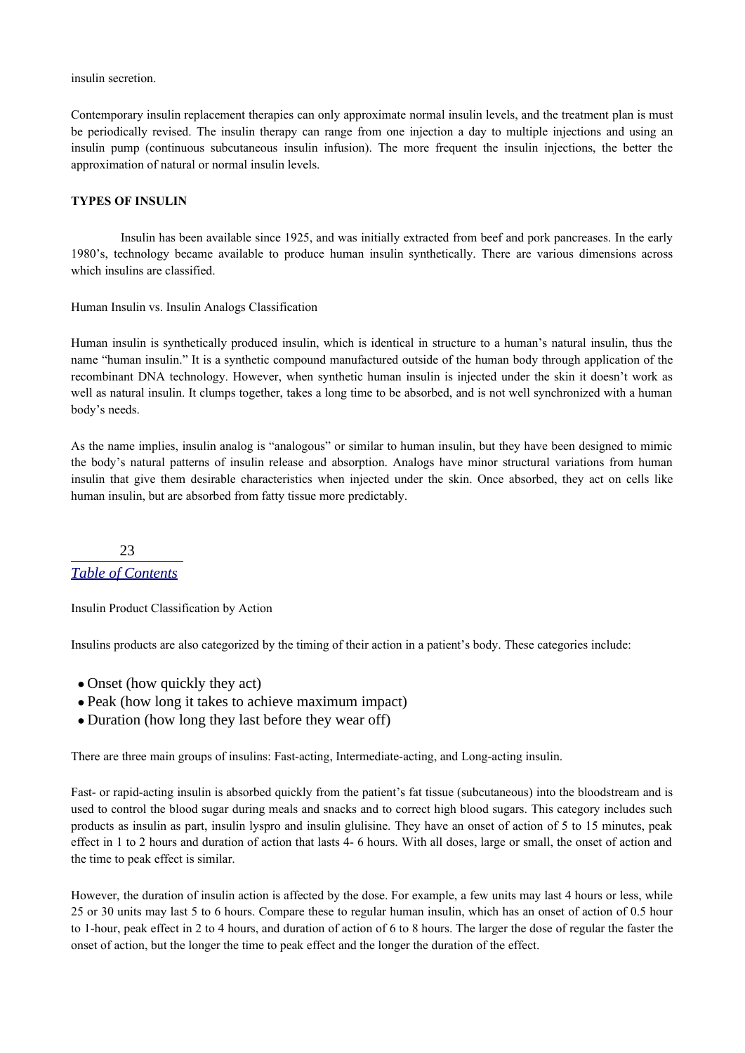insulin secretion.

Contemporary insulin replacement therapies can only approximate normal insulin levels, and the treatment plan is must be periodically revised. The insulin therapy can range from one injection a day to multiple injections and using an insulin pump (continuous subcutaneous insulin infusion). The more frequent the insulin injections, the better the approximation of natural or normal insulin levels.

## **TYPES OF INSULIN**

Insulin has been available since 1925, and was initially extracted from beef and pork pancreases. In the early 1980's, technology became available to produce human insulin synthetically. There are various dimensions across which insulins are classified.

#### Human Insulin vs. Insulin Analogs Classification

Human insulin is synthetically produced insulin, which is identical in structure to a human's natural insulin, thus the name "human insulin." It is a synthetic compound manufactured outside of the human body through application of the recombinant DNA technology. However, when synthetic human insulin is injected under the skin it doesn't work as well as natural insulin. It clumps together, takes a long time to be absorbed, and is not well synchronized with a human body's needs.

As the name implies, insulin analog is "analogous" or similar to human insulin, but they have been designed to mimic the body's natural patterns of insulin release and absorption. Analogs have minor structural variations from human insulin that give them desirable characteristics when injected under the skin. Once absorbed, they act on cells like human insulin, but are absorbed from fatty tissue more predictably.

# 23

# *[Table of Contents](https://www.sec.gov/Archives/edgar/data/1834083/000147793220007068/biologx_1a.htm#toc)*

Insulin Product Classification by Action

Insulins products are also categorized by the timing of their action in a patient's body. These categories include:

- · Onset (how quickly they act)
- · Peak (how long it takes to achieve maximum impact)
- · Duration (how long they last before they wear off)

There are three main groups of insulins: Fast-acting, Intermediate-acting, and Long-acting insulin.

Fast- or rapid-acting insulin is absorbed quickly from the patient's fat tissue (subcutaneous) into the bloodstream and is used to control the blood sugar during meals and snacks and to correct high blood sugars. This category includes such products as insulin as part, insulin lyspro and insulin glulisine. They have an onset of action of 5 to 15 minutes, peak effect in 1 to 2 hours and duration of action that lasts 4- 6 hours. With all doses, large or small, the onset of action and the time to peak effect is similar.

However, the duration of insulin action is affected by the dose. For example, a few units may last 4 hours or less, while 25 or 30 units may last 5 to 6 hours. Compare these to regular human insulin, which has an onset of action of 0.5 hour to 1-hour, peak effect in 2 to 4 hours, and duration of action of 6 to 8 hours. The larger the dose of regular the faster the onset of action, but the longer the time to peak effect and the longer the duration of the effect.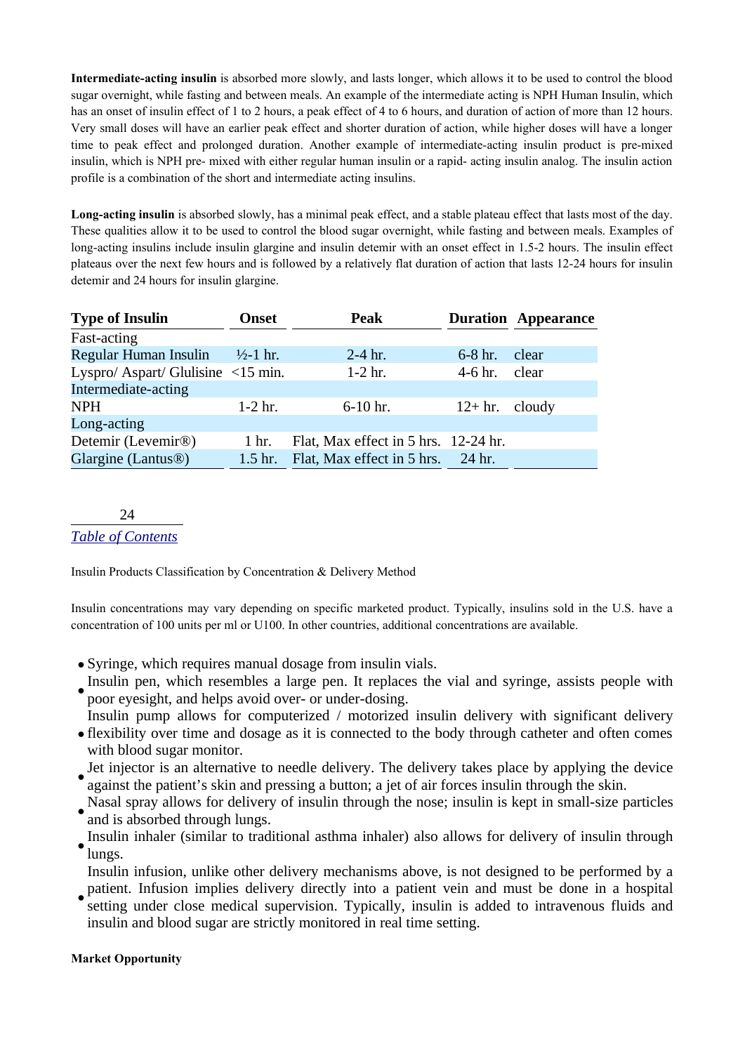**Intermediate-acting insulin** is absorbed more slowly, and lasts longer, which allows it to be used to control the blood sugar overnight, while fasting and between meals. An example of the intermediate acting is NPH Human Insulin, which has an onset of insulin effect of 1 to 2 hours, a peak effect of 4 to 6 hours, and duration of action of more than 12 hours. Very small doses will have an earlier peak effect and shorter duration of action, while higher doses will have a longer time to peak effect and prolonged duration. Another example of intermediate-acting insulin product is pre-mixed insulin, which is NPH pre- mixed with either regular human insulin or a rapid- acting insulin analog. The insulin action profile is a combination of the short and intermediate acting insulins.

**Long-acting insulin** is absorbed slowly, has a minimal peak effect, and a stable plateau effect that lasts most of the day. These qualities allow it to be used to control the blood sugar overnight, while fasting and between meals. Examples of long-acting insulins include insulin glargine and insulin detemir with an onset effect in 1.5-2 hours. The insulin effect plateaus over the next few hours and is followed by a relatively flat duration of action that lasts 12-24 hours for insulin detemir and 24 hours for insulin glargine.

| <b>Type of Insulin</b>             | <b>Onset</b>         | Peak                                      |                  | <b>Duration Appearance</b> |
|------------------------------------|----------------------|-------------------------------------------|------------------|----------------------------|
| Fast-acting                        |                      |                                           |                  |                            |
| Regular Human Insulin              | $\frac{1}{2}$ -1 hr. | $2-4$ hr.                                 | $6-8$ hr.        | clear                      |
| Lyspro/ Aspart/ Glulisine <15 min. |                      | $1-2$ hr.                                 | 4-6 hr.          | clear                      |
| Intermediate-acting                |                      |                                           |                  |                            |
| <b>NPH</b>                         | $1-2$ hr.            | $6-10$ hr.                                | $12+$ hr. cloudy |                            |
| Long-acting                        |                      |                                           |                  |                            |
| Detemir (Levemir <sup>®</sup> )    | 1 <sub>hr.</sub>     | Flat, Max effect in 5 hrs. 12-24 hr.      |                  |                            |
| Glargine (Lantus <sup>®)</sup>     |                      | 1.5 hr. Flat, Max effect in 5 hrs. 24 hr. |                  |                            |

# 24 *[Table of Contents](https://www.sec.gov/Archives/edgar/data/1834083/000147793220007068/biologx_1a.htm#toc)*

Insulin Products Classification by Concentration & Delivery Method

Insulin concentrations may vary depending on specific marketed product. Typically, insulins sold in the U.S. have a concentration of 100 units per ml or U100. In other countries, additional concentrations are available.

- · Syringe, which requires manual dosage from insulin vials.
- Insulin pen, which resembles a large pen. It replaces the vial and syringe, assists people with poor eyesight, and helps avoid over- or under-dosing.

· flexibility over time and dosage as it is connected to the body through catheter and often comes Insulin pump allows for computerized / motorized insulin delivery with significant delivery with blood sugar monitor.

- · Jet injector is an alternative to needle delivery. The delivery takes place by applying the device against the patient's skin and pressing a button; a jet of air forces insulin through the skin.
- · Nasal spray allows for delivery of insulin through the nose; insulin is kept in small-size particles and is absorbed through lungs.
- · Insulin inhaler (similar to traditional asthma inhaler) also allows for delivery of insulin through lungs.
- Insulin infusion, unlike other delivery mechanisms above, is not designed to be performed by a
- patient. Infusion implies delivery directly into a patient vein and must be done in a hospital<br>exacting under close modical cunomision. Typically, inculin is added to intervenesus fluids and setting under close medical supervision. Typically, insulin is added to intravenous fluids and insulin and blood sugar are strictly monitored in real time setting.

# **Market Opportunity**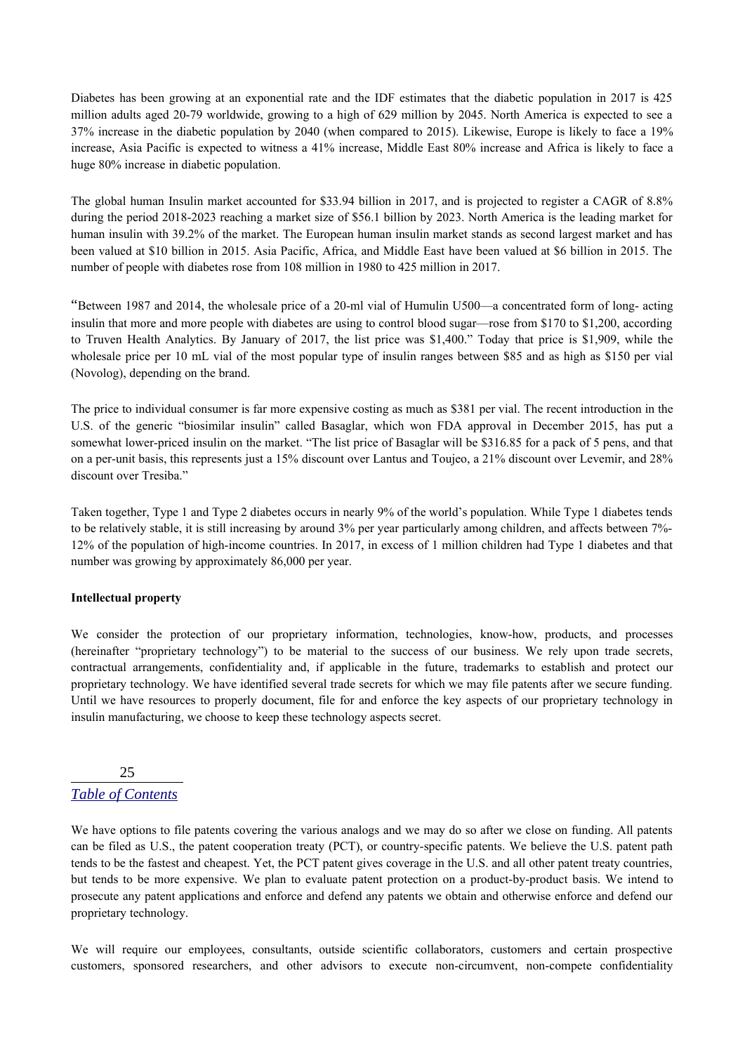Diabetes has been growing at an exponential rate and the IDF estimates that the diabetic population in 2017 is 425 million adults aged 20-79 worldwide, growing to a high of 629 million by 2045. North America is expected to see a 37% increase in the diabetic population by 2040 (when compared to 2015). Likewise, Europe is likely to face a 19% increase, Asia Pacific is expected to witness a 41% increase, Middle East 80% increase and Africa is likely to face a huge 80% increase in diabetic population.

The global human Insulin market accounted for \$33.94 billion in 2017, and is projected to register a CAGR of 8.8% during the period 2018-2023 reaching a market size of \$56.1 billion by 2023. North America is the leading market for human insulin with 39.2% of the market. The European human insulin market stands as second largest market and has been valued at \$10 billion in 2015. Asia Pacific, Africa, and Middle East have been valued at \$6 billion in 2015. The number of people with diabetes rose from 108 million in 1980 to 425 million in 2017.

"Between 1987 and 2014, the wholesale price of a 20-ml vial of Humulin U500—a concentrated form of long- acting insulin that more and more people with diabetes are using to control blood sugar—rose from \$170 to \$1,200, according to Truven Health Analytics. By January of 2017, the list price was \$1,400." Today that price is \$1,909, while the wholesale price per 10 mL vial of the most popular type of insulin ranges between \$85 and as high as \$150 per vial (Novolog), depending on the brand.

The price to individual consumer is far more expensive costing as much as \$381 per vial. The recent introduction in the U.S. of the generic "biosimilar insulin" called Basaglar, which won FDA approval in December 2015, has put a somewhat lower-priced insulin on the market. "The list price of Basaglar will be \$316.85 for a pack of 5 pens, and that on a per-unit basis, this represents just a 15% discount over Lantus and Toujeo, a 21% discount over Levemir, and 28% discount over Tresiba."

Taken together, Type 1 and Type 2 diabetes occurs in nearly 9% of the world's population. While Type 1 diabetes tends to be relatively stable, it is still increasing by around 3% per year particularly among children, and affects between 7%- 12% of the population of high-income countries. In 2017, in excess of 1 million children had Type 1 diabetes and that number was growing by approximately 86,000 per year.

#### **Intellectual property**

We consider the protection of our proprietary information, technologies, know-how, products, and processes (hereinafter "proprietary technology") to be material to the success of our business. We rely upon trade secrets, contractual arrangements, confidentiality and, if applicable in the future, trademarks to establish and protect our proprietary technology. We have identified several trade secrets for which we may file patents after we secure funding. Until we have resources to properly document, file for and enforce the key aspects of our proprietary technology in insulin manufacturing, we choose to keep these technology aspects secret.

# 25 *[Table of Contents](https://www.sec.gov/Archives/edgar/data/1834083/000147793220007068/biologx_1a.htm#toc)*

We have options to file patents covering the various analogs and we may do so after we close on funding. All patents can be filed as U.S., the patent cooperation treaty (PCT), or country-specific patents. We believe the U.S. patent path tends to be the fastest and cheapest. Yet, the PCT patent gives coverage in the U.S. and all other patent treaty countries, but tends to be more expensive. We plan to evaluate patent protection on a product-by-product basis. We intend to prosecute any patent applications and enforce and defend any patents we obtain and otherwise enforce and defend our proprietary technology.

We will require our employees, consultants, outside scientific collaborators, customers and certain prospective customers, sponsored researchers, and other advisors to execute non-circumvent, non-compete confidentiality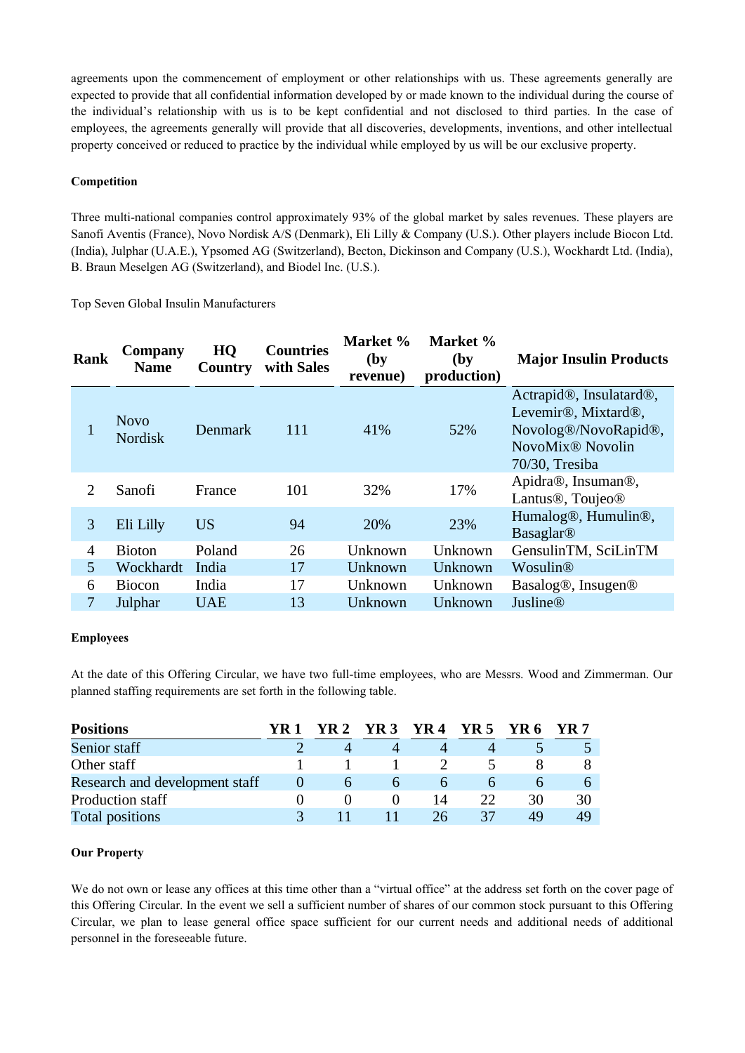agreements upon the commencement of employment or other relationships with us. These agreements generally are expected to provide that all confidential information developed by or made known to the individual during the course of the individual's relationship with us is to be kept confidential and not disclosed to third parties. In the case of employees, the agreements generally will provide that all discoveries, developments, inventions, and other intellectual property conceived or reduced to practice by the individual while employed by us will be our exclusive property.

# **Competition**

Three multi-national companies control approximately 93% of the global market by sales revenues. These players are Sanofi Aventis (France), Novo Nordisk A/S (Denmark), Eli Lilly & Company (U.S.). Other players include Biocon Ltd. (India), Julphar (U.A.E.), Ypsomed AG (Switzerland), Becton, Dickinson and Company (U.S.), Wockhardt Ltd. (India), B. Braun Meselgen AG (Switzerland), and Biodel Inc. (U.S.).

Top Seven Global Insulin Manufacturers

| Rank | Company<br><b>Name</b>        | HQ<br>Country  | <b>Countries</b><br>with Sales | Market %<br>(by<br>revenue) | Market %<br>(by<br>production) | <b>Major Insulin Products</b>                                                                                            |
|------|-------------------------------|----------------|--------------------------------|-----------------------------|--------------------------------|--------------------------------------------------------------------------------------------------------------------------|
| Щ    | <b>Novo</b><br><b>Nordisk</b> | <b>Denmark</b> | 111                            | 41%                         | 52%                            | Actrapid®, Insulatard®,<br>Levemir®, Mixtard®,<br>Novolog®/NovoRapid®,<br>NovoMix <sup>®</sup> Novolin<br>70/30, Tresiba |
| 2    | Sanofi                        | France         | 101                            | 32%                         | 17%                            | Apidra®, Insuman®,<br>Lantus <sup>®</sup> , Toujeo <sup>®</sup>                                                          |
| 3    | Eli Lilly                     | <b>US</b>      | 94                             | 20%                         | 23%                            | Humalog®, Humulin®,<br><b>Basaglar®</b>                                                                                  |
| 4    | <b>Bioton</b>                 | Poland         | 26                             | Unknown                     | Unknown                        | GensulinTM, SciLinTM                                                                                                     |
| 5    | Wockhardt                     | India          | 17                             | Unknown                     | Unknown                        | Wosulin®                                                                                                                 |
| 6    | <b>Biocon</b>                 | India          | 17                             | Unknown                     | Unknown                        | Basalog <sup>®</sup> , Insugen <sup>®</sup>                                                                              |
| 7    | Julphar                       | <b>UAE</b>     | 13                             | Unknown                     | Unknown                        | <b>Jusline®</b>                                                                                                          |

#### **Employees**

At the date of this Offering Circular, we have two full-time employees, who are Messrs. Wood and Zimmerman. Our planned staffing requirements are set forth in the following table.

| <b>Positions</b>               | VR 1 | VR 9. | <b>YR 3</b> | <b>YR 4</b> | <b>YR 5</b>   | YR 6 | YR 7 |
|--------------------------------|------|-------|-------------|-------------|---------------|------|------|
| Senior staff                   |      |       |             |             |               |      |      |
| Other staff                    |      |       |             |             |               |      |      |
| Research and development staff |      |       |             |             |               |      |      |
| Production staff               |      |       |             | 14          | $\mathcal{D}$ | 30   | 30   |
| <b>Total positions</b>         |      |       |             | 26          | 37            | 49   | 49   |

#### **Our Property**

We do not own or lease any offices at this time other than a "virtual office" at the address set forth on the cover page of this Offering Circular. In the event we sell a sufficient number of shares of our common stock pursuant to this Offering Circular, we plan to lease general office space sufficient for our current needs and additional needs of additional personnel in the foreseeable future.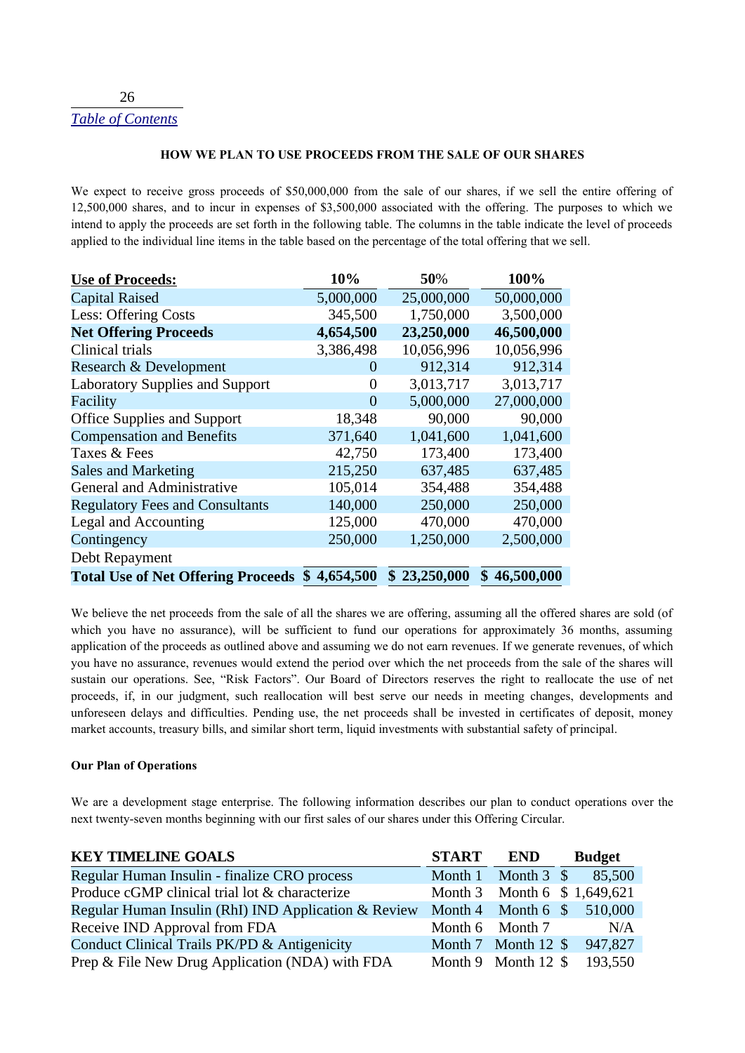# 26 *[Table of Contents](https://www.sec.gov/Archives/edgar/data/1834083/000147793220007068/biologx_1a.htm#toc)*

#### **HOW WE PLAN TO USE PROCEEDS FROM THE SALE OF OUR SHARES**

We expect to receive gross proceeds of \$50,000,000 from the sale of our shares, if we sell the entire offering of 12,500,000 shares, and to incur in expenses of \$3,500,000 associated with the offering. The purposes to which we intend to apply the proceeds are set forth in the following table. The columns in the table indicate the level of proceeds applied to the individual line items in the table based on the percentage of the total offering that we sell.

| <b>Use of Proceeds:</b>                   | 10%         | 50%          | 100%         |
|-------------------------------------------|-------------|--------------|--------------|
| <b>Capital Raised</b>                     | 5,000,000   | 25,000,000   | 50,000,000   |
| <b>Less: Offering Costs</b>               | 345,500     | 1,750,000    | 3,500,000    |
| <b>Net Offering Proceeds</b>              | 4,654,500   | 23,250,000   | 46,500,000   |
| Clinical trials                           | 3,386,498   | 10,056,996   | 10,056,996   |
| Research & Development                    | $\Omega$    | 912,314      | 912,314      |
| <b>Laboratory Supplies and Support</b>    | 0           | 3,013,717    | 3,013,717    |
| Facility                                  | $\Omega$    | 5,000,000    | 27,000,000   |
| <b>Office Supplies and Support</b>        | 18,348      | 90,000       | 90,000       |
| <b>Compensation and Benefits</b>          | 371,640     | 1,041,600    | 1,041,600    |
| Taxes & Fees                              | 42,750      | 173,400      | 173,400      |
| <b>Sales and Marketing</b>                | 215,250     | 637,485      | 637,485      |
| <b>General and Administrative</b>         | 105,014     | 354,488      | 354,488      |
| <b>Regulatory Fees and Consultants</b>    | 140,000     | 250,000      | 250,000      |
| <b>Legal and Accounting</b>               | 125,000     | 470,000      | 470,000      |
| Contingency                               | 250,000     | 1,250,000    | 2,500,000    |
| Debt Repayment                            |             |              |              |
| <b>Total Use of Net Offering Proceeds</b> | \$4,654,500 | \$23,250,000 | \$46,500,000 |

We believe the net proceeds from the sale of all the shares we are offering, assuming all the offered shares are sold (of which you have no assurance), will be sufficient to fund our operations for approximately 36 months, assuming application of the proceeds as outlined above and assuming we do not earn revenues. If we generate revenues, of which you have no assurance, revenues would extend the period over which the net proceeds from the sale of the shares will sustain our operations. See, "Risk Factors". Our Board of Directors reserves the right to reallocate the use of net proceeds, if, in our judgment, such reallocation will best serve our needs in meeting changes, developments and unforeseen delays and difficulties. Pending use, the net proceeds shall be invested in certificates of deposit, money market accounts, treasury bills, and similar short term, liquid investments with substantial safety of principal.

#### **Our Plan of Operations**

We are a development stage enterprise. The following information describes our plan to conduct operations over the next twenty-seven months beginning with our first sales of our shares under this Offering Circular.

| <b>KEY TIMELINE GOALS</b>                            | <b>START</b> | <b>END</b>                     | <b>Budget</b> |
|------------------------------------------------------|--------------|--------------------------------|---------------|
| Regular Human Insulin - finalize CRO process         |              | Month 1 Month 3 \$ 85,500      |               |
| Produce cGMP clinical trial lot & characterize       |              | Month 3 Month 6 \$ 1,649,621   |               |
| Regular Human Insulin (RhI) IND Application & Review |              | Month 4 Month 6 \$ 510,000     |               |
| Receive IND Approval from FDA                        |              | Month 6 Month 7                | N/A           |
| Conduct Clinical Trails PK/PD & Antigenicity         |              | Month 7 Month 12 \$            | 947,827       |
| Prep & File New Drug Application (NDA) with FDA      |              | Month 9 Month 12 $\frac{1}{2}$ | 193,550       |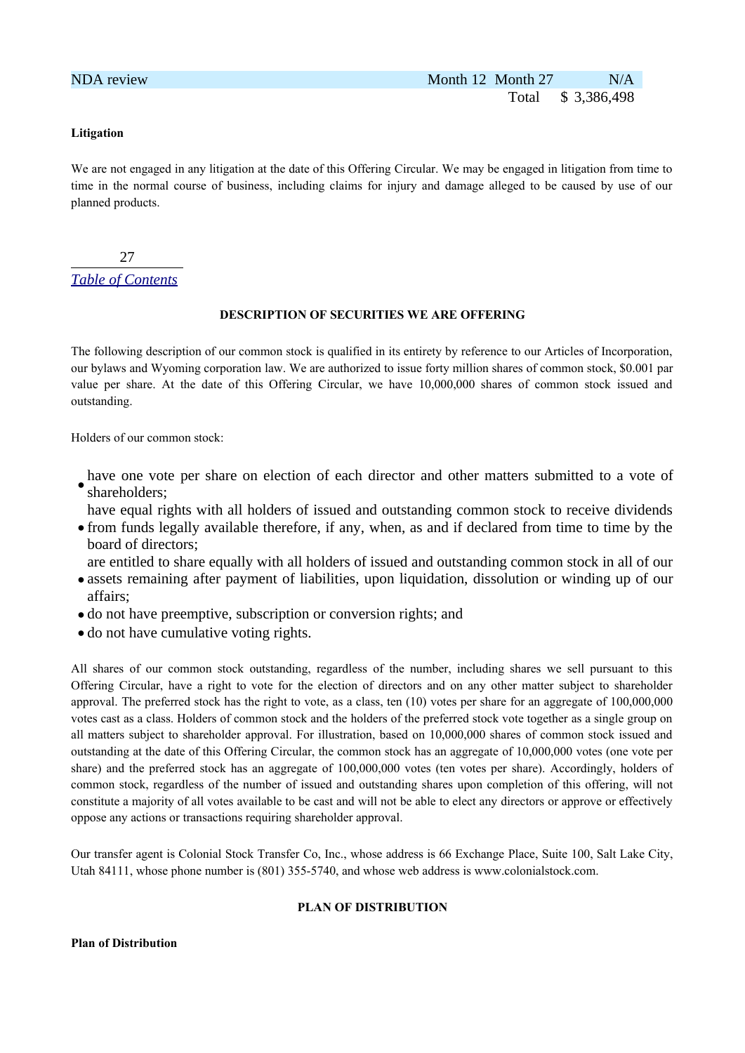| <b>NDA</b> review | Month 12 Month 27 | N/A                |
|-------------------|-------------------|--------------------|
|                   |                   | Total \$ 3,386,498 |

#### **Litigation**

We are not engaged in any litigation at the date of this Offering Circular. We may be engaged in litigation from time to time in the normal course of business, including claims for injury and damage alleged to be caused by use of our planned products.

27

*[Table of Contents](https://www.sec.gov/Archives/edgar/data/1834083/000147793220007068/biologx_1a.htm#toc)*

#### **DESCRIPTION OF SECURITIES WE ARE OFFERING**

The following description of our common stock is qualified in its entirety by reference to our Articles of Incorporation, our bylaws and Wyoming corporation law. We are authorized to issue forty million shares of common stock, \$0.001 par value per share. At the date of this Offering Circular, we have 10,000,000 shares of common stock issued and outstanding.

Holders of our common stock:

have one vote per share on election of each director and other matters submitted to a vote of shareholders;

have equal rights with all holders of issued and outstanding common stock to receive dividends

- · from funds legally available therefore, if any, when, as and if declared from time to time by the board of directors;
- · assets remaining after payment of liabilities, upon liquidation, dissolution or winding up of our are entitled to share equally with all holders of issued and outstanding common stock in all of our affairs;
- · do not have preemptive, subscription or conversion rights; and
- · do not have cumulative voting rights.

All shares of our common stock outstanding, regardless of the number, including shares we sell pursuant to this Offering Circular, have a right to vote for the election of directors and on any other matter subject to shareholder approval. The preferred stock has the right to vote, as a class, ten (10) votes per share for an aggregate of 100,000,000 votes cast as a class. Holders of common stock and the holders of the preferred stock vote together as a single group on all matters subject to shareholder approval. For illustration, based on 10,000,000 shares of common stock issued and outstanding at the date of this Offering Circular, the common stock has an aggregate of 10,000,000 votes (one vote per share) and the preferred stock has an aggregate of 100,000,000 votes (ten votes per share). Accordingly, holders of common stock, regardless of the number of issued and outstanding shares upon completion of this offering, will not constitute a majority of all votes available to be cast and will not be able to elect any directors or approve or effectively oppose any actions or transactions requiring shareholder approval.

Our transfer agent is Colonial Stock Transfer Co, Inc., whose address is 66 Exchange Place, Suite 100, Salt Lake City, Utah 84111, whose phone number is (801) 355-5740, and whose web address is www.colonialstock.com.

#### **PLAN OF DISTRIBUTION**

#### **Plan of Distribution**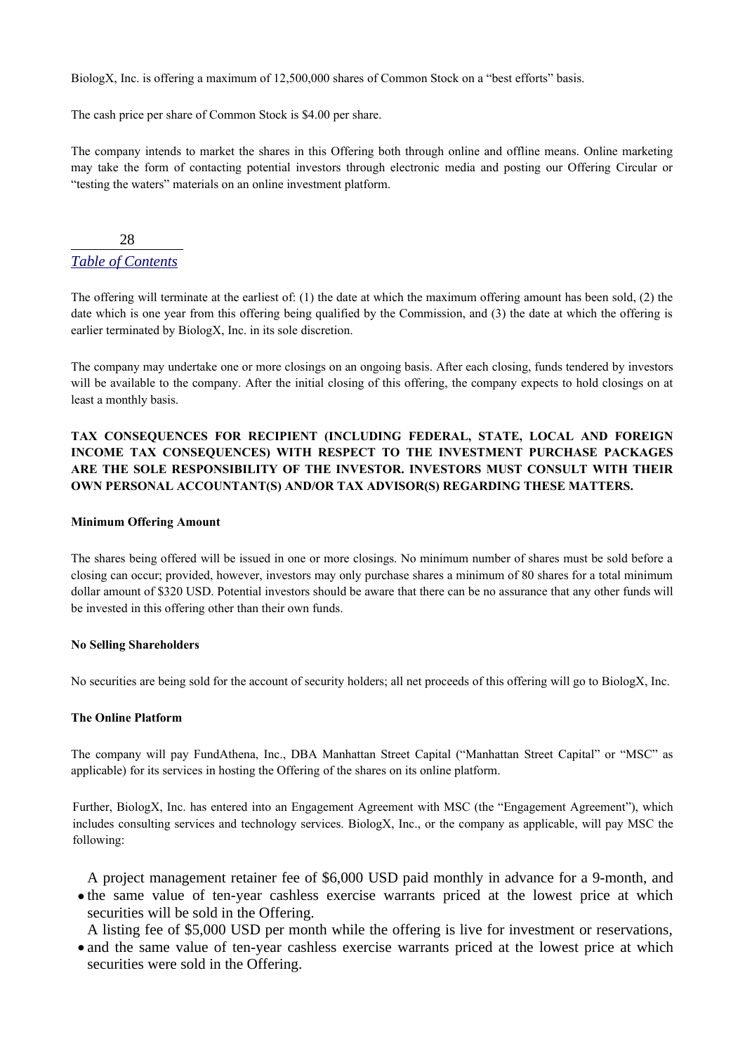BiologX, Inc. is offering a maximum of 12,500,000 shares of Common Stock on a "best efforts" basis.

The cash price per share of Common Stock is \$4.00 per share.

The company intends to market the shares in this Offering both through online and offline means. Online marketing may take the form of contacting potential investors through electronic media and posting our Offering Circular or "testing the waters" materials on an online investment platform.

28

## *[Table of Contents](https://www.sec.gov/Archives/edgar/data/1834083/000147793220007068/biologx_1a.htm#toc)*

The offering will terminate at the earliest of: (1) the date at which the maximum offering amount has been sold, (2) the date which is one year from this offering being qualified by the Commission, and (3) the date at which the offering is earlier terminated by BiologX, Inc. in its sole discretion.

The company may undertake one or more closings on an ongoing basis. After each closing, funds tendered by investors will be available to the company. After the initial closing of this offering, the company expects to hold closings on at least a monthly basis.

# **TAX CONSEQUENCES FOR RECIPIENT (INCLUDING FEDERAL, STATE, LOCAL AND FOREIGN INCOME TAX CONSEQUENCES) WITH RESPECT TO THE INVESTMENT PURCHASE PACKAGES ARE THE SOLE RESPONSIBILITY OF THE INVESTOR. INVESTORS MUST CONSULT WITH THEIR OWN PERSONAL ACCOUNTANT(S) AND/OR TAX ADVISOR(S) REGARDING THESE MATTERS.**

#### **Minimum Offering Amount**

The shares being offered will be issued in one or more closings. No minimum number of shares must be sold before a closing can occur; provided, however, investors may only purchase shares a minimum of 80 shares for a total minimum dollar amount of \$320 USD. Potential investors should be aware that there can be no assurance that any other funds will be invested in this offering other than their own funds.

#### **No Selling Shareholders**

No securities are being sold for the account of security holders; all net proceeds of this offering will go to BiologX, Inc.

# **The Online Platform**

The company will pay FundAthena, Inc., DBA Manhattan Street Capital ("Manhattan Street Capital" or "MSC" as applicable) for its services in hosting the Offering of the shares on its online platform.

Further, BiologX, Inc. has entered into an Engagement Agreement with MSC (the "Engagement Agreement"), which includes consulting services and technology services. BiologX, Inc., or the company as applicable, will pay MSC the following:

· the same value of ten-year cashless exercise warrants priced at the lowest price at which A project management retainer fee of \$6,000 USD paid monthly in advance for a 9-month, and securities will be sold in the Offering.

A listing fee of \$5,000 USD per month while the offering is live for investment or reservations,

· and the same value of ten-year cashless exercise warrants priced at the lowest price at which securities were sold in the Offering.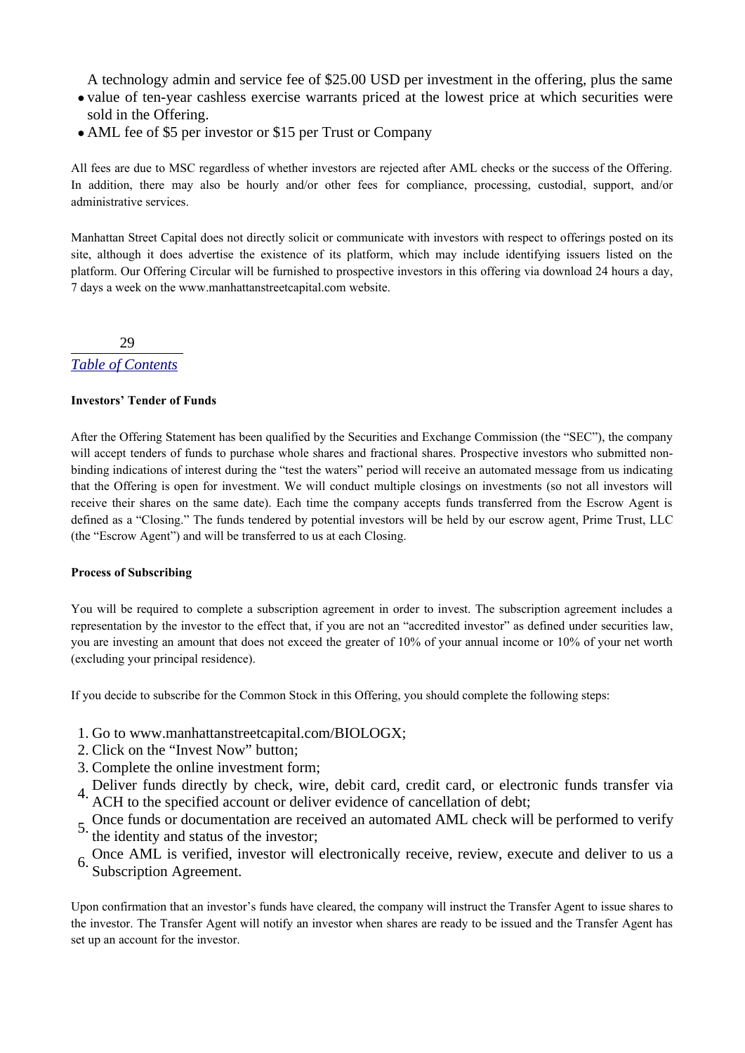A technology admin and service fee of \$25.00 USD per investment in the offering, plus the same

- · value of ten-year cashless exercise warrants priced at the lowest price at which securities were sold in the Offering.
- · AML fee of \$5 per investor or \$15 per Trust or Company

All fees are due to MSC regardless of whether investors are rejected after AML checks or the success of the Offering. In addition, there may also be hourly and/or other fees for compliance, processing, custodial, support, and/or administrative services.

Manhattan Street Capital does not directly solicit or communicate with investors with respect to offerings posted on its site, although it does advertise the existence of its platform, which may include identifying issuers listed on the platform. Our Offering Circular will be furnished to prospective investors in this offering via download 24 hours a day, 7 days a week on the www.manhattanstreetcapital.com website.

29 *[Table of Contents](https://www.sec.gov/Archives/edgar/data/1834083/000147793220007068/biologx_1a.htm#toc)*

#### **Investors' Tender of Funds**

After the Offering Statement has been qualified by the Securities and Exchange Commission (the "SEC"), the company will accept tenders of funds to purchase whole shares and fractional shares. Prospective investors who submitted nonbinding indications of interest during the "test the waters" period will receive an automated message from us indicating that the Offering is open for investment. We will conduct multiple closings on investments (so not all investors will receive their shares on the same date). Each time the company accepts funds transferred from the Escrow Agent is defined as a "Closing." The funds tendered by potential investors will be held by our escrow agent, Prime Trust, LLC (the "Escrow Agent") and will be transferred to us at each Closing.

#### **Process of Subscribing**

You will be required to complete a subscription agreement in order to invest. The subscription agreement includes a representation by the investor to the effect that, if you are not an "accredited investor" as defined under securities law, you are investing an amount that does not exceed the greater of 10% of your annual income or 10% of your net worth (excluding your principal residence).

If you decide to subscribe for the Common Stock in this Offering, you should complete the following steps:

- 1. Go to www.manhattanstreetcapital.com/BIOLOGX;
- 2. Click on the "Invest Now" button;
- 3. Complete the online investment form;
- Deliver funds directly by check, wire, debit card, credit card, or electronic funds transfer via ACH to the specified account or deliver evidence of cancellation of debt;
- 5. Once funds or documentation are received an automated AML check will be performed to verify the identity and status of the investor;
- 6. Once AML is verified, investor will electronically receive, review, execute and deliver to us a Subscription Agreement.

Upon confirmation that an investor's funds have cleared, the company will instruct the Transfer Agent to issue shares to the investor. The Transfer Agent will notify an investor when shares are ready to be issued and the Transfer Agent has set up an account for the investor.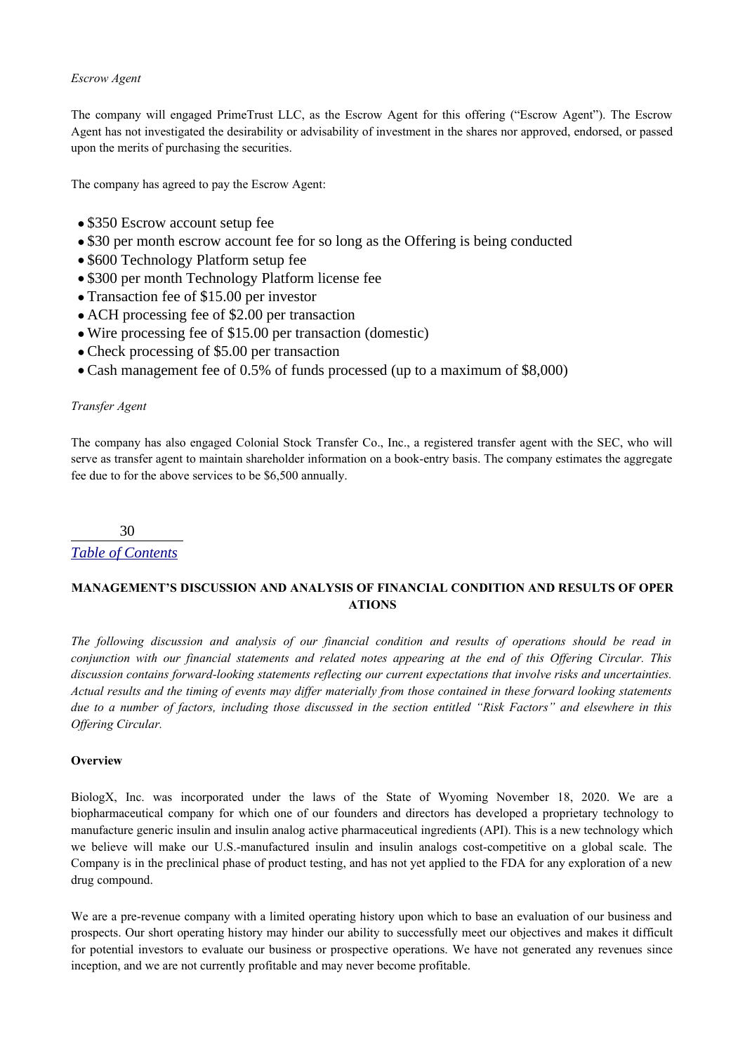#### *Escrow Agent*

The company will engaged PrimeTrust LLC, as the Escrow Agent for this offering ("Escrow Agent"). The Escrow Agent has not investigated the desirability or advisability of investment in the shares nor approved, endorsed, or passed upon the merits of purchasing the securities.

The company has agreed to pay the Escrow Agent:

- \$350 Escrow account setup fee
- \$30 per month escrow account fee for so long as the Offering is being conducted
- · \$600 Technology Platform setup fee
- · \$300 per month Technology Platform license fee
- · Transaction fee of \$15.00 per investor
- · ACH processing fee of \$2.00 per transaction
- · Wire processing fee of \$15.00 per transaction (domestic)
- · Check processing of \$5.00 per transaction
- · Cash management fee of 0.5% of funds processed (up to a maximum of \$8,000)

#### *Transfer Agent*

The company has also engaged Colonial Stock Transfer Co., Inc., a registered transfer agent with the SEC, who will serve as transfer agent to maintain shareholder information on a book-entry basis. The company estimates the aggregate fee due to for the above services to be \$6,500 annually.

30

*[Table of Contents](https://www.sec.gov/Archives/edgar/data/1834083/000147793220007068/biologx_1a.htm#toc)*

# **MANAGEMENT'S DISCUSSION AND ANALYSIS OF FINANCIAL CONDITION AND RESULTS OF OPER ATIONS**

*The following discussion and analysis of our financial condition and results of operations should be read in conjunction with our financial statements and related notes appearing at the end of this Offering Circular. This discussion contains forward-looking statements reflecting our current expectations that involve risks and uncertainties. Actual results and the timing of events may differ materially from those contained in these forward looking statements due to a number of factors, including those discussed in the section entitled "Risk Factors" and elsewhere in this Offering Circular.*

#### **Overview**

BiologX, Inc. was incorporated under the laws of the State of Wyoming November 18, 2020. We are a biopharmaceutical company for which one of our founders and directors has developed a proprietary technology to manufacture generic insulin and insulin analog active pharmaceutical ingredients (API). This is a new technology which we believe will make our U.S.-manufactured insulin and insulin analogs cost-competitive on a global scale. The Company is in the preclinical phase of product testing, and has not yet applied to the FDA for any exploration of a new drug compound.

We are a pre-revenue company with a limited operating history upon which to base an evaluation of our business and prospects. Our short operating history may hinder our ability to successfully meet our objectives and makes it difficult for potential investors to evaluate our business or prospective operations. We have not generated any revenues since inception, and we are not currently profitable and may never become profitable.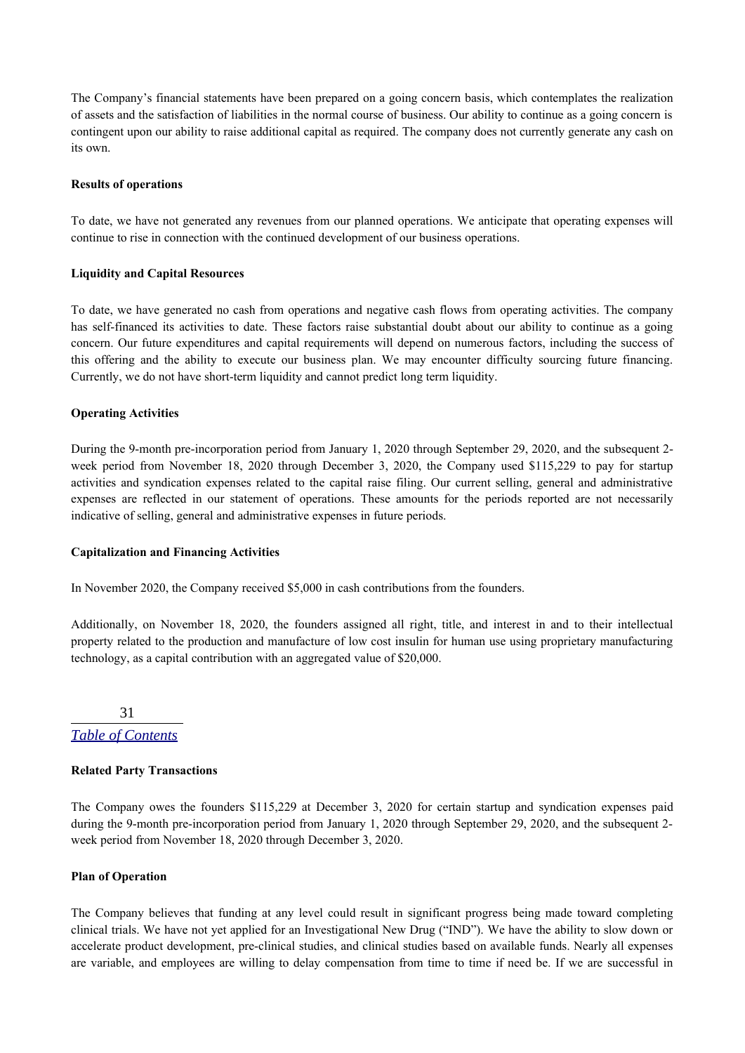The Company's financial statements have been prepared on a going concern basis, which contemplates the realization of assets and the satisfaction of liabilities in the normal course of business. Our ability to continue as a going concern is contingent upon our ability to raise additional capital as required. The company does not currently generate any cash on its own.

#### **Results of operations**

To date, we have not generated any revenues from our planned operations. We anticipate that operating expenses will continue to rise in connection with the continued development of our business operations.

#### **Liquidity and Capital Resources**

To date, we have generated no cash from operations and negative cash flows from operating activities. The company has self-financed its activities to date. These factors raise substantial doubt about our ability to continue as a going concern. Our future expenditures and capital requirements will depend on numerous factors, including the success of this offering and the ability to execute our business plan. We may encounter difficulty sourcing future financing. Currently, we do not have short-term liquidity and cannot predict long term liquidity.

#### **Operating Activities**

During the 9-month pre-incorporation period from January 1, 2020 through September 29, 2020, and the subsequent 2 week period from November 18, 2020 through December 3, 2020, the Company used \$115,229 to pay for startup activities and syndication expenses related to the capital raise filing. Our current selling, general and administrative expenses are reflected in our statement of operations. These amounts for the periods reported are not necessarily indicative of selling, general and administrative expenses in future periods.

#### **Capitalization and Financing Activities**

In November 2020, the Company received \$5,000 in cash contributions from the founders.

Additionally, on November 18, 2020, the founders assigned all right, title, and interest in and to their intellectual property related to the production and manufacture of low cost insulin for human use using proprietary manufacturing technology, as a capital contribution with an aggregated value of \$20,000.

31

*[Table of Contents](https://www.sec.gov/Archives/edgar/data/1834083/000147793220007068/biologx_1a.htm#toc)*

#### **Related Party Transactions**

The Company owes the founders \$115,229 at December 3, 2020 for certain startup and syndication expenses paid during the 9-month pre-incorporation period from January 1, 2020 through September 29, 2020, and the subsequent 2week period from November 18, 2020 through December 3, 2020.

#### **Plan of Operation**

The Company believes that funding at any level could result in significant progress being made toward completing clinical trials. We have not yet applied for an Investigational New Drug ("IND"). We have the ability to slow down or accelerate product development, pre-clinical studies, and clinical studies based on available funds. Nearly all expenses are variable, and employees are willing to delay compensation from time to time if need be. If we are successful in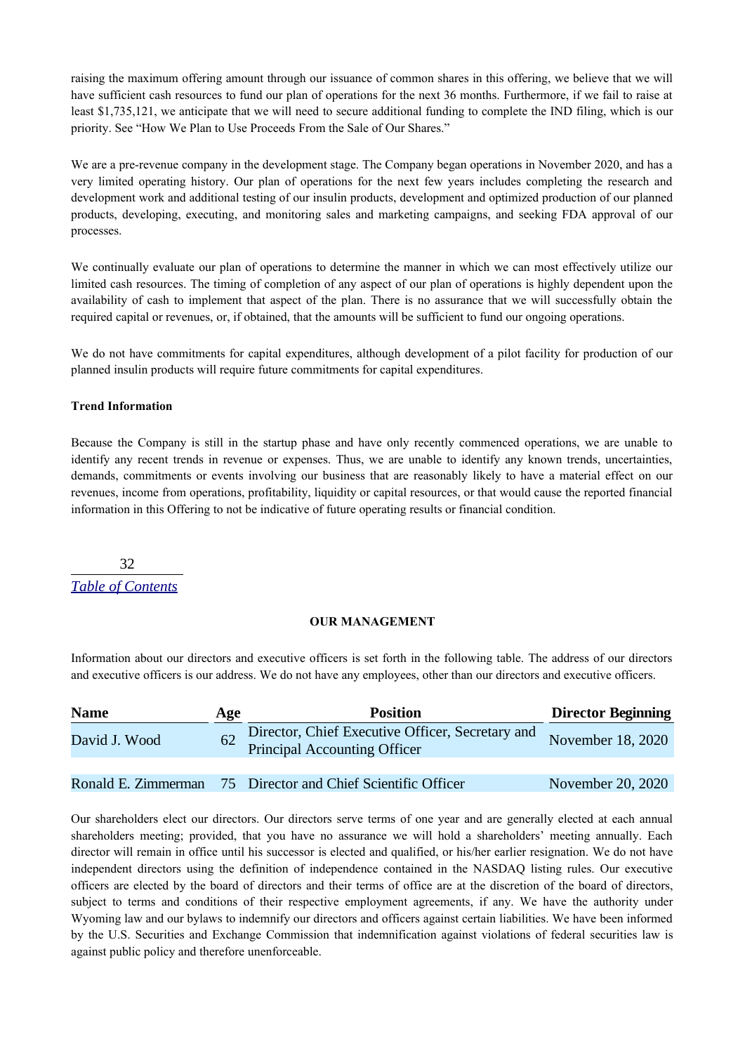raising the maximum offering amount through our issuance of common shares in this offering, we believe that we will have sufficient cash resources to fund our plan of operations for the next 36 months. Furthermore, if we fail to raise at least \$1,735,121, we anticipate that we will need to secure additional funding to complete the IND filing, which is our priority. See "How We Plan to Use Proceeds From the Sale of Our Shares."

We are a pre-revenue company in the development stage. The Company began operations in November 2020, and has a very limited operating history. Our plan of operations for the next few years includes completing the research and development work and additional testing of our insulin products, development and optimized production of our planned products, developing, executing, and monitoring sales and marketing campaigns, and seeking FDA approval of our processes.

We continually evaluate our plan of operations to determine the manner in which we can most effectively utilize our limited cash resources. The timing of completion of any aspect of our plan of operations is highly dependent upon the availability of cash to implement that aspect of the plan. There is no assurance that we will successfully obtain the required capital or revenues, or, if obtained, that the amounts will be sufficient to fund our ongoing operations.

We do not have commitments for capital expenditures, although development of a pilot facility for production of our planned insulin products will require future commitments for capital expenditures.

#### **Trend Information**

Because the Company is still in the startup phase and have only recently commenced operations, we are unable to identify any recent trends in revenue or expenses. Thus, we are unable to identify any known trends, uncertainties, demands, commitments or events involving our business that are reasonably likely to have a material effect on our revenues, income from operations, profitability, liquidity or capital resources, or that would cause the reported financial information in this Offering to not be indicative of future operating results or financial condition.

#### 32

*[Table of Contents](https://www.sec.gov/Archives/edgar/data/1834083/000147793220007068/biologx_1a.htm#toc)*

#### **OUR MANAGEMENT**

Information about our directors and executive officers is set forth in the following table. The address of our directors and executive officers is our address. We do not have any employees, other than our directors and executive officers.

| <b>Name</b>         | Age | <b>Position</b>                                                                     | <b>Director Beginning</b> |
|---------------------|-----|-------------------------------------------------------------------------------------|---------------------------|
| David J. Wood       |     | Director, Chief Executive Officer, Secretary and<br>62 Principal Accounting Officer | November 18, 2020         |
|                     |     |                                                                                     |                           |
| Ronald E. Zimmerman |     | 75 Director and Chief Scientific Officer                                            | November 20, 2020         |

Our shareholders elect our directors. Our directors serve terms of one year and are generally elected at each annual shareholders meeting; provided, that you have no assurance we will hold a shareholders' meeting annually. Each director will remain in office until his successor is elected and qualified, or his/her earlier resignation. We do not have independent directors using the definition of independence contained in the NASDAQ listing rules. Our executive officers are elected by the board of directors and their terms of office are at the discretion of the board of directors, subject to terms and conditions of their respective employment agreements, if any. We have the authority under Wyoming law and our bylaws to indemnify our directors and officers against certain liabilities. We have been informed by the U.S. Securities and Exchange Commission that indemnification against violations of federal securities law is against public policy and therefore unenforceable.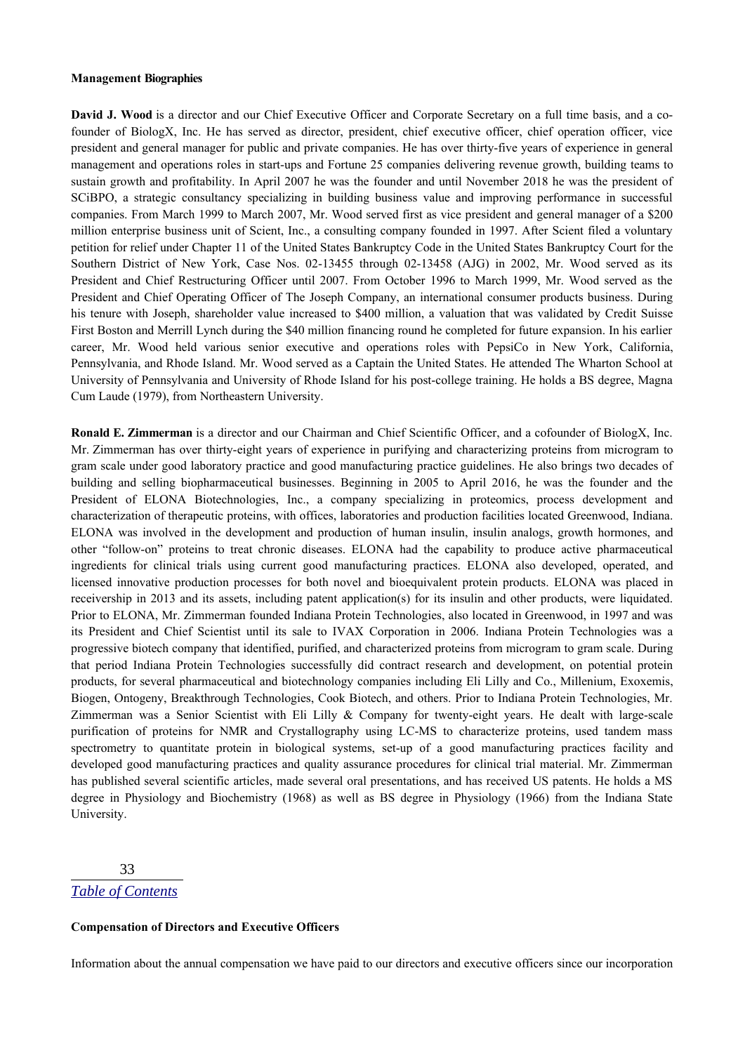#### **Management Biographies**

**David J. Wood** is a director and our Chief Executive Officer and Corporate Secretary on a full time basis, and a cofounder of BiologX, Inc. He has served as director, president, chief executive officer, chief operation officer, vice president and general manager for public and private companies. He has over thirty-five years of experience in general management and operations roles in start-ups and Fortune 25 companies delivering revenue growth, building teams to sustain growth and profitability. In April 2007 he was the founder and until November 2018 he was the president of SCiBPO, a strategic consultancy specializing in building business value and improving performance in successful companies. From March 1999 to March 2007, Mr. Wood served first as vice president and general manager of a \$200 million enterprise business unit of Scient, Inc., a consulting company founded in 1997. After Scient filed a voluntary petition for relief under Chapter 11 of the United States Bankruptcy Code in the United States Bankruptcy Court for the Southern District of New York, Case Nos. 02-13455 through 02-13458 (AJG) in 2002, Mr. Wood served as its President and Chief Restructuring Officer until 2007. From October 1996 to March 1999, Mr. Wood served as the President and Chief Operating Officer of The Joseph Company, an international consumer products business. During his tenure with Joseph, shareholder value increased to \$400 million, a valuation that was validated by Credit Suisse First Boston and Merrill Lynch during the \$40 million financing round he completed for future expansion. In his earlier career, Mr. Wood held various senior executive and operations roles with PepsiCo in New York, California, Pennsylvania, and Rhode Island. Mr. Wood served as a Captain the United States. He attended The Wharton School at University of Pennsylvania and University of Rhode Island for his post-college training. He holds a BS degree, Magna Cum Laude (1979), from Northeastern University.

**Ronald E. Zimmerman** is a director and our Chairman and Chief Scientific Officer, and a cofounder of BiologX, Inc. Mr. Zimmerman has over thirty-eight years of experience in purifying and characterizing proteins from microgram to gram scale under good laboratory practice and good manufacturing practice guidelines. He also brings two decades of building and selling biopharmaceutical businesses. Beginning in 2005 to April 2016, he was the founder and the President of ELONA Biotechnologies, Inc., a company specializing in proteomics, process development and characterization of therapeutic proteins, with offices, laboratories and production facilities located Greenwood, Indiana. ELONA was involved in the development and production of human insulin, insulin analogs, growth hormones, and other "follow-on" proteins to treat chronic diseases. ELONA had the capability to produce active pharmaceutical ingredients for clinical trials using current good manufacturing practices. ELONA also developed, operated, and licensed innovative production processes for both novel and bioequivalent protein products. ELONA was placed in receivership in 2013 and its assets, including patent application(s) for its insulin and other products, were liquidated. Prior to ELONA, Mr. Zimmerman founded Indiana Protein Technologies, also located in Greenwood, in 1997 and was its President and Chief Scientist until its sale to IVAX Corporation in 2006. Indiana Protein Technologies was a progressive biotech company that identified, purified, and characterized proteins from microgram to gram scale. During that period Indiana Protein Technologies successfully did contract research and development, on potential protein products, for several pharmaceutical and biotechnology companies including Eli Lilly and Co., Millenium, Exoxemis, Biogen, Ontogeny, Breakthrough Technologies, Cook Biotech, and others. Prior to Indiana Protein Technologies, Mr. Zimmerman was a Senior Scientist with Eli Lilly & Company for twenty-eight years. He dealt with large-scale purification of proteins for NMR and Crystallography using LC-MS to characterize proteins, used tandem mass spectrometry to quantitate protein in biological systems, set-up of a good manufacturing practices facility and developed good manufacturing practices and quality assurance procedures for clinical trial material. Mr. Zimmerman has published several scientific articles, made several oral presentations, and has received US patents. He holds a MS degree in Physiology and Biochemistry (1968) as well as BS degree in Physiology (1966) from the Indiana State University.

33

# *[Table of Contents](https://www.sec.gov/Archives/edgar/data/1834083/000147793220007068/biologx_1a.htm#toc)*

#### **Compensation of Directors and Executive Officers**

Information about the annual compensation we have paid to our directors and executive officers since our incorporation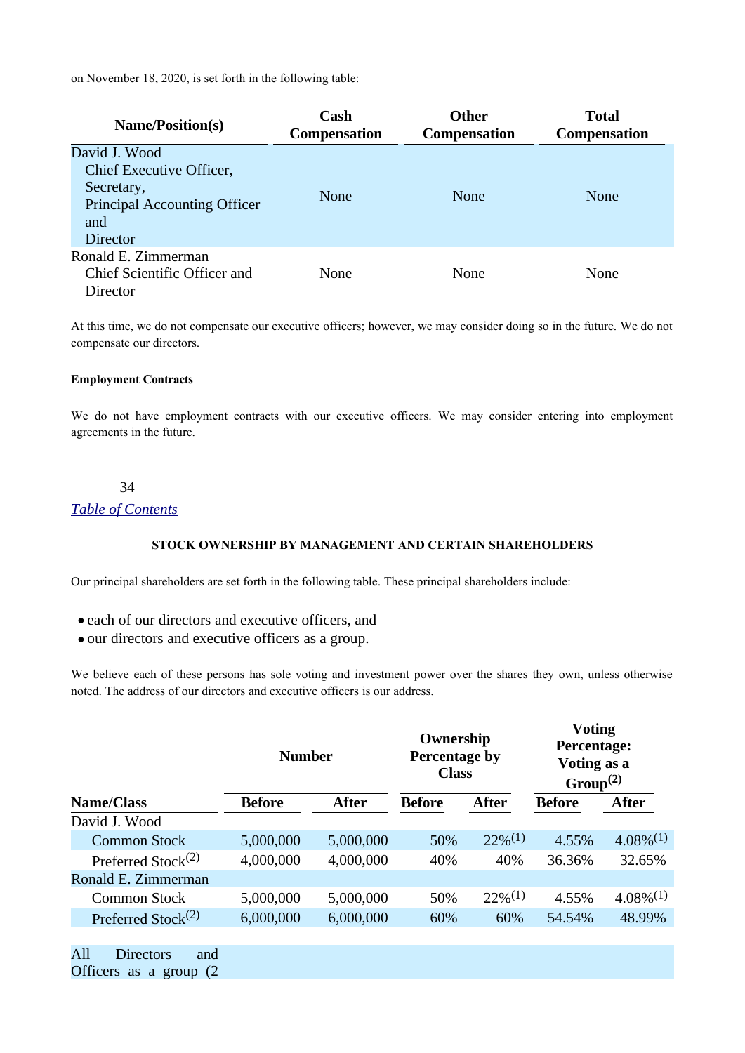on November 18, 2020, is set forth in the following table:

| <b>Name/Position(s)</b>             | Cash<br><b>Compensation</b> | Other<br><b>Compensation</b> | Total<br><b>Compensation</b> |
|-------------------------------------|-----------------------------|------------------------------|------------------------------|
| David J. Wood                       |                             |                              |                              |
| Chief Executive Officer,            |                             |                              |                              |
| Secretary,                          |                             |                              |                              |
| <b>Principal Accounting Officer</b> | <b>None</b>                 | <b>None</b>                  | None                         |
| and                                 |                             |                              |                              |
| <b>Director</b>                     |                             |                              |                              |
| Ronald E. Zimmerman                 |                             |                              |                              |
| Chief Scientific Officer and        | None                        | None                         | <b>None</b>                  |
| Director                            |                             |                              |                              |

At this time, we do not compensate our executive officers; however, we may consider doing so in the future. We do not compensate our directors.

#### **Employment Contracts**

We do not have employment contracts with our executive officers. We may consider entering into employment agreements in the future.

# 34

# *[Table of Contents](https://www.sec.gov/Archives/edgar/data/1834083/000147793220007068/biologx_1a.htm#toc)*

# **STOCK OWNERSHIP BY MANAGEMENT AND CERTAIN SHAREHOLDERS**

Our principal shareholders are set forth in the following table. These principal shareholders include:

- · each of our directors and executive officers, and
- · our directors and executive officers as a group.

We believe each of these persons has sole voting and investment power over the shares they own, unless otherwise noted. The address of our directors and executive officers is our address.

|                                | Number        |           | Ownership<br><b>Percentage by</b><br><b>Class</b> |              | <b>Voting</b><br>Percentage:<br>Voting as a<br>Group <sup>(2)</sup> |                |  |
|--------------------------------|---------------|-----------|---------------------------------------------------|--------------|---------------------------------------------------------------------|----------------|--|
| Name/Class                     | <b>Before</b> | After     | <b>Before</b>                                     | <b>After</b> | <b>Before</b>                                                       | <b>After</b>   |  |
| David J. Wood                  |               |           |                                                   |              |                                                                     |                |  |
| <b>Common Stock</b>            | 5,000,000     | 5,000,000 | 50%                                               | $22\%/1)$    | 4.55%                                                               | $4.08\%^{(1)}$ |  |
| Preferred Stock <sup>(2)</sup> | 4,000,000     | 4,000,000 | 40%                                               | 40%          | 36.36%                                                              | 32.65%         |  |
| Ronald E. Zimmerman            |               |           |                                                   |              |                                                                     |                |  |
| <b>Common Stock</b>            | 5,000,000     | 5,000,000 | 50%                                               | $22\%/1)$    | 4.55%                                                               | $4.08\%^{(1)}$ |  |
| Preferred Stock <sup>(2)</sup> | 6,000,000     | 6,000,000 | 60%                                               | 60%          | 54.54%                                                              | 48.99%         |  |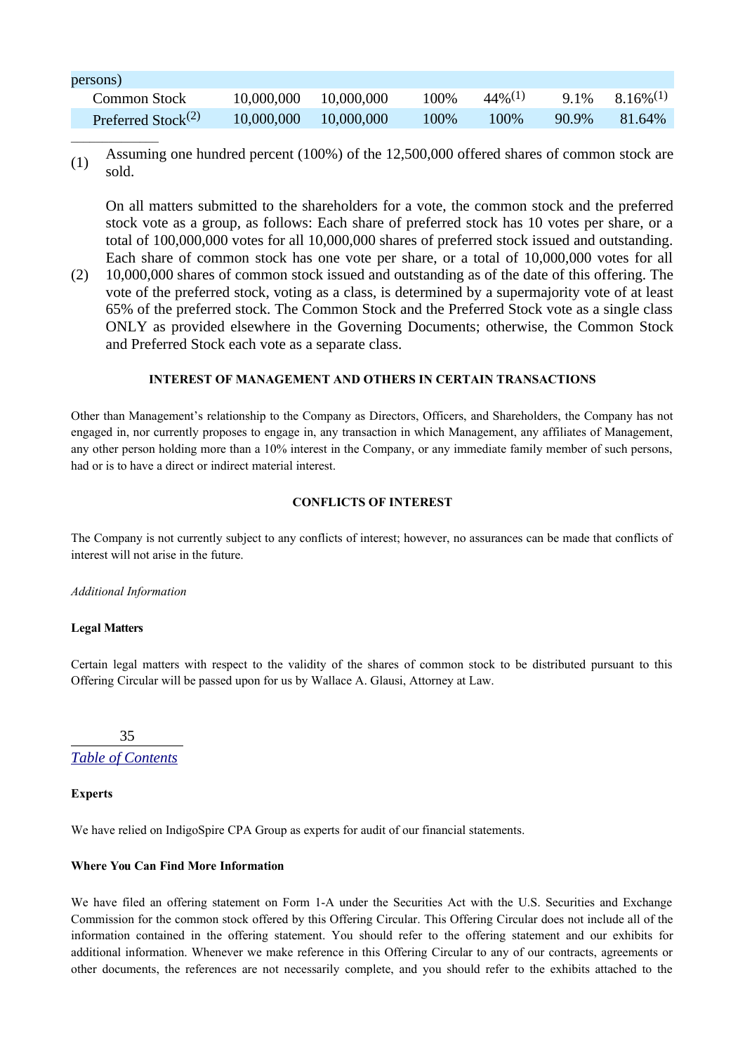| persons)                       |            |            |      |              |         |            |
|--------------------------------|------------|------------|------|--------------|---------|------------|
| Common Stock                   | 10,000,000 | 10,000,000 | 100% | $44\%^{(1)}$ | $9.1\%$ | $8.16\%/1$ |
| Preferred Stock <sup>(2)</sup> | 10,000,000 | 10,000,000 | 100% | 100%         | 90.9%   | 81.64%     |

(1) Assuming one hundred percent (100%) of the 12,500,000 offered shares of common stock are sold.

On all matters submitted to the shareholders for a vote, the common stock and the preferred stock vote as a group, as follows: Each share of preferred stock has 10 votes per share, or a total of 100,000,000 votes for all 10,000,000 shares of preferred stock issued and outstanding. Each share of common stock has one vote per share, or a total of 10,000,000 votes for all

(2) 10,000,000 shares of common stock issued and outstanding as of the date of this offering. The vote of the preferred stock, voting as a class, is determined by a supermajority vote of at least 65% of the preferred stock. The Common Stock and the Preferred Stock vote as a single class ONLY as provided elsewhere in the Governing Documents; otherwise, the Common Stock and Preferred Stock each vote as a separate class.

#### **INTEREST OF MANAGEMENT AND OTHERS IN CERTAIN TRANSACTIONS**

Other than Management's relationship to the Company as Directors, Officers, and Shareholders, the Company has not engaged in, nor currently proposes to engage in, any transaction in which Management, any affiliates of Management, any other person holding more than a 10% interest in the Company, or any immediate family member of such persons, had or is to have a direct or indirect material interest.

#### **CONFLICTS OF INTEREST**

The Company is not currently subject to any conflicts of interest; however, no assurances can be made that conflicts of interest will not arise in the future.

#### *Additional Information*

#### **Legal Matters**

Certain legal matters with respect to the validity of the shares of common stock to be distributed pursuant to this Offering Circular will be passed upon for us by Wallace A. Glausi, Attorney at Law.

35

*[Table of Contents](https://www.sec.gov/Archives/edgar/data/1834083/000147793220007068/biologx_1a.htm#toc)*

#### **Experts**

We have relied on IndigoSpire CPA Group as experts for audit of our financial statements.

#### **Where You Can Find More Information**

We have filed an offering statement on Form 1-A under the Securities Act with the U.S. Securities and Exchange Commission for the common stock offered by this Offering Circular. This Offering Circular does not include all of the information contained in the offering statement. You should refer to the offering statement and our exhibits for additional information. Whenever we make reference in this Offering Circular to any of our contracts, agreements or other documents, the references are not necessarily complete, and you should refer to the exhibits attached to the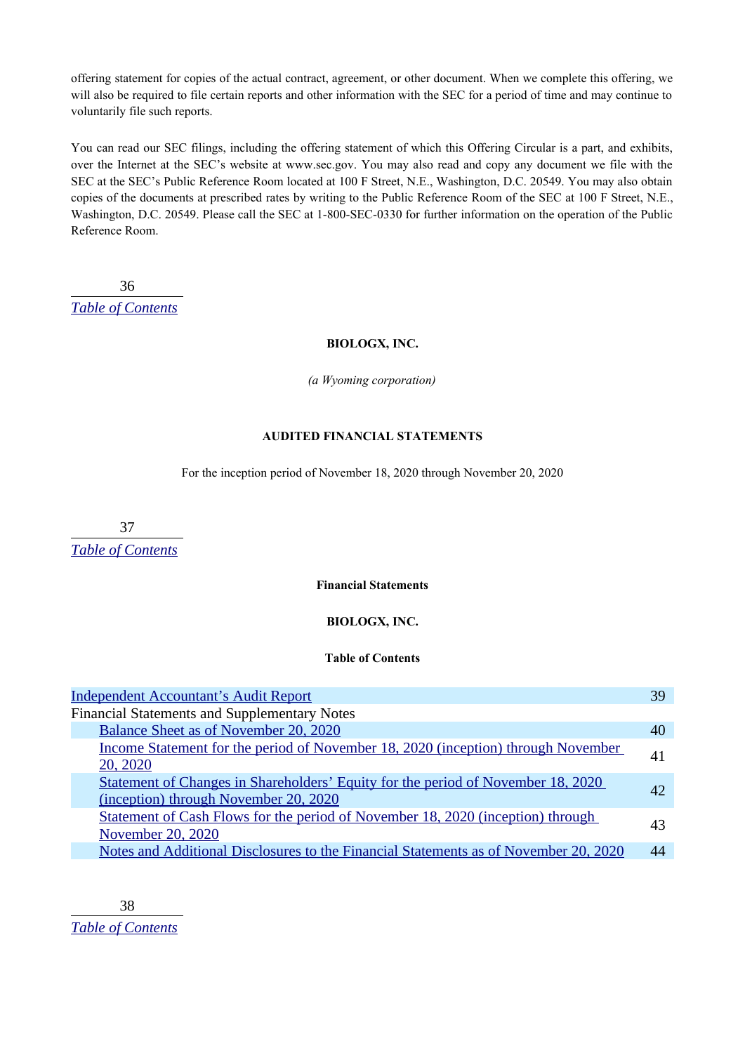offering statement for copies of the actual contract, agreement, or other document. When we complete this offering, we will also be required to file certain reports and other information with the SEC for a period of time and may continue to voluntarily file such reports.

You can read our SEC filings, including the offering statement of which this Offering Circular is a part, and exhibits, over the Internet at the SEC's website at www.sec.gov. You may also read and copy any document we file with the SEC at the SEC's Public Reference Room located at 100 F Street, N.E., Washington, D.C. 20549. You may also obtain copies of the documents at prescribed rates by writing to the Public Reference Room of the SEC at 100 F Street, N.E., Washington, D.C. 20549. Please call the SEC at 1-800-SEC-0330 for further information on the operation of the Public Reference Room.

36 *[Table of Contents](https://www.sec.gov/Archives/edgar/data/1834083/000147793220007068/biologx_1a.htm#toc)*

# **BIOLOGX, INC.**

*(a Wyoming corporation)*

# **AUDITED FINANCIAL STATEMENTS**

For the inception period of November 18, 2020 through November 20, 2020

37

*[Table of Contents](https://www.sec.gov/Archives/edgar/data/1834083/000147793220007068/biologx_1a.htm#toc)*

**Financial Statements**

# **BIOLOGX, INC.**

# **Table of Contents**

| <b>Independent Accountant's Audit Report</b>                                                                              | 39 |
|---------------------------------------------------------------------------------------------------------------------------|----|
| Financial Statements and Supplementary Notes                                                                              |    |
| Balance Sheet as of November 20, 2020                                                                                     | 40 |
| Income Statement for the period of November 18, 2020 (inception) through November<br>20, 2020                             | 41 |
| Statement of Changes in Shareholders' Equity for the period of November 18, 2020<br>(inception) through November 20, 2020 | 42 |
| Statement of Cash Flows for the period of November 18, 2020 (inception) through<br>November 20, 2020                      | 43 |
| Notes and Additional Disclosures to the Financial Statements as of November 20, 2020                                      |    |

38

*[Table of Contents](https://www.sec.gov/Archives/edgar/data/1834083/000147793220007068/biologx_1a.htm#toc2)*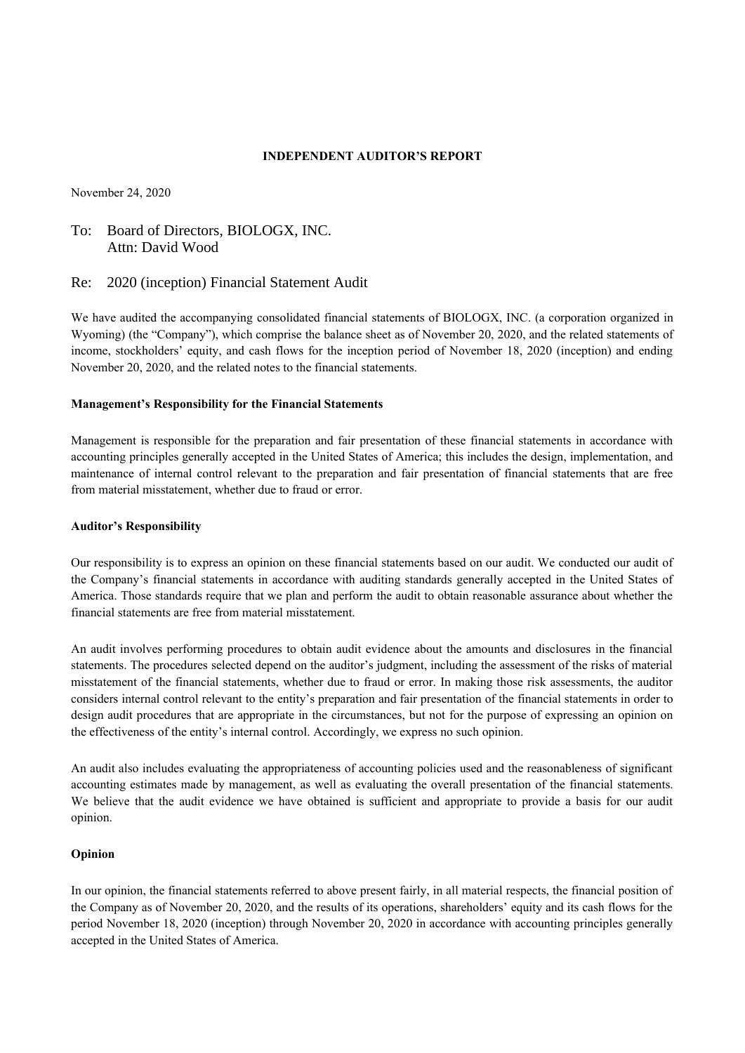#### **INDEPENDENT AUDITOR'S REPORT**

November 24, 2020

# To: Board of Directors, BIOLOGX, INC. Attn: David Wood

#### Re: 2020 (inception) Financial Statement Audit

We have audited the accompanying consolidated financial statements of BIOLOGX, INC. (a corporation organized in Wyoming) (the "Company"), which comprise the balance sheet as of November 20, 2020, and the related statements of income, stockholders' equity, and cash flows for the inception period of November 18, 2020 (inception) and ending November 20, 2020, and the related notes to the financial statements.

#### **Management's Responsibility for the Financial Statements**

Management is responsible for the preparation and fair presentation of these financial statements in accordance with accounting principles generally accepted in the United States of America; this includes the design, implementation, and maintenance of internal control relevant to the preparation and fair presentation of financial statements that are free from material misstatement, whether due to fraud or error.

#### **Auditor's Responsibility**

Our responsibility is to express an opinion on these financial statements based on our audit. We conducted our audit of the Company's financial statements in accordance with auditing standards generally accepted in the United States of America. Those standards require that we plan and perform the audit to obtain reasonable assurance about whether the financial statements are free from material misstatement.

An audit involves performing procedures to obtain audit evidence about the amounts and disclosures in the financial statements. The procedures selected depend on the auditor's judgment, including the assessment of the risks of material misstatement of the financial statements, whether due to fraud or error. In making those risk assessments, the auditor considers internal control relevant to the entity's preparation and fair presentation of the financial statements in order to design audit procedures that are appropriate in the circumstances, but not for the purpose of expressing an opinion on the effectiveness of the entity's internal control. Accordingly, we express no such opinion.

An audit also includes evaluating the appropriateness of accounting policies used and the reasonableness of significant accounting estimates made by management, as well as evaluating the overall presentation of the financial statements. We believe that the audit evidence we have obtained is sufficient and appropriate to provide a basis for our audit opinion.

#### **Opinion**

In our opinion, the financial statements referred to above present fairly, in all material respects, the financial position of the Company as of November 20, 2020, and the results of its operations, shareholders' equity and its cash flows for the period November 18, 2020 (inception) through November 20, 2020 in accordance with accounting principles generally accepted in the United States of America.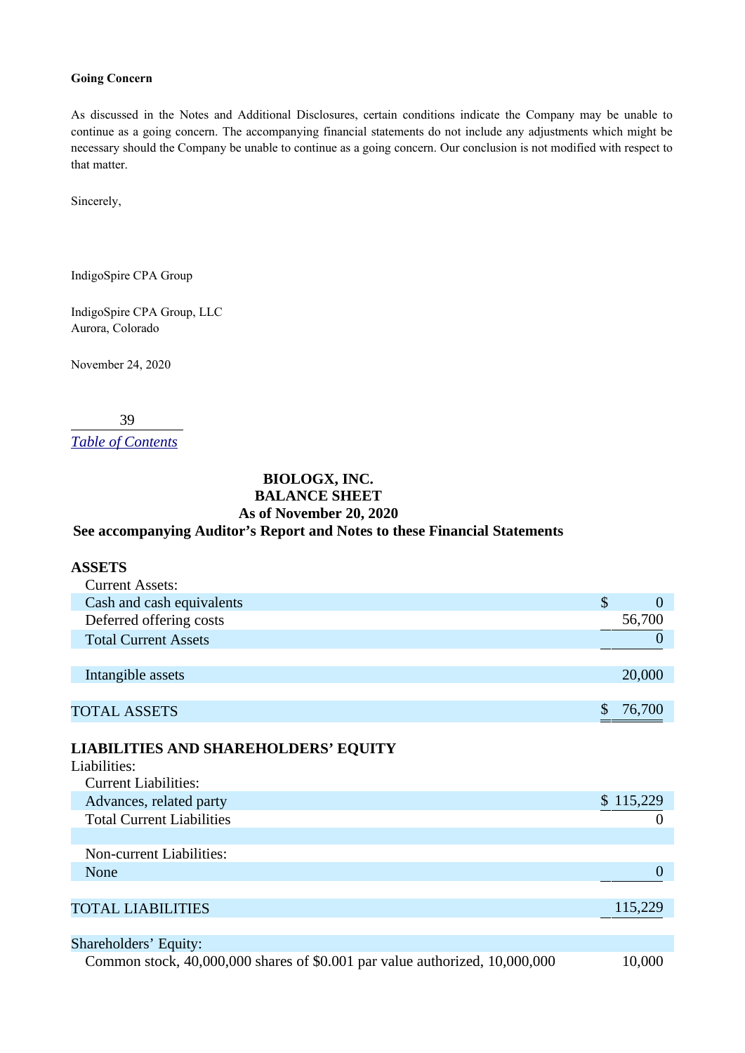## **Going Concern**

As discussed in the Notes and Additional Disclosures, certain conditions indicate the Company may be unable to continue as a going concern. The accompanying financial statements do not include any adjustments which might be necessary should the Company be unable to continue as a going concern. Our conclusion is not modified with respect to that matter.

Sincerely,

IndigoSpire CPA Group

IndigoSpire CPA Group, LLC Aurora, Colorado

November 24, 2020

39 *[Table of Contents](https://www.sec.gov/Archives/edgar/data/1834083/000147793220007068/biologx_1a.htm#toc2)*

# **BIOLOGX, INC. BALANCE SHEET As of November 20, 2020**

# **See accompanying Auditor's Report and Notes to these Financial Statements**

| <b>ASSETS</b>                                                               |              |              |
|-----------------------------------------------------------------------------|--------------|--------------|
| <b>Current Assets:</b>                                                      |              |              |
| Cash and cash equivalents                                                   | $\mathbb{S}$ | $\theta$     |
| Deferred offering costs                                                     |              | 56,700       |
| <b>Total Current Assets</b>                                                 |              | $\theta$     |
|                                                                             |              |              |
| Intangible assets                                                           |              | 20,000       |
|                                                                             |              |              |
| <b>TOTAL ASSETS</b>                                                         | \$           | 76,700       |
|                                                                             |              |              |
| <b>LIABILITIES AND SHAREHOLDERS' EQUITY</b>                                 |              |              |
| Liabilities:                                                                |              |              |
| <b>Current Liabilities:</b>                                                 |              |              |
| Advances, related party                                                     |              | \$115,229    |
| <b>Total Current Liabilities</b>                                            |              |              |
|                                                                             |              |              |
| Non-current Liabilities:                                                    |              |              |
| <b>None</b>                                                                 |              | $\mathbf{0}$ |
|                                                                             |              |              |
| <b>TOTAL LIABILITIES</b>                                                    |              | 115,229      |
|                                                                             |              |              |
| Shareholders' Equity:                                                       |              |              |
| Common stock, 40,000,000 shares of \$0.001 par value authorized, 10,000,000 |              | 10,000       |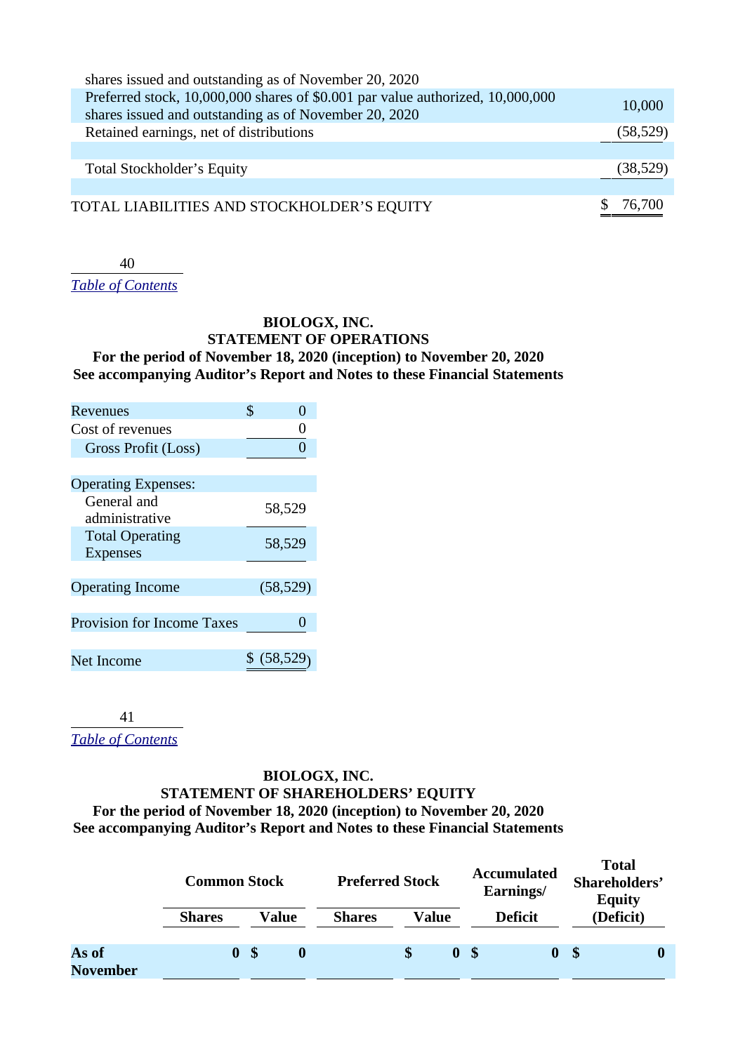| shares issued and outstanding as of November 20, 2020                                                                                   |           |
|-----------------------------------------------------------------------------------------------------------------------------------------|-----------|
| Preferred stock, 10,000,000 shares of \$0.001 par value authorized, 10,000,000<br>shares issued and outstanding as of November 20, 2020 | 10,000    |
| Retained earnings, net of distributions                                                                                                 | (58, 529) |
|                                                                                                                                         |           |
| Total Stockholder's Equity                                                                                                              | (38, 529) |
|                                                                                                                                         |           |
| TOTAL LIABILITIES AND STOCKHOLDER'S EQUITY                                                                                              | 76,700    |

40

*[Table of Contents](https://www.sec.gov/Archives/edgar/data/1834083/000147793220007068/biologx_1a.htm#toc2)*

# **BIOLOGX, INC. STATEMENT OF OPERATIONS For the period of November 18, 2020 (inception) to November 20, 2020 See accompanying Auditor's Report and Notes to these Financial Statements**

| Revenues                                  | \$        |
|-------------------------------------------|-----------|
| Cost of revenues                          |           |
| Gross Profit (Loss)                       |           |
|                                           |           |
| <b>Operating Expenses:</b>                |           |
| General and<br>administrative             | 58,529    |
| <b>Total Operating</b><br><b>Expenses</b> | 58,529    |
|                                           |           |
| <b>Operating Income</b>                   | (58, 529) |
|                                           |           |
| <b>Provision for Income Taxes</b>         | 0         |
|                                           |           |
| Net Income                                | (58, 529) |
|                                           |           |

41

*[Table of Contents](https://www.sec.gov/Archives/edgar/data/1834083/000147793220007068/biologx_1a.htm#toc2)*

# **BIOLOGX, INC. STATEMENT OF SHAREHOLDERS' EQUITY For the period of November 18, 2020 (inception) to November 20, 2020 See accompanying Auditor's Report and Notes to these Financial Statements**

|                          | <b>Common Stock</b> |                | <b>Preferred Stock</b> |       |          | <b>Accumulated</b><br>Earnings/ |                | <b>Total</b><br>Shareholders'<br><b>Equity</b> |           |          |
|--------------------------|---------------------|----------------|------------------------|-------|----------|---------------------------------|----------------|------------------------------------------------|-----------|----------|
|                          | <b>Shares</b>       | Value          | <b>Shares</b>          | Value |          |                                 | <b>Deficit</b> |                                                | (Deficit) |          |
| As of<br><b>November</b> |                     | 0 <sup>5</sup> |                        | \$    | $\bf{0}$ | - \$                            |                | 0                                              | - \$      | $\bf{0}$ |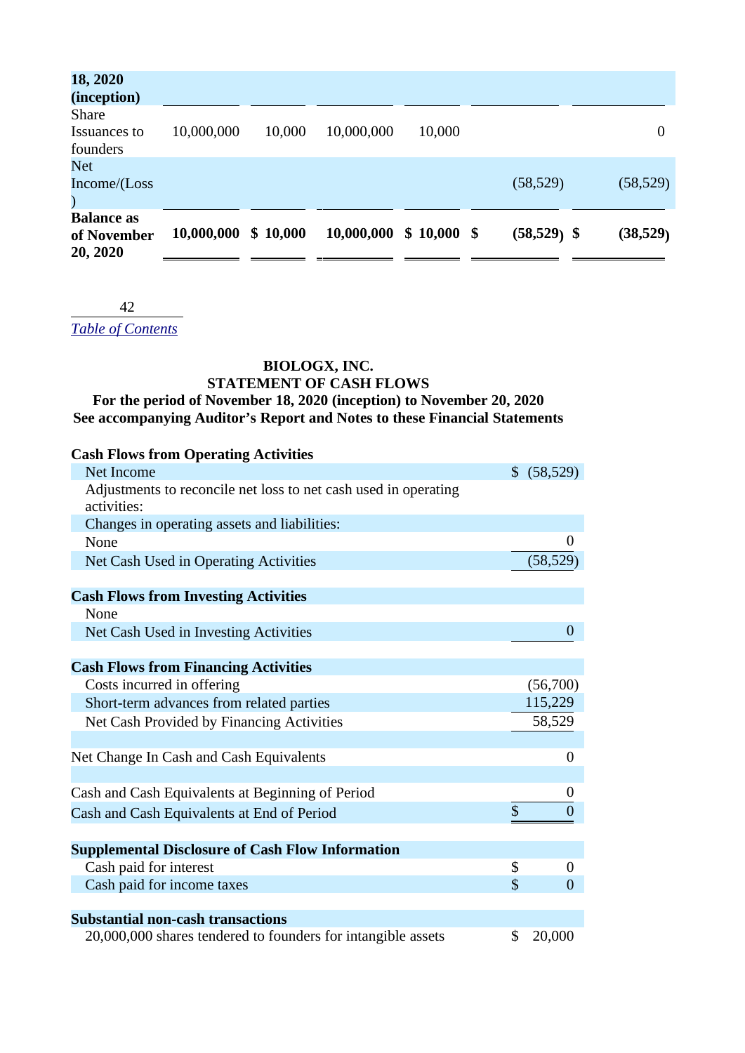| 18, 2020<br>(inception)                      |            |          |                         |        |                |           |
|----------------------------------------------|------------|----------|-------------------------|--------|----------------|-----------|
| <b>Share</b>                                 |            |          |                         |        |                |           |
| Issuances to<br>founders                     | 10,000,000 | 10,000   | 10,000,000              | 10,000 |                | $\theta$  |
| <b>Net</b>                                   |            |          |                         |        |                |           |
| Income/(Loss                                 |            |          |                         |        | (58, 529)      | (58, 529) |
| $\mathcal{C}$                                |            |          |                         |        |                |           |
| <b>Balance as</b><br>of November<br>20, 2020 | 10,000,000 | \$10,000 | 10,000,000 \$ 10,000 \$ |        | $(58, 529)$ \$ | (38, 529) |

# 42 *[Table of Contents](https://www.sec.gov/Archives/edgar/data/1834083/000147793220007068/biologx_1a.htm#toc2)*

# **BIOLOGX, INC. STATEMENT OF CASH FLOWS**

# **For the period of November 18, 2020 (inception) to November 20, 2020 See accompanying Auditor's Report and Notes to these Financial Statements**

| <b>Cash Flows from Operating Activities</b>                                    |                |                |
|--------------------------------------------------------------------------------|----------------|----------------|
| Net Income                                                                     | $\mathbb{S}$   | (58, 529)      |
| Adjustments to reconcile net loss to net cash used in operating<br>activities: |                |                |
| Changes in operating assets and liabilities:                                   |                |                |
| <b>None</b>                                                                    |                | $\theta$       |
| Net Cash Used in Operating Activities                                          |                | (58, 529)      |
| <b>Cash Flows from Investing Activities</b>                                    |                |                |
| None                                                                           |                |                |
| Net Cash Used in Investing Activities                                          |                | $\overline{0}$ |
|                                                                                |                |                |
| <b>Cash Flows from Financing Activities</b>                                    |                |                |
| Costs incurred in offering                                                     |                | (56,700)       |
| Short-term advances from related parties                                       |                | 115,229        |
| Net Cash Provided by Financing Activities                                      |                | 58,529         |
|                                                                                |                |                |
| Net Change In Cash and Cash Equivalents                                        |                | $\overline{0}$ |
|                                                                                |                |                |
| Cash and Cash Equivalents at Beginning of Period                               |                | $\theta$       |
| Cash and Cash Equivalents at End of Period                                     | $\mathfrak{S}$ | $\theta$       |
|                                                                                |                |                |
| <b>Supplemental Disclosure of Cash Flow Information</b>                        |                |                |
| Cash paid for interest                                                         | \$             | $\theta$       |
| Cash paid for income taxes                                                     | $\mathbb{S}$   | $\theta$       |
|                                                                                |                |                |
| <b>Substantial non-cash transactions</b>                                       |                |                |
| 20,000,000 shares tendered to founders for intangible assets                   | \$             | 20,000         |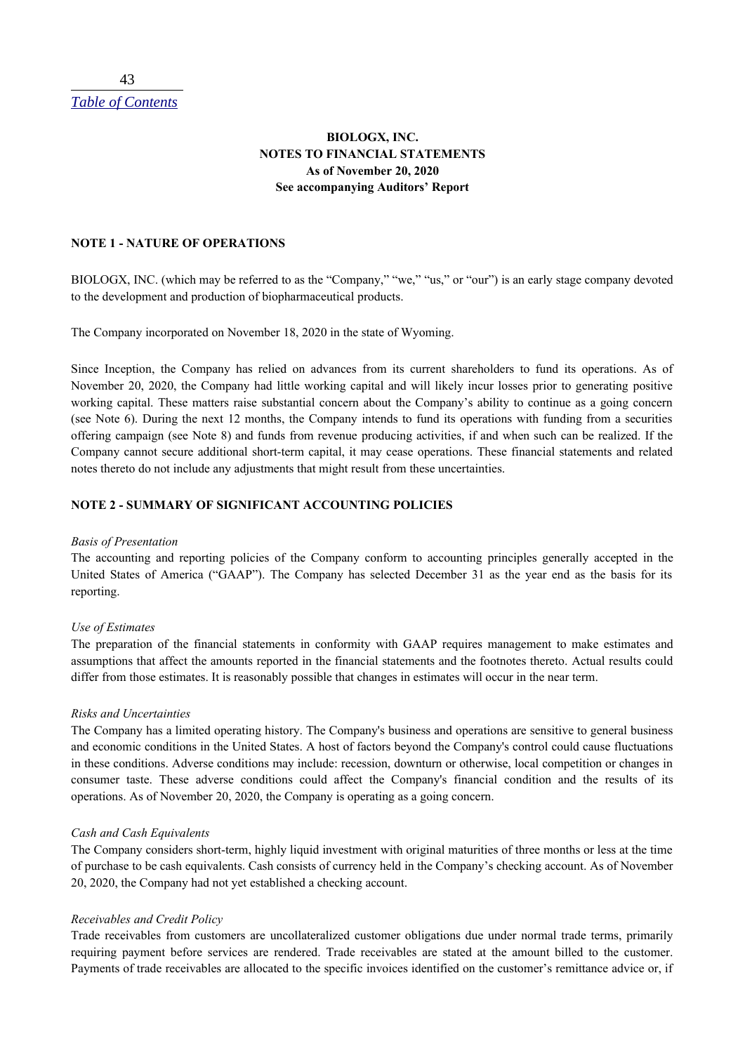# **BIOLOGX, INC. NOTES TO FINANCIAL STATEMENTS As of November 20, 2020 See accompanying Auditors' Report**

# **NOTE 1 - NATURE OF OPERATIONS**

BIOLOGX, INC. (which may be referred to as the "Company," "we," "us," or "our") is an early stage company devoted to the development and production of biopharmaceutical products.

The Company incorporated on November 18, 2020 in the state of Wyoming.

Since Inception, the Company has relied on advances from its current shareholders to fund its operations. As of November 20, 2020, the Company had little working capital and will likely incur losses prior to generating positive working capital. These matters raise substantial concern about the Company's ability to continue as a going concern (see Note 6). During the next 12 months, the Company intends to fund its operations with funding from a securities offering campaign (see Note 8) and funds from revenue producing activities, if and when such can be realized. If the Company cannot secure additional short-term capital, it may cease operations. These financial statements and related notes thereto do not include any adjustments that might result from these uncertainties.

#### **NOTE 2 - SUMMARY OF SIGNIFICANT ACCOUNTING POLICIES**

#### *Basis of Presentation*

The accounting and reporting policies of the Company conform to accounting principles generally accepted in the United States of America ("GAAP"). The Company has selected December 31 as the year end as the basis for its reporting.

#### *Use of Estimates*

The preparation of the financial statements in conformity with GAAP requires management to make estimates and assumptions that affect the amounts reported in the financial statements and the footnotes thereto. Actual results could differ from those estimates. It is reasonably possible that changes in estimates will occur in the near term.

#### *Risks and Uncertainties*

The Company has a limited operating history. The Company's business and operations are sensitive to general business and economic conditions in the United States. A host of factors beyond the Company's control could cause fluctuations in these conditions. Adverse conditions may include: recession, downturn or otherwise, local competition or changes in consumer taste. These adverse conditions could affect the Company's financial condition and the results of its operations. As of November 20, 2020, the Company is operating as a going concern.

#### *Cash and Cash Equivalents*

The Company considers short-term, highly liquid investment with original maturities of three months or less at the time of purchase to be cash equivalents. Cash consists of currency held in the Company's checking account. As of November 20, 2020, the Company had not yet established a checking account.

#### *Receivables and Credit Policy*

Trade receivables from customers are uncollateralized customer obligations due under normal trade terms, primarily requiring payment before services are rendered. Trade receivables are stated at the amount billed to the customer. Payments of trade receivables are allocated to the specific invoices identified on the customer's remittance advice or, if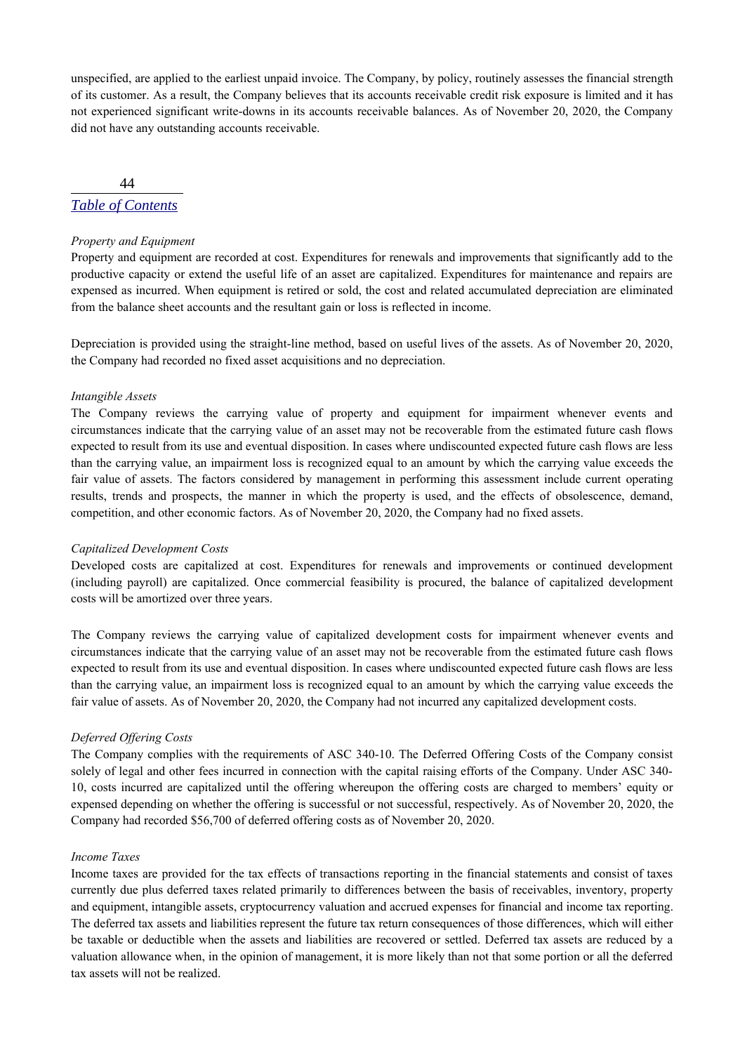unspecified, are applied to the earliest unpaid invoice. The Company, by policy, routinely assesses the financial strength of its customer. As a result, the Company believes that its accounts receivable credit risk exposure is limited and it has not experienced significant write-downs in its accounts receivable balances. As of November 20, 2020, the Company did not have any outstanding accounts receivable.

#### 44

## *[Table of Contents](https://www.sec.gov/Archives/edgar/data/1834083/000147793220007068/biologx_1a.htm#toc2)*

#### *Property and Equipment*

Property and equipment are recorded at cost. Expenditures for renewals and improvements that significantly add to the productive capacity or extend the useful life of an asset are capitalized. Expenditures for maintenance and repairs are expensed as incurred. When equipment is retired or sold, the cost and related accumulated depreciation are eliminated from the balance sheet accounts and the resultant gain or loss is reflected in income.

Depreciation is provided using the straight-line method, based on useful lives of the assets. As of November 20, 2020, the Company had recorded no fixed asset acquisitions and no depreciation.

#### *Intangible Assets*

The Company reviews the carrying value of property and equipment for impairment whenever events and circumstances indicate that the carrying value of an asset may not be recoverable from the estimated future cash flows expected to result from its use and eventual disposition. In cases where undiscounted expected future cash flows are less than the carrying value, an impairment loss is recognized equal to an amount by which the carrying value exceeds the fair value of assets. The factors considered by management in performing this assessment include current operating results, trends and prospects, the manner in which the property is used, and the effects of obsolescence, demand, competition, and other economic factors. As of November 20, 2020, the Company had no fixed assets.

#### *Capitalized Development Costs*

Developed costs are capitalized at cost. Expenditures for renewals and improvements or continued development (including payroll) are capitalized. Once commercial feasibility is procured, the balance of capitalized development costs will be amortized over three years.

The Company reviews the carrying value of capitalized development costs for impairment whenever events and circumstances indicate that the carrying value of an asset may not be recoverable from the estimated future cash flows expected to result from its use and eventual disposition. In cases where undiscounted expected future cash flows are less than the carrying value, an impairment loss is recognized equal to an amount by which the carrying value exceeds the fair value of assets. As of November 20, 2020, the Company had not incurred any capitalized development costs.

#### *Deferred Offering Costs*

The Company complies with the requirements of ASC 340-10. The Deferred Offering Costs of the Company consist solely of legal and other fees incurred in connection with the capital raising efforts of the Company. Under ASC 340- 10, costs incurred are capitalized until the offering whereupon the offering costs are charged to members' equity or expensed depending on whether the offering is successful or not successful, respectively. As of November 20, 2020, the Company had recorded \$56,700 of deferred offering costs as of November 20, 2020.

#### *Income Taxes*

Income taxes are provided for the tax effects of transactions reporting in the financial statements and consist of taxes currently due plus deferred taxes related primarily to differences between the basis of receivables, inventory, property and equipment, intangible assets, cryptocurrency valuation and accrued expenses for financial and income tax reporting. The deferred tax assets and liabilities represent the future tax return consequences of those differences, which will either be taxable or deductible when the assets and liabilities are recovered or settled. Deferred tax assets are reduced by a valuation allowance when, in the opinion of management, it is more likely than not that some portion or all the deferred tax assets will not be realized.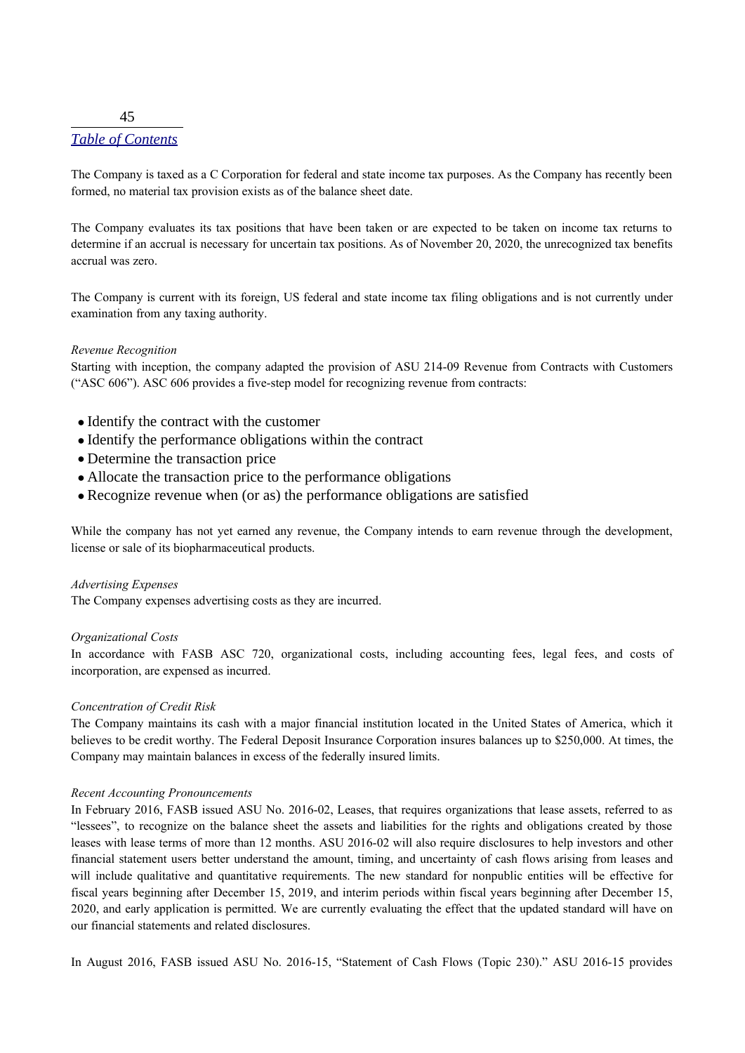# *[Table of Contents](https://www.sec.gov/Archives/edgar/data/1834083/000147793220007068/biologx_1a.htm#toc2)*

The Company is taxed as a C Corporation for federal and state income tax purposes. As the Company has recently been formed, no material tax provision exists as of the balance sheet date.

The Company evaluates its tax positions that have been taken or are expected to be taken on income tax returns to determine if an accrual is necessary for uncertain tax positions. As of November 20, 2020, the unrecognized tax benefits accrual was zero.

The Company is current with its foreign, US federal and state income tax filing obligations and is not currently under examination from any taxing authority.

#### *Revenue Recognition*

Starting with inception, the company adapted the provision of ASU 214-09 Revenue from Contracts with Customers ("ASC 606"). ASC 606 provides a five-step model for recognizing revenue from contracts:

- · Identify the contract with the customer
- · Identify the performance obligations within the contract
- · Determine the transaction price
- · Allocate the transaction price to the performance obligations
- · Recognize revenue when (or as) the performance obligations are satisfied

While the company has not yet earned any revenue, the Company intends to earn revenue through the development, license or sale of its biopharmaceutical products.

#### *Advertising Expenses*

The Company expenses advertising costs as they are incurred.

#### *Organizational Costs*

In accordance with FASB ASC 720, organizational costs, including accounting fees, legal fees, and costs of incorporation, are expensed as incurred.

#### *Concentration of Credit Risk*

The Company maintains its cash with a major financial institution located in the United States of America, which it believes to be credit worthy. The Federal Deposit Insurance Corporation insures balances up to \$250,000. At times, the Company may maintain balances in excess of the federally insured limits.

#### *Recent Accounting Pronouncements*

In February 2016, FASB issued ASU No. 2016-02, Leases, that requires organizations that lease assets, referred to as "lessees", to recognize on the balance sheet the assets and liabilities for the rights and obligations created by those leases with lease terms of more than 12 months. ASU 2016-02 will also require disclosures to help investors and other financial statement users better understand the amount, timing, and uncertainty of cash flows arising from leases and will include qualitative and quantitative requirements. The new standard for nonpublic entities will be effective for fiscal years beginning after December 15, 2019, and interim periods within fiscal years beginning after December 15, 2020, and early application is permitted. We are currently evaluating the effect that the updated standard will have on our financial statements and related disclosures.

In August 2016, FASB issued ASU No. 2016-15, "Statement of Cash Flows (Topic 230)." ASU 2016-15 provides

#### 45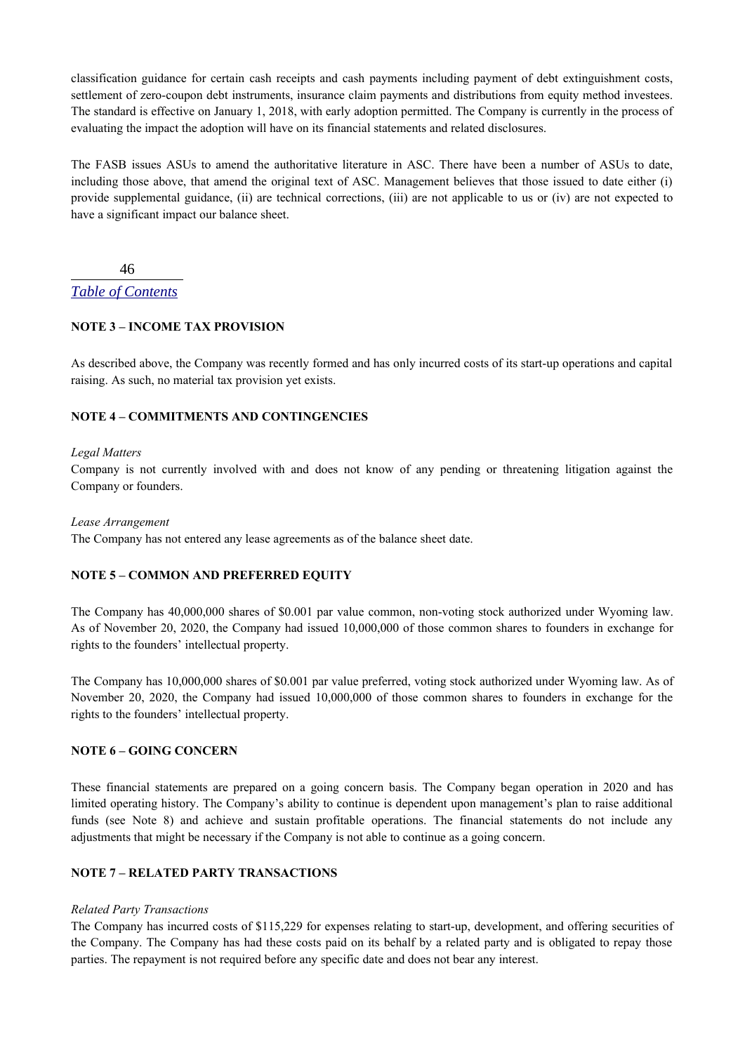classification guidance for certain cash receipts and cash payments including payment of debt extinguishment costs, settlement of zero-coupon debt instruments, insurance claim payments and distributions from equity method investees. The standard is effective on January 1, 2018, with early adoption permitted. The Company is currently in the process of evaluating the impact the adoption will have on its financial statements and related disclosures.

The FASB issues ASUs to amend the authoritative literature in ASC. There have been a number of ASUs to date, including those above, that amend the original text of ASC. Management believes that those issued to date either (i) provide supplemental guidance, (ii) are technical corrections, (iii) are not applicable to us or (iv) are not expected to have a significant impact our balance sheet.

46

#### *[Table of Contents](https://www.sec.gov/Archives/edgar/data/1834083/000147793220007068/biologx_1a.htm#toc2)*

# **NOTE 3 – INCOME TAX PROVISION**

As described above, the Company was recently formed and has only incurred costs of its start-up operations and capital raising. As such, no material tax provision yet exists.

#### **NOTE 4 – COMMITMENTS AND CONTINGENCIES**

#### *Legal Matters*

Company is not currently involved with and does not know of any pending or threatening litigation against the Company or founders.

#### *Lease Arrangement*

The Company has not entered any lease agreements as of the balance sheet date.

#### **NOTE 5 – COMMON AND PREFERRED EQUITY**

The Company has 40,000,000 shares of \$0.001 par value common, non-voting stock authorized under Wyoming law. As of November 20, 2020, the Company had issued 10,000,000 of those common shares to founders in exchange for rights to the founders' intellectual property.

The Company has 10,000,000 shares of \$0.001 par value preferred, voting stock authorized under Wyoming law. As of November 20, 2020, the Company had issued 10,000,000 of those common shares to founders in exchange for the rights to the founders' intellectual property.

#### **NOTE 6 – GOING CONCERN**

These financial statements are prepared on a going concern basis. The Company began operation in 2020 and has limited operating history. The Company's ability to continue is dependent upon management's plan to raise additional funds (see Note 8) and achieve and sustain profitable operations. The financial statements do not include any adjustments that might be necessary if the Company is not able to continue as a going concern.

#### **NOTE 7 – RELATED PARTY TRANSACTIONS**

#### *Related Party Transactions*

The Company has incurred costs of \$115,229 for expenses relating to start-up, development, and offering securities of the Company. The Company has had these costs paid on its behalf by a related party and is obligated to repay those parties. The repayment is not required before any specific date and does not bear any interest.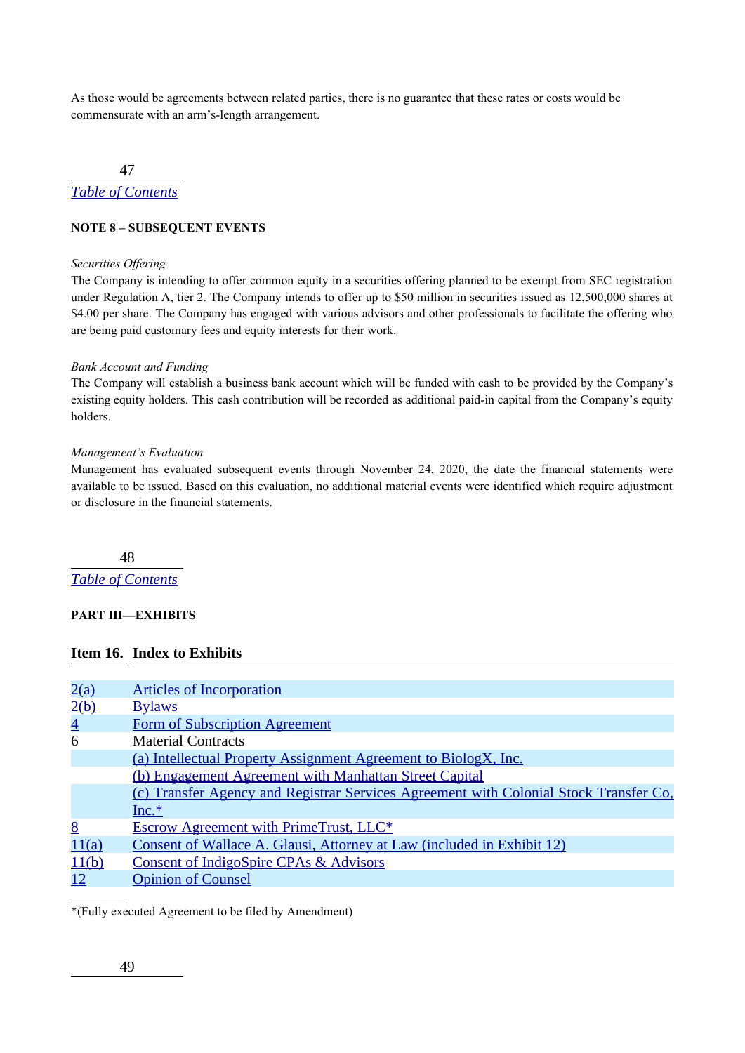As those would be agreements between related parties, there is no guarantee that these rates or costs would be commensurate with an arm's-length arrangement.

47

# *[Table of Contents](https://www.sec.gov/Archives/edgar/data/1834083/000147793220007068/biologx_1a.htm#toc2)*

# **NOTE 8 – SUBSEQUENT EVENTS**

#### *Securities Offering*

The Company is intending to offer common equity in a securities offering planned to be exempt from SEC registration under Regulation A, tier 2. The Company intends to offer up to \$50 million in securities issued as 12,500,000 shares at \$4.00 per share. The Company has engaged with various advisors and other professionals to facilitate the offering who are being paid customary fees and equity interests for their work.

#### *Bank Account and Funding*

The Company will establish a business bank account which will be funded with cash to be provided by the Company's existing equity holders. This cash contribution will be recorded as additional paid-in capital from the Company's equity holders.

#### *Management's Evaluation*

Management has evaluated subsequent events through November 24, 2020, the date the financial statements were available to be issued. Based on this evaluation, no additional material events were identified which require adjustment or disclosure in the financial statements.

48

*[Table of Contents](https://www.sec.gov/Archives/edgar/data/1834083/000147793220007068/biologx_1a.htm#toc2)*

# **PART III—EXHIBITS**

# **Item 16. Index to Exhibits**

| 2(a)           | <b>Articles of Incorporation</b>                                                      |
|----------------|---------------------------------------------------------------------------------------|
| 2(b)           | <b>Bylaws</b>                                                                         |
| $\overline{4}$ | <b>Form of Subscription Agreement</b>                                                 |
| 6              | <b>Material Contracts</b>                                                             |
|                | (a) Intellectual Property Assignment Agreement to BiologX, Inc.                       |
|                | (b) Engagement Agreement with Manhattan Street Capital                                |
|                | (c) Transfer Agency and Registrar Services Agreement with Colonial Stock Transfer Co. |
|                | $Inc.*$                                                                               |
| 8              | <b>Escrow Agreement with PrimeTrust, LLC*</b>                                         |
| 11(a)          | Consent of Wallace A. Glausi, Attorney at Law (included in Exhibit 12)                |
| 11(b)          | <b>Consent of IndigoSpire CPAs &amp; Advisors</b>                                     |
| 12             | <b>Opinion of Counsel</b>                                                             |
|                |                                                                                       |

\*(Fully executed Agreement to be filed by Amendment)